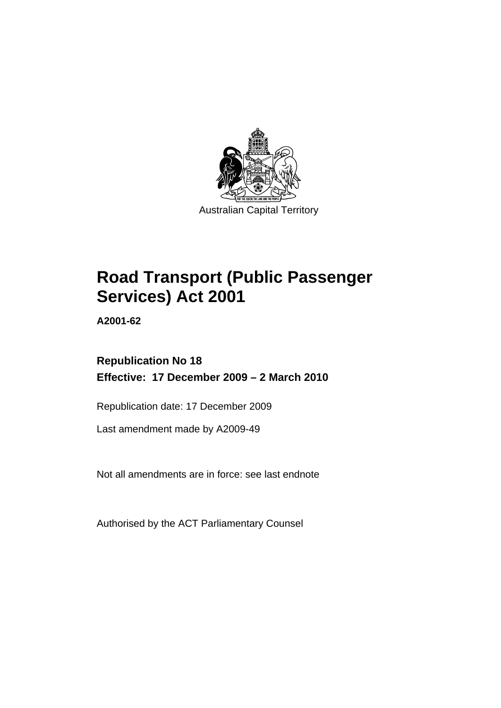

Australian Capital Territory

# **[Road Transport \(Public Passenger](#page-10-0)  [Services\) Act 2001](#page-10-0)**

**A2001-62** 

# **Republication No 18 Effective: 17 December 2009 – 2 March 2010**

Republication date: 17 December 2009

Last amendment made by A2009-49

Not all amendments are in force: see last endnote

Authorised by the ACT Parliamentary Counsel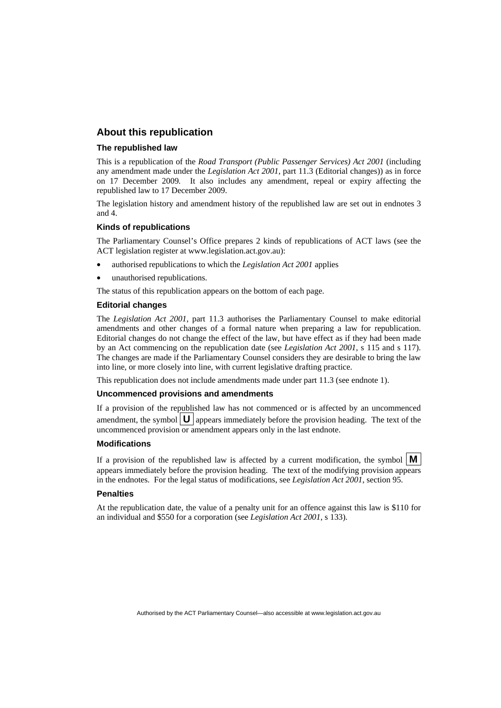#### **About this republication**

#### **The republished law**

This is a republication of the *Road Transport (Public Passenger Services) Act 2001* (including any amendment made under the *Legislation Act 2001*, part 11.3 (Editorial changes)) as in force on 17 December 2009*.* It also includes any amendment, repeal or expiry affecting the republished law to 17 December 2009.

The legislation history and amendment history of the republished law are set out in endnotes 3 and 4.

#### **Kinds of republications**

The Parliamentary Counsel's Office prepares 2 kinds of republications of ACT laws (see the ACT legislation register at www.legislation.act.gov.au):

- authorised republications to which the *Legislation Act 2001* applies
- unauthorised republications.

The status of this republication appears on the bottom of each page.

#### **Editorial changes**

The *Legislation Act 2001*, part 11.3 authorises the Parliamentary Counsel to make editorial amendments and other changes of a formal nature when preparing a law for republication. Editorial changes do not change the effect of the law, but have effect as if they had been made by an Act commencing on the republication date (see *Legislation Act 2001*, s 115 and s 117). The changes are made if the Parliamentary Counsel considers they are desirable to bring the law into line, or more closely into line, with current legislative drafting practice.

This republication does not include amendments made under part 11.3 (see endnote 1).

#### **Uncommenced provisions and amendments**

If a provision of the republished law has not commenced or is affected by an uncommenced amendment, the symbol  $\mathbf{U}$  appears immediately before the provision heading. The text of the uncommenced provision  $\overline{or}$  amendment appears only in the last endnote.

#### **Modifications**

If a provision of the republished law is affected by a current modification, the symbol  $\mathbf{M}$ appears immediately before the provision heading. The text of the modifying provision appears in the endnotes. For the legal status of modifications, see *Legislation Act 2001*, section 95.

#### **Penalties**

At the republication date, the value of a penalty unit for an offence against this law is \$110 for an individual and \$550 for a corporation (see *Legislation Act 2001*, s 133).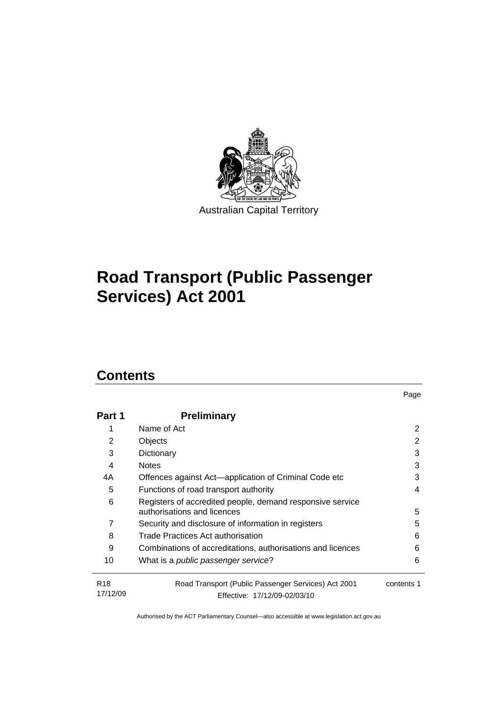

# **[Road Transport \(Public Passenger](#page-10-0)  [Services\) Act 2001](#page-10-0)**

# **Contents**

| Part 1                      | <b>Preliminary</b>                                                                       |            |
|-----------------------------|------------------------------------------------------------------------------------------|------------|
|                             | Name of Act                                                                              | 2          |
| 2                           | Objects                                                                                  | 2          |
| 3                           | Dictionary                                                                               | 3          |
| 4                           | <b>Notes</b>                                                                             | 3          |
| 4A                          | Offences against Act-application of Criminal Code etc                                    | 3          |
| 5                           | Functions of road transport authority                                                    | 4          |
| 6                           | Registers of accredited people, demand responsive service<br>authorisations and licences | 5          |
| 7                           | Security and disclosure of information in registers                                      | 5          |
| 8                           | Trade Practices Act authorisation                                                        | 6          |
| 9                           | Combinations of accreditations, authorisations and licences                              | 6          |
| 10                          | What is a public passenger service?                                                      | 6          |
| R <sub>18</sub><br>17/12/09 | Road Transport (Public Passenger Services) Act 2001<br>Effective: 17/12/09-02/03/10      | contents 1 |

Page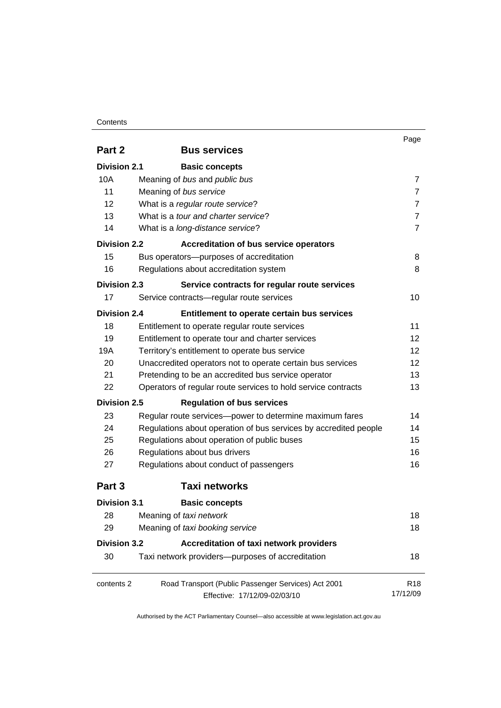#### **Contents**

|                     |                                                                                                                                                                     | Page            |
|---------------------|---------------------------------------------------------------------------------------------------------------------------------------------------------------------|-----------------|
| Part 2              | <b>Bus services</b>                                                                                                                                                 |                 |
| <b>Division 2.1</b> | <b>Basic concepts</b>                                                                                                                                               |                 |
| 10A                 | Meaning of bus and public bus                                                                                                                                       |                 |
| 11                  | Meaning of bus service                                                                                                                                              | 7               |
| 12                  | What is a regular route service?                                                                                                                                    | $\overline{7}$  |
| 13                  | What is a tour and charter service?                                                                                                                                 | $\overline{7}$  |
| 14                  | What is a long-distance service?                                                                                                                                    | $\overline{7}$  |
| <b>Division 2.2</b> | <b>Accreditation of bus service operators</b>                                                                                                                       |                 |
| 15                  | Bus operators--- purposes of accreditation                                                                                                                          | 8               |
| 16                  | Regulations about accreditation system                                                                                                                              | 8               |
| <b>Division 2.3</b> | Service contracts for regular route services                                                                                                                        |                 |
| 17                  | Service contracts-regular route services                                                                                                                            | 10              |
| <b>Division 2.4</b> | Entitlement to operate certain bus services                                                                                                                         |                 |
| 18                  | Entitlement to operate regular route services                                                                                                                       | 11              |
| 19                  | Entitlement to operate tour and charter services                                                                                                                    | 12              |
| 19A                 | Territory's entitlement to operate bus service<br>Unaccredited operators not to operate certain bus services<br>Pretending to be an accredited bus service operator |                 |
| 20                  |                                                                                                                                                                     |                 |
| 21                  |                                                                                                                                                                     |                 |
| 22                  | Operators of regular route services to hold service contracts                                                                                                       | 13              |
| <b>Division 2.5</b> | <b>Regulation of bus services</b>                                                                                                                                   |                 |
| 23                  | Regular route services-power to determine maximum fares                                                                                                             | 14              |
| 24                  | Regulations about operation of bus services by accredited people                                                                                                    | 14              |
| 25                  | Regulations about operation of public buses                                                                                                                         | 15              |
| 26                  | Regulations about bus drivers                                                                                                                                       | 16              |
| 27                  | Regulations about conduct of passengers                                                                                                                             | 16              |
| Part 3              | <b>Taxi networks</b>                                                                                                                                                |                 |
| <b>Division 3.1</b> | <b>Basic concepts</b>                                                                                                                                               |                 |
| 28                  | Meaning of taxi network                                                                                                                                             | 18              |
| 29                  | Meaning of taxi booking service                                                                                                                                     | 18              |
| <b>Division 3.2</b> | Accreditation of taxi network providers                                                                                                                             |                 |
| 30                  | Taxi network providers-purposes of accreditation                                                                                                                    | 18              |
| contents 2          | Road Transport (Public Passenger Services) Act 2001                                                                                                                 | R <sub>18</sub> |
|                     | Effective: 17/12/09-02/03/10                                                                                                                                        | 17/12/09        |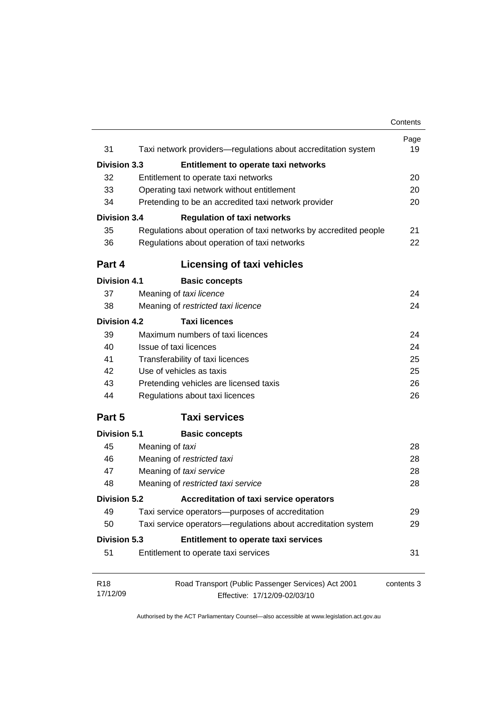|                     |                                                                   | Contents   |
|---------------------|-------------------------------------------------------------------|------------|
| 31                  | Taxi network providers-regulations about accreditation system     | Page<br>19 |
|                     |                                                                   |            |
| <b>Division 3.3</b> | Entitlement to operate taxi networks                              | 20         |
| 32                  | Entitlement to operate taxi networks                              |            |
| 33                  | Operating taxi network without entitlement                        | 20         |
| 34                  | Pretending to be an accredited taxi network provider              | 20         |
| <b>Division 3.4</b> | <b>Regulation of taxi networks</b>                                |            |
| 35                  | Regulations about operation of taxi networks by accredited people | 21         |
| 36                  | Regulations about operation of taxi networks                      |            |
| Part 4              | <b>Licensing of taxi vehicles</b>                                 |            |
| <b>Division 4.1</b> | <b>Basic concepts</b>                                             |            |
| 37                  | Meaning of taxi licence                                           | 24         |
| 38                  | Meaning of restricted taxi licence                                | 24         |
| Division 4.2        | <b>Taxi licences</b>                                              |            |
| 39                  | Maximum numbers of taxi licences                                  | 24         |
| 40                  | Issue of taxi licences                                            | 24         |
| 41                  | Transferability of taxi licences                                  | 25         |
| 42                  | Use of vehicles as taxis                                          |            |
| 43                  | Pretending vehicles are licensed taxis                            | 26         |
| 44                  | Regulations about taxi licences                                   | 26         |
| Part 5              | <b>Taxi services</b>                                              |            |
| <b>Division 5.1</b> | <b>Basic concepts</b>                                             |            |
| 45                  | Meaning of taxi                                                   | 28         |
| 46                  | Meaning of restricted taxi                                        | 28         |
| 47                  | Meaning of taxi service                                           |            |
| 48                  | Meaning of restricted taxi service                                | 28         |
| <b>Division 5.2</b> | <b>Accreditation of taxi service operators</b>                    |            |
| 49                  | Taxi service operators-purposes of accreditation                  | 29         |
| 50                  | Taxi service operators-regulations about accreditation system     | 29         |
| Division 5.3        | Entitlement to operate taxi services                              |            |
| 51                  | Entitlement to operate taxi services                              | 31         |
| R <sub>18</sub>     | Road Transport (Public Passenger Services) Act 2001               | contents 3 |
| 17/12/09            | Effective: 17/12/09-02/03/10                                      |            |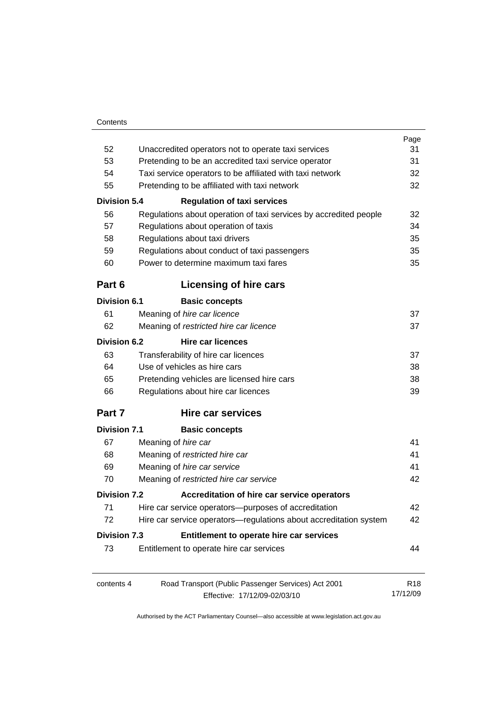|                     |                                                                   | Page                        |  |
|---------------------|-------------------------------------------------------------------|-----------------------------|--|
| 52                  | Unaccredited operators not to operate taxi services               |                             |  |
| 53                  | Pretending to be an accredited taxi service operator              |                             |  |
| 54                  | Taxi service operators to be affiliated with taxi network         |                             |  |
| 55                  | Pretending to be affiliated with taxi network                     |                             |  |
| <b>Division 5.4</b> | <b>Regulation of taxi services</b>                                |                             |  |
| 56                  | Regulations about operation of taxi services by accredited people | 32                          |  |
| 57                  | Regulations about operation of taxis                              | 34                          |  |
| 58                  | Regulations about taxi drivers                                    | 35                          |  |
| 59                  | Regulations about conduct of taxi passengers                      |                             |  |
| 60                  | Power to determine maximum taxi fares                             |                             |  |
| Part 6              | Licensing of hire cars                                            |                             |  |
| Division 6.1        | <b>Basic concepts</b>                                             |                             |  |
| 61                  | Meaning of hire car licence                                       | 37                          |  |
| 62                  | Meaning of restricted hire car licence                            | 37                          |  |
| Division 6.2        | <b>Hire car licences</b>                                          |                             |  |
| 63                  | Transferability of hire car licences                              | 37                          |  |
| 64                  | Use of vehicles as hire cars                                      | 38                          |  |
| 65                  | Pretending vehicles are licensed hire cars                        |                             |  |
| 66                  | Regulations about hire car licences                               | 39                          |  |
| Part 7              | <b>Hire car services</b>                                          |                             |  |
| <b>Division 7.1</b> | <b>Basic concepts</b>                                             |                             |  |
| 67                  | Meaning of hire car                                               | 41                          |  |
| 68                  | Meaning of restricted hire car                                    | 41                          |  |
| 69                  | Meaning of hire car service                                       | 41                          |  |
| 70                  | Meaning of restricted hire car service                            | 42                          |  |
| <b>Division 7.2</b> | Accreditation of hire car service operators                       |                             |  |
| 71                  | Hire car service operators-purposes of accreditation              | 42                          |  |
| 72                  | Hire car service operators-regulations about accreditation system | 42                          |  |
| <b>Division 7.3</b> | Entitlement to operate hire car services                          |                             |  |
| 73                  | Entitlement to operate hire car services                          | 44                          |  |
| contents 4          | Road Transport (Public Passenger Services) Act 2001               | R <sub>18</sub><br>17/12/09 |  |
|                     | Effective: 17/12/09-02/03/10                                      |                             |  |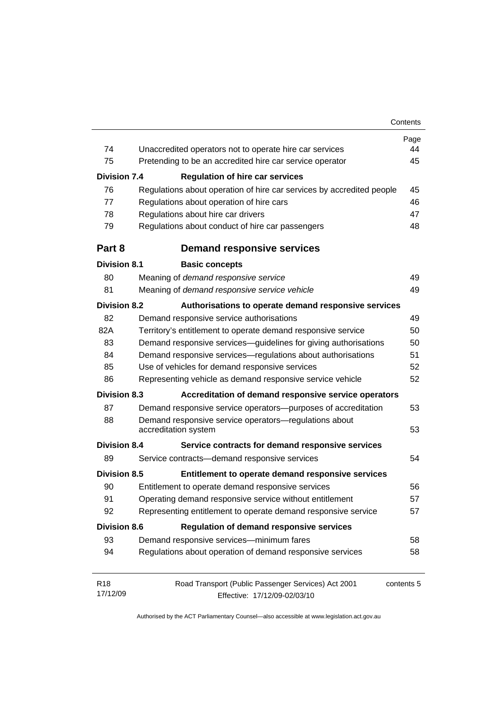|                     |                                                                                     | Page<br>44 |
|---------------------|-------------------------------------------------------------------------------------|------------|
| 74                  | Unaccredited operators not to operate hire car services                             |            |
| 75                  | Pretending to be an accredited hire car service operator                            | 45         |
| <b>Division 7.4</b> | <b>Regulation of hire car services</b>                                              |            |
| 76                  | Regulations about operation of hire car services by accredited people               | 45         |
| 77                  | Regulations about operation of hire cars                                            | 46         |
| 78                  | Regulations about hire car drivers                                                  |            |
| 79                  | Regulations about conduct of hire car passengers                                    | 48         |
| Part 8              | <b>Demand responsive services</b>                                                   |            |
| <b>Division 8.1</b> | <b>Basic concepts</b>                                                               |            |
| 80                  | Meaning of demand responsive service                                                | 49         |
| 81                  | Meaning of demand responsive service vehicle                                        | 49         |
| <b>Division 8.2</b> | Authorisations to operate demand responsive services                                |            |
| 82                  | Demand responsive service authorisations                                            | 49         |
| 82A                 | Territory's entitlement to operate demand responsive service                        | 50         |
| 83                  | Demand responsive services-guidelines for giving authorisations                     |            |
| 84                  | Demand responsive services-regulations about authorisations                         |            |
| 85                  | Use of vehicles for demand responsive services                                      |            |
| 86                  | Representing vehicle as demand responsive service vehicle                           |            |
| <b>Division 8.3</b> | Accreditation of demand responsive service operators                                |            |
| 87                  | Demand responsive service operators-purposes of accreditation                       | 53         |
| 88                  | Demand responsive service operators-regulations about<br>53<br>accreditation system |            |
| <b>Division 8.4</b> | Service contracts for demand responsive services                                    |            |
| 89                  | Service contracts-demand responsive services                                        | 54         |
| <b>Division 8.5</b> | Entitlement to operate demand responsive services                                   |            |
| 90                  | Entitlement to operate demand responsive services                                   | 56         |
| 91                  | Operating demand responsive service without entitlement                             | 57         |
| 92                  | Representing entitlement to operate demand responsive service                       | 57         |
| <b>Division 8.6</b> | <b>Regulation of demand responsive services</b>                                     |            |
| 93                  | Demand responsive services-minimum fares                                            | 58         |
| 94                  | Regulations about operation of demand responsive services                           | 58         |
| R <sub>18</sub>     | Road Transport (Public Passenger Services) Act 2001                                 | contents 5 |
| 17/12/09            | Effective: 17/12/09-02/03/10                                                        |            |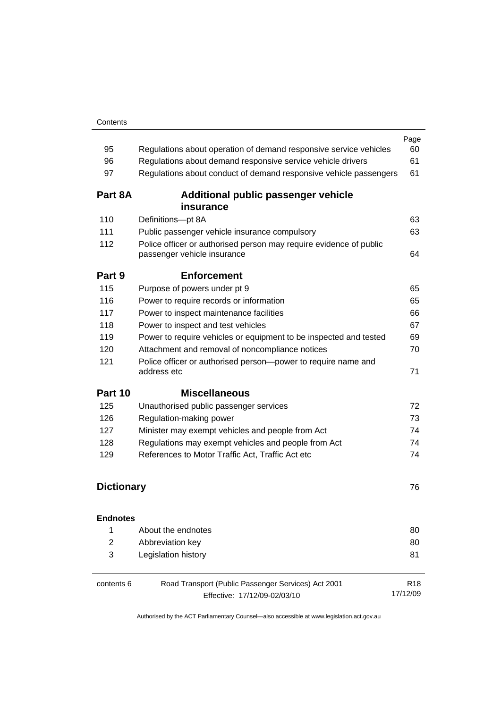| 95                | Regulations about operation of demand responsive service vehicles                                                                                  | Page<br>60                  |
|-------------------|----------------------------------------------------------------------------------------------------------------------------------------------------|-----------------------------|
| 96                | Regulations about demand responsive service vehicle drivers                                                                                        | 61                          |
| 97                | Regulations about conduct of demand responsive vehicle passengers                                                                                  | 61                          |
| Part 8A           | Additional public passenger vehicle                                                                                                                |                             |
| 110               | insurance<br>Definitions-pt 8A                                                                                                                     | 63                          |
| 111               |                                                                                                                                                    | 63                          |
| 112               | Public passenger vehicle insurance compulsory<br>Police officer or authorised person may require evidence of public<br>passenger vehicle insurance |                             |
| Part 9            | <b>Enforcement</b>                                                                                                                                 |                             |
| 115               | Purpose of powers under pt 9                                                                                                                       | 65                          |
| 116               | Power to require records or information                                                                                                            | 65                          |
| 117               | Power to inspect maintenance facilities                                                                                                            | 66                          |
| 118               | Power to inspect and test vehicles                                                                                                                 | 67                          |
| 119               | Power to require vehicles or equipment to be inspected and tested                                                                                  | 69                          |
| 120               | Attachment and removal of noncompliance notices                                                                                                    |                             |
| 121               | Police officer or authorised person-power to require name and<br>address etc                                                                       | 71                          |
| Part 10           | <b>Miscellaneous</b>                                                                                                                               |                             |
| 125               | Unauthorised public passenger services                                                                                                             | 72                          |
| 126               | Regulation-making power                                                                                                                            | 73                          |
| 127               | Minister may exempt vehicles and people from Act                                                                                                   | 74                          |
| 128               | Regulations may exempt vehicles and people from Act                                                                                                | 74                          |
| 129               | References to Motor Traffic Act, Traffic Act etc                                                                                                   |                             |
| <b>Dictionary</b> |                                                                                                                                                    | 76                          |
| <b>Endnotes</b>   |                                                                                                                                                    |                             |
| 1                 | About the endnotes                                                                                                                                 | 80                          |
| $\overline{2}$    | Abbreviation key                                                                                                                                   | 80                          |
| 3                 | Legislation history                                                                                                                                | 81                          |
| contents 6        | Road Transport (Public Passenger Services) Act 2001<br>Effective: 17/12/09-02/03/10                                                                | R <sub>18</sub><br>17/12/09 |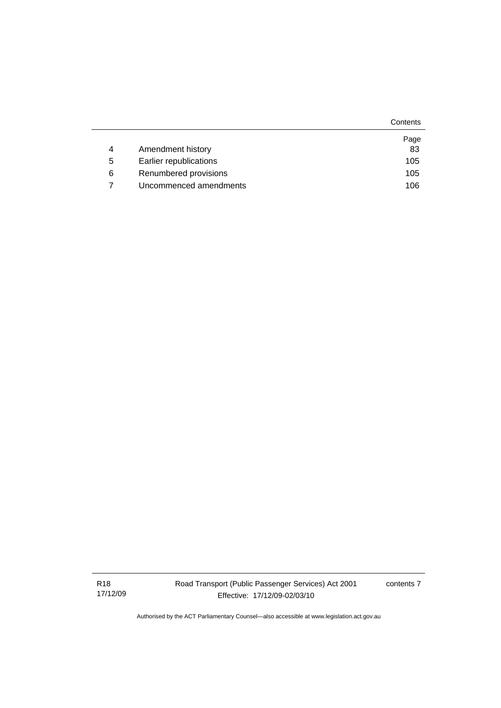|   |                        | Contents |
|---|------------------------|----------|
|   |                        | Page     |
| 4 | Amendment history      | 83       |
| 5 | Earlier republications | 105      |
| 6 | Renumbered provisions  | 105      |
|   | Uncommenced amendments | 106      |

R18 17/12/09 contents 7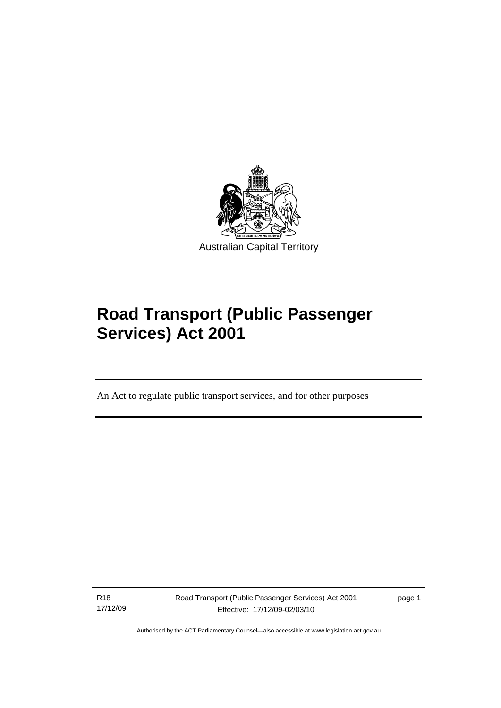<span id="page-10-0"></span>

# **Road Transport (Public Passenger Services) Act 2001**

An Act to regulate public transport services, and for other purposes

R18 17/12/09

l

Road Transport (Public Passenger Services) Act 2001 Effective: 17/12/09-02/03/10

page 1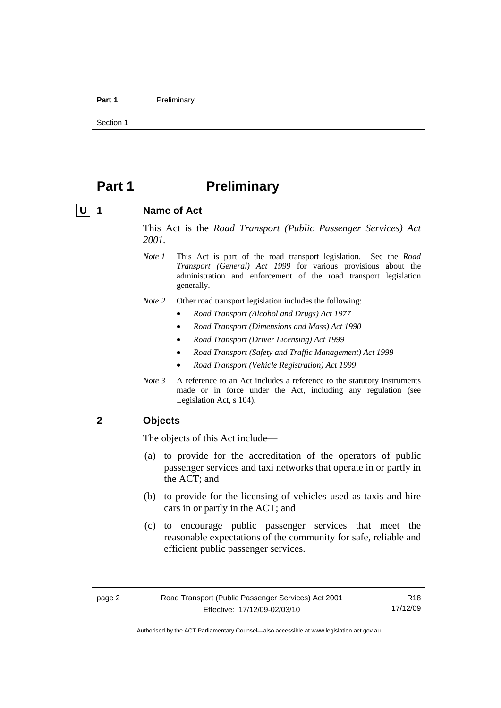#### <span id="page-11-0"></span>Part 1 **Preliminary**

Section 1

# **Part 1** Preliminary

#### U 1 Name of Act

This Act is the *Road Transport (Public Passenger Services) Act 2001.* 

- *Note 1* This Act is part of the road transport legislation. See the *Road Transport (General) Act 1999* for various provisions about the administration and enforcement of the road transport legislation generally.
- *Note 2* Other road transport legislation includes the following:
	- *Road Transport (Alcohol and Drugs) Act 1977*
	- *Road Transport (Dimensions and Mass) Act 1990*
	- *Road Transport (Driver Licensing) Act 1999*
	- *Road Transport (Safety and Traffic Management) Act 1999*
	- *Road Transport (Vehicle Registration) Act 1999*.
- *Note 3* A reference to an Act includes a reference to the statutory instruments made or in force under the Act, including any regulation (see Legislation Act, s 104).

### **2 Objects**

The objects of this Act include—

- (a) to provide for the accreditation of the operators of public passenger services and taxi networks that operate in or partly in the ACT; and
- (b) to provide for the licensing of vehicles used as taxis and hire cars in or partly in the ACT; and
- (c) to encourage public passenger services that meet the reasonable expectations of the community for safe, reliable and efficient public passenger services.

R18 17/12/09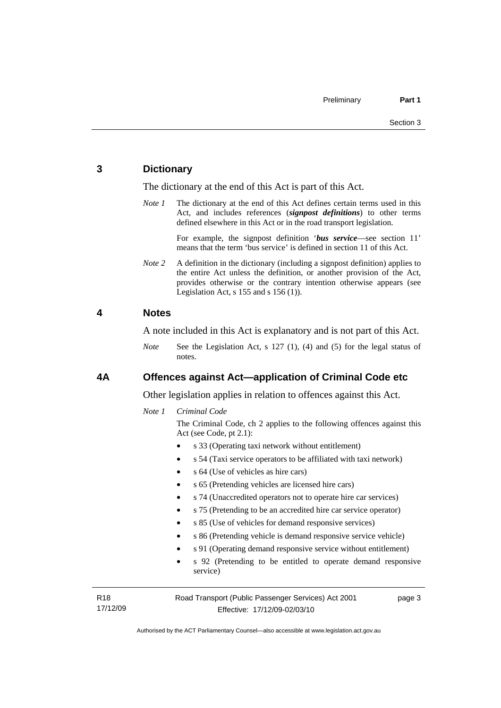#### <span id="page-12-0"></span>**3 Dictionary**

The dictionary at the end of this Act is part of this Act.

*Note 1* The dictionary at the end of this Act defines certain terms used in this Act, and includes references (*signpost definitions*) to other terms defined elsewhere in this Act or in the road transport legislation.

> For example, the signpost definition '*bus service*—see section 11' means that the term 'bus service' is defined in section 11 of this Act.

*Note* 2 A definition in the dictionary (including a signpost definition) applies to the entire Act unless the definition, or another provision of the Act, provides otherwise or the contrary intention otherwise appears (see Legislation Act, s  $155$  and s  $156(1)$ .

#### **4 Notes**

A note included in this Act is explanatory and is not part of this Act.

*Note* See the Legislation Act, s 127 (1), (4) and (5) for the legal status of notes.

#### **4A Offences against Act—application of Criminal Code etc**

Other legislation applies in relation to offences against this Act.

#### *Note 1 Criminal Code*

The Criminal Code, ch 2 applies to the following offences against this Act (see Code, pt 2.1):

- s 33 (Operating taxi network without entitlement)
- s 54 (Taxi service operators to be affiliated with taxi network)
- s 64 (Use of vehicles as hire cars)
- s 65 (Pretending vehicles are licensed hire cars)
- s 74 (Unaccredited operators not to operate hire car services)
- s 75 (Pretending to be an accredited hire car service operator)
- s 85 (Use of vehicles for demand responsive services)
- s 86 (Pretending vehicle is demand responsive service vehicle)
- s 91 (Operating demand responsive service without entitlement)
- s 92 (Pretending to be entitled to operate demand responsive service)

R18 17/12/09 Road Transport (Public Passenger Services) Act 2001 Effective: 17/12/09-02/03/10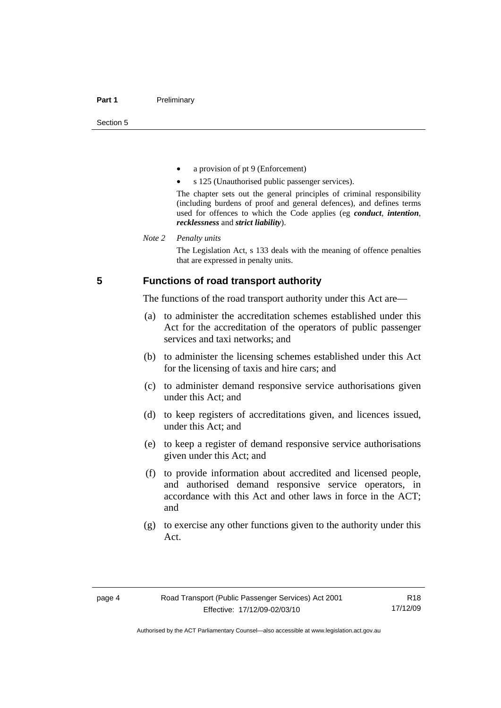- <span id="page-13-0"></span>a provision of pt 9 (Enforcement)
- s 125 (Unauthorised public passenger services).

The chapter sets out the general principles of criminal responsibility (including burdens of proof and general defences), and defines terms used for offences to which the Code applies (eg *conduct*, *intention*, *recklessness* and *strict liability*).

#### *Note 2 Penalty units*

The Legislation Act, s 133 deals with the meaning of offence penalties that are expressed in penalty units.

#### **5 Functions of road transport authority**

The functions of the road transport authority under this Act are—

- (a) to administer the accreditation schemes established under this Act for the accreditation of the operators of public passenger services and taxi networks; and
- (b) to administer the licensing schemes established under this Act for the licensing of taxis and hire cars; and
- (c) to administer demand responsive service authorisations given under this Act; and
- (d) to keep registers of accreditations given, and licences issued, under this Act; and
- (e) to keep a register of demand responsive service authorisations given under this Act; and
- (f) to provide information about accredited and licensed people, and authorised demand responsive service operators, in accordance with this Act and other laws in force in the ACT; and
- (g) to exercise any other functions given to the authority under this Act.

R18 17/12/09

Authorised by the ACT Parliamentary Counsel—also accessible at www.legislation.act.gov.au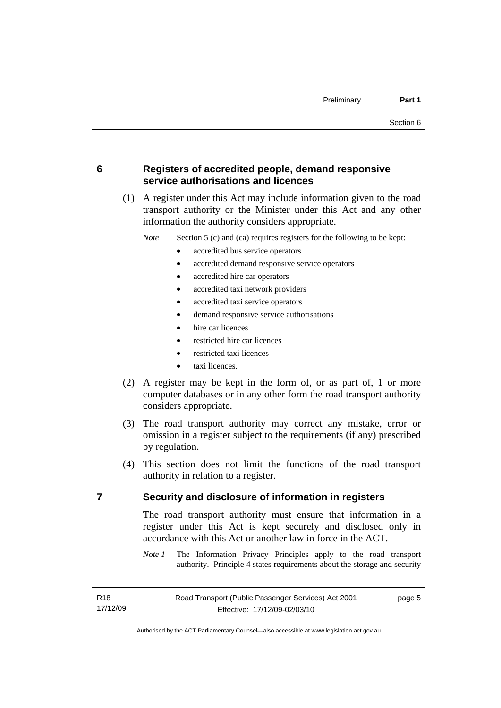<span id="page-14-0"></span>**6 Registers of accredited people, demand responsive service authorisations and licences** 

 (1) A register under this Act may include information given to the road transport authority or the Minister under this Act and any other information the authority considers appropriate.

*Note* Section 5 (c) and (ca) requires registers for the following to be kept:

- accredited bus service operators
- accredited demand responsive service operators
- accredited hire car operators
- accredited taxi network providers
- accredited taxi service operators
- demand responsive service authorisations
- hire car licences
- restricted hire car licences
- restricted taxi licences
- taxi licences.
- (2) A register may be kept in the form of, or as part of, 1 or more computer databases or in any other form the road transport authority considers appropriate.
- (3) The road transport authority may correct any mistake, error or omission in a register subject to the requirements (if any) prescribed by regulation.
- (4) This section does not limit the functions of the road transport authority in relation to a register.

#### **7 Security and disclosure of information in registers**

The road transport authority must ensure that information in a register under this Act is kept securely and disclosed only in accordance with this Act or another law in force in the ACT.

*Note 1* The Information Privacy Principles apply to the road transport authority. Principle 4 states requirements about the storage and security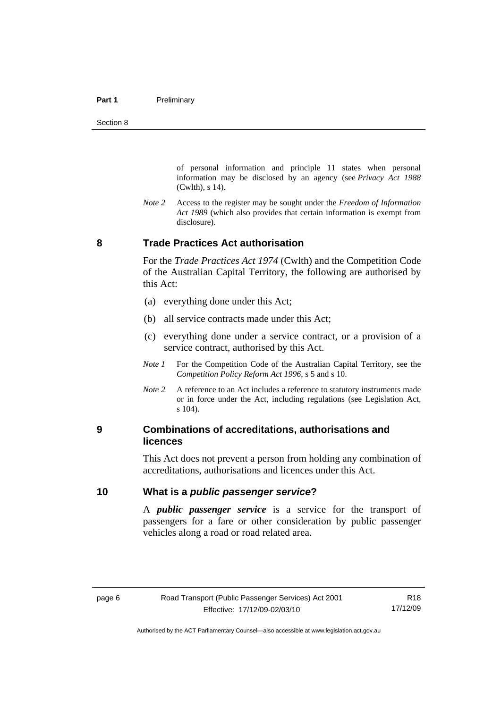<span id="page-15-0"></span>of personal information and principle 11 states when personal information may be disclosed by an agency (see *Privacy Act 1988* (Cwlth), s 14).

*Note 2* Access to the register may be sought under the *Freedom of Information Act 1989* (which also provides that certain information is exempt from disclosure).

#### **8 Trade Practices Act authorisation**

For the *Trade Practices Act 1974* (Cwlth) and the Competition Code of the Australian Capital Territory, the following are authorised by this Act:

- (a) everything done under this Act;
- (b) all service contracts made under this Act;
- (c) everything done under a service contract, or a provision of a service contract, authorised by this Act.
- *Note 1* For the Competition Code of the Australian Capital Territory, see the *Competition Policy Reform Act 1996*, s 5 and s 10.
- *Note 2* A reference to an Act includes a reference to statutory instruments made or in force under the Act, including regulations (see Legislation Act, s 104).

### **9 Combinations of accreditations, authorisations and licences**

This Act does not prevent a person from holding any combination of accreditations, authorisations and licences under this Act.

### **10 What is a** *public passenger service***?**

A *public passenger service* is a service for the transport of passengers for a fare or other consideration by public passenger vehicles along a road or road related area.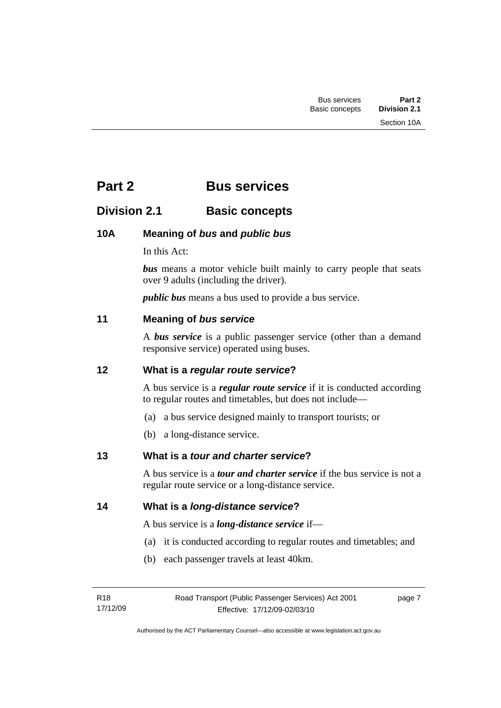# <span id="page-16-0"></span>**Part 2 Bus services**

## **Division 2.1 Basic concepts**

## **10A Meaning of** *bus* **and** *public bus*

In this Act:

*bus* means a motor vehicle built mainly to carry people that seats over 9 adults (including the driver).

*public bus* means a bus used to provide a bus service.

#### **11 Meaning of** *bus service*

A *bus service* is a public passenger service (other than a demand responsive service) operated using buses.

#### **12 What is a** *regular route service***?**

A bus service is a *regular route service* if it is conducted according to regular routes and timetables, but does not include—

- (a) a bus service designed mainly to transport tourists; or
- (b) a long-distance service.

#### **13 What is a** *tour and charter service***?**

A bus service is a *tour and charter service* if the bus service is not a regular route service or a long-distance service.

### **14 What is a** *long-distance service***?**

A bus service is a *long-distance service* if—

- (a) it is conducted according to regular routes and timetables; and
- (b) each passenger travels at least 40km.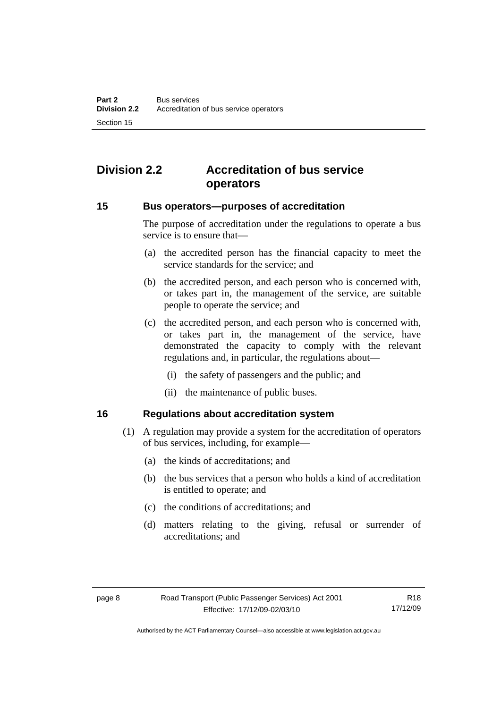# <span id="page-17-0"></span>**Division 2.2 Accreditation of bus service operators**

#### **15 Bus operators—purposes of accreditation**

The purpose of accreditation under the regulations to operate a bus service is to ensure that—

- (a) the accredited person has the financial capacity to meet the service standards for the service; and
- (b) the accredited person, and each person who is concerned with, or takes part in, the management of the service, are suitable people to operate the service; and
- (c) the accredited person, and each person who is concerned with, or takes part in, the management of the service, have demonstrated the capacity to comply with the relevant regulations and, in particular, the regulations about—
	- (i) the safety of passengers and the public; and
	- (ii) the maintenance of public buses.

### **16 Regulations about accreditation system**

- (1) A regulation may provide a system for the accreditation of operators of bus services, including, for example—
	- (a) the kinds of accreditations; and
	- (b) the bus services that a person who holds a kind of accreditation is entitled to operate; and
	- (c) the conditions of accreditations; and
	- (d) matters relating to the giving, refusal or surrender of accreditations; and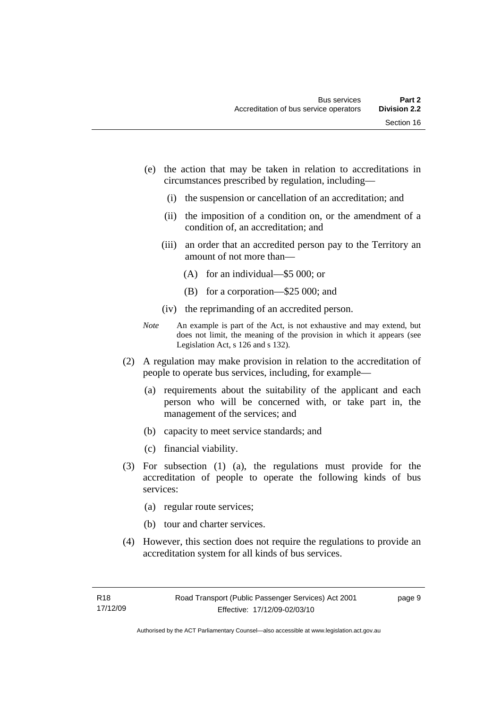- (e) the action that may be taken in relation to accreditations in circumstances prescribed by regulation, including—
	- (i) the suspension or cancellation of an accreditation; and
	- (ii) the imposition of a condition on, or the amendment of a condition of, an accreditation; and
	- (iii) an order that an accredited person pay to the Territory an amount of not more than—
		- (A) for an individual—\$5 000; or
		- (B) for a corporation—\$25 000; and
	- (iv) the reprimanding of an accredited person.
- *Note* An example is part of the Act, is not exhaustive and may extend, but does not limit, the meaning of the provision in which it appears (see Legislation Act, s 126 and s 132).
- (2) A regulation may make provision in relation to the accreditation of people to operate bus services, including, for example—
	- (a) requirements about the suitability of the applicant and each person who will be concerned with, or take part in, the management of the services; and
	- (b) capacity to meet service standards; and
	- (c) financial viability.
- (3) For subsection (1) (a), the regulations must provide for the accreditation of people to operate the following kinds of bus services:
	- (a) regular route services;
	- (b) tour and charter services.
- (4) However, this section does not require the regulations to provide an accreditation system for all kinds of bus services.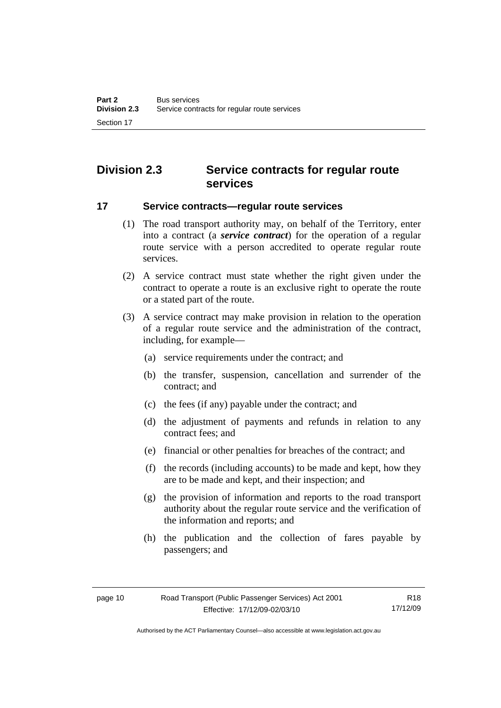# <span id="page-19-0"></span>**Division 2.3 Service contracts for regular route services**

#### **17 Service contracts—regular route services**

- (1) The road transport authority may, on behalf of the Territory, enter into a contract (a *service contract*) for the operation of a regular route service with a person accredited to operate regular route services.
- (2) A service contract must state whether the right given under the contract to operate a route is an exclusive right to operate the route or a stated part of the route.
- (3) A service contract may make provision in relation to the operation of a regular route service and the administration of the contract, including, for example—
	- (a) service requirements under the contract; and
	- (b) the transfer, suspension, cancellation and surrender of the contract; and
	- (c) the fees (if any) payable under the contract; and
	- (d) the adjustment of payments and refunds in relation to any contract fees; and
	- (e) financial or other penalties for breaches of the contract; and
	- (f) the records (including accounts) to be made and kept, how they are to be made and kept, and their inspection; and
	- (g) the provision of information and reports to the road transport authority about the regular route service and the verification of the information and reports; and
	- (h) the publication and the collection of fares payable by passengers; and

Authorised by the ACT Parliamentary Counsel—also accessible at www.legislation.act.gov.au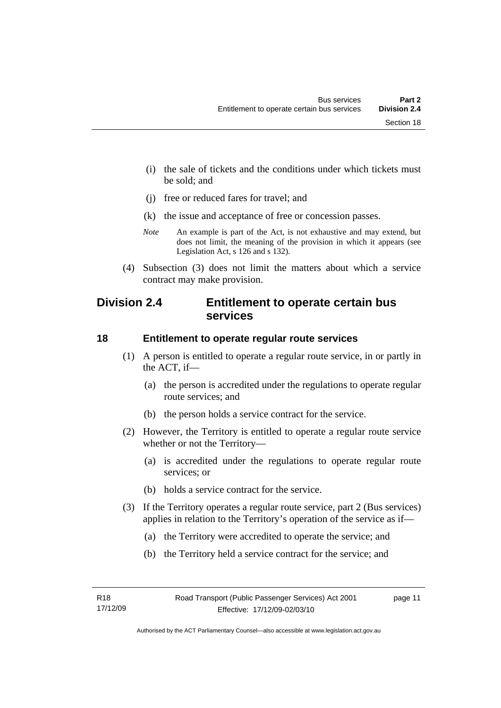<span id="page-20-0"></span> (i) the sale of tickets and the conditions under which tickets must be sold; and

- (j) free or reduced fares for travel; and
- (k) the issue and acceptance of free or concession passes.
- *Note* An example is part of the Act, is not exhaustive and may extend, but does not limit, the meaning of the provision in which it appears (see Legislation Act, s 126 and s 132).
- (4) Subsection (3) does not limit the matters about which a service contract may make provision.

## **Division 2.4 Entitlement to operate certain bus services**

#### **18 Entitlement to operate regular route services**

- (1) A person is entitled to operate a regular route service, in or partly in the ACT, if—
	- (a) the person is accredited under the regulations to operate regular route services; and
	- (b) the person holds a service contract for the service.
- (2) However, the Territory is entitled to operate a regular route service whether or not the Territory—
	- (a) is accredited under the regulations to operate regular route services; or
	- (b) holds a service contract for the service.
- (3) If the Territory operates a regular route service, part 2 (Bus services) applies in relation to the Territory's operation of the service as if—
	- (a) the Territory were accredited to operate the service; and
	- (b) the Territory held a service contract for the service; and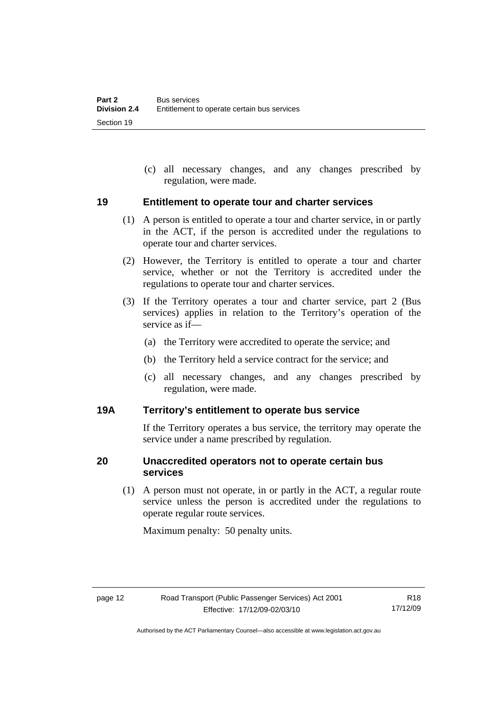<span id="page-21-0"></span> (c) all necessary changes, and any changes prescribed by regulation, were made.

#### **19 Entitlement to operate tour and charter services**

- (1) A person is entitled to operate a tour and charter service, in or partly in the ACT, if the person is accredited under the regulations to operate tour and charter services.
- (2) However, the Territory is entitled to operate a tour and charter service, whether or not the Territory is accredited under the regulations to operate tour and charter services.
- (3) If the Territory operates a tour and charter service, part 2 (Bus services) applies in relation to the Territory's operation of the service as if—
	- (a) the Territory were accredited to operate the service; and
	- (b) the Territory held a service contract for the service; and
	- (c) all necessary changes, and any changes prescribed by regulation, were made.

#### **19A Territory's entitlement to operate bus service**

If the Territory operates a bus service, the territory may operate the service under a name prescribed by regulation.

### **20 Unaccredited operators not to operate certain bus services**

 (1) A person must not operate, in or partly in the ACT, a regular route service unless the person is accredited under the regulations to operate regular route services.

Maximum penalty: 50 penalty units.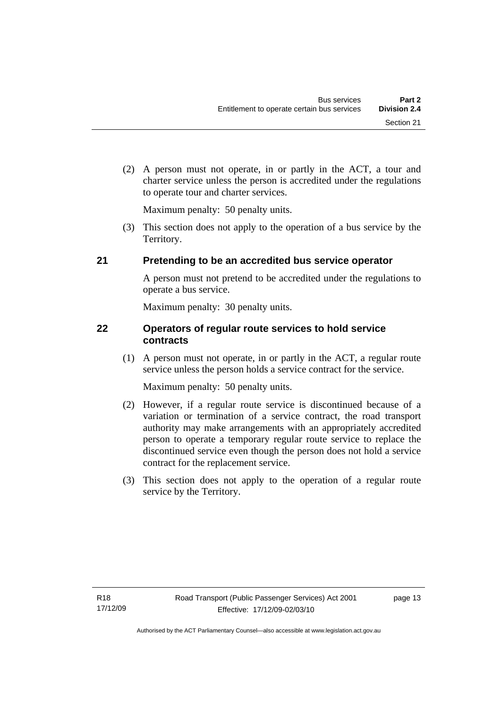<span id="page-22-0"></span> (2) A person must not operate, in or partly in the ACT, a tour and charter service unless the person is accredited under the regulations to operate tour and charter services.

Maximum penalty: 50 penalty units.

 (3) This section does not apply to the operation of a bus service by the Territory.

## **21 Pretending to be an accredited bus service operator**

A person must not pretend to be accredited under the regulations to operate a bus service.

Maximum penalty: 30 penalty units.

## **22 Operators of regular route services to hold service contracts**

 (1) A person must not operate, in or partly in the ACT, a regular route service unless the person holds a service contract for the service.

Maximum penalty: 50 penalty units.

- (2) However, if a regular route service is discontinued because of a variation or termination of a service contract, the road transport authority may make arrangements with an appropriately accredited person to operate a temporary regular route service to replace the discontinued service even though the person does not hold a service contract for the replacement service.
- (3) This section does not apply to the operation of a regular route service by the Territory.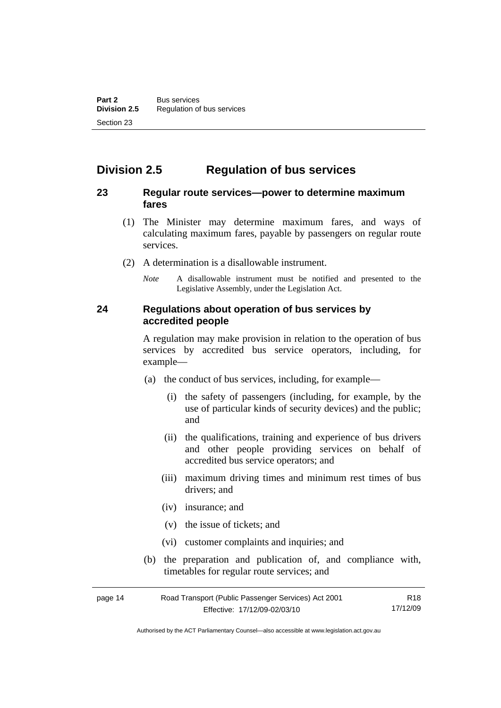# <span id="page-23-0"></span>**Division 2.5 Regulation of bus services**

### **23 Regular route services—power to determine maximum fares**

- (1) The Minister may determine maximum fares, and ways of calculating maximum fares, payable by passengers on regular route services.
- (2) A determination is a disallowable instrument.
	- *Note* A disallowable instrument must be notified and presented to the Legislative Assembly, under the Legislation Act.

### **24 Regulations about operation of bus services by accredited people**

A regulation may make provision in relation to the operation of bus services by accredited bus service operators, including, for example—

- (a) the conduct of bus services, including, for example—
	- (i) the safety of passengers (including, for example, by the use of particular kinds of security devices) and the public; and
	- (ii) the qualifications, training and experience of bus drivers and other people providing services on behalf of accredited bus service operators; and
	- (iii) maximum driving times and minimum rest times of bus drivers; and
	- (iv) insurance; and
	- (v) the issue of tickets; and
	- (vi) customer complaints and inquiries; and
- (b) the preparation and publication of, and compliance with, timetables for regular route services; and

| page 14 | Road Transport (Public Passenger Services) Act 2001 | R18      |
|---------|-----------------------------------------------------|----------|
|         | Effective: 17/12/09-02/03/10                        | 17/12/09 |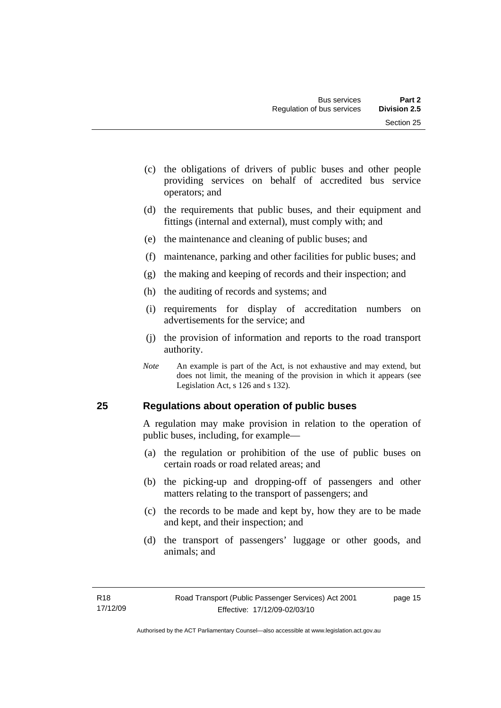- <span id="page-24-0"></span> (c) the obligations of drivers of public buses and other people providing services on behalf of accredited bus service operators; and
- (d) the requirements that public buses, and their equipment and fittings (internal and external), must comply with; and
- (e) the maintenance and cleaning of public buses; and
- (f) maintenance, parking and other facilities for public buses; and
- (g) the making and keeping of records and their inspection; and
- (h) the auditing of records and systems; and
- (i) requirements for display of accreditation numbers on advertisements for the service; and
- (j) the provision of information and reports to the road transport authority.
- *Note* An example is part of the Act, is not exhaustive and may extend, but does not limit, the meaning of the provision in which it appears (see Legislation Act, s 126 and s 132).

#### **25 Regulations about operation of public buses**

A regulation may make provision in relation to the operation of public buses, including, for example—

- (a) the regulation or prohibition of the use of public buses on certain roads or road related areas; and
- (b) the picking-up and dropping-off of passengers and other matters relating to the transport of passengers; and
- (c) the records to be made and kept by, how they are to be made and kept, and their inspection; and
- (d) the transport of passengers' luggage or other goods, and animals; and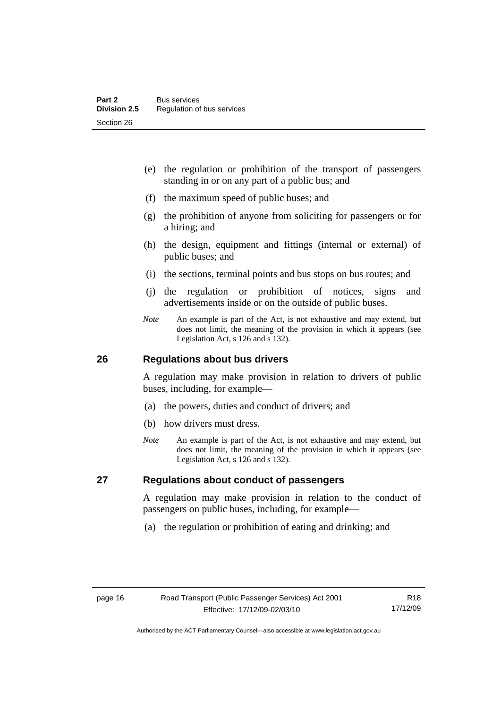- <span id="page-25-0"></span> (e) the regulation or prohibition of the transport of passengers standing in or on any part of a public bus; and
- (f) the maximum speed of public buses; and
- (g) the prohibition of anyone from soliciting for passengers or for a hiring; and
- (h) the design, equipment and fittings (internal or external) of public buses; and
- (i) the sections, terminal points and bus stops on bus routes; and
- (j) the regulation or prohibition of notices, signs and advertisements inside or on the outside of public buses.
- *Note* An example is part of the Act, is not exhaustive and may extend, but does not limit, the meaning of the provision in which it appears (see Legislation Act, s 126 and s 132).

#### **26 Regulations about bus drivers**

A regulation may make provision in relation to drivers of public buses, including, for example—

- (a) the powers, duties and conduct of drivers; and
- (b) how drivers must dress.
- *Note* An example is part of the Act, is not exhaustive and may extend, but does not limit, the meaning of the provision in which it appears (see Legislation Act, s 126 and s 132).

#### **27 Regulations about conduct of passengers**

A regulation may make provision in relation to the conduct of passengers on public buses, including, for example—

(a) the regulation or prohibition of eating and drinking; and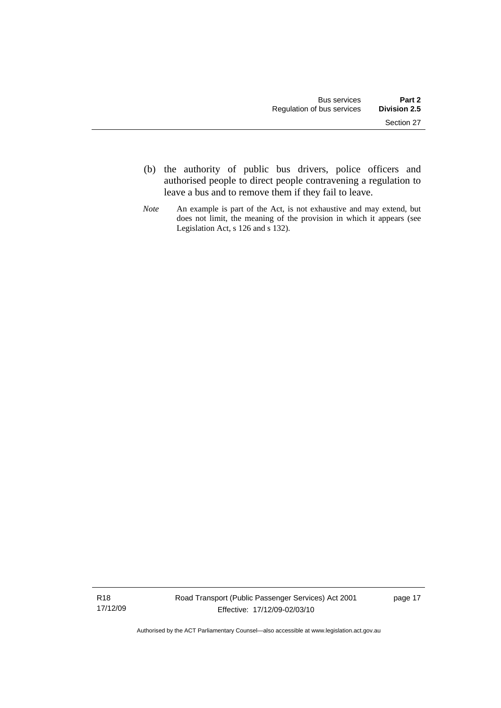- (b) the authority of public bus drivers, police officers and authorised people to direct people contravening a regulation to leave a bus and to remove them if they fail to leave.
- *Note* An example is part of the Act, is not exhaustive and may extend, but does not limit, the meaning of the provision in which it appears (see Legislation Act, s 126 and s 132).

R18 17/12/09 Road Transport (Public Passenger Services) Act 2001 Effective: 17/12/09-02/03/10

page 17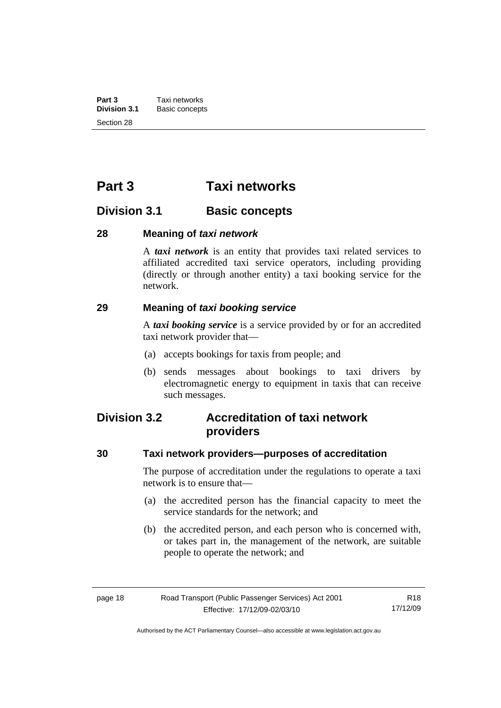<span id="page-27-0"></span>**Part 3 Taxi networks**<br>**Division 3.1 Basic concept Division 3.1** Basic concepts Section 28

# **Part 3 Taxi networks**

## **Division 3.1 Basic concepts**

#### **28 Meaning of** *taxi network*

A *taxi network* is an entity that provides taxi related services to affiliated accredited taxi service operators, including providing (directly or through another entity) a taxi booking service for the network.

#### **29 Meaning of** *taxi booking service*

A *taxi booking service* is a service provided by or for an accredited taxi network provider that—

- (a) accepts bookings for taxis from people; and
- (b) sends messages about bookings to taxi drivers by electromagnetic energy to equipment in taxis that can receive such messages.

## **Division 3.2 Accreditation of taxi network providers**

#### **30 Taxi network providers—purposes of accreditation**

The purpose of accreditation under the regulations to operate a taxi network is to ensure that—

- (a) the accredited person has the financial capacity to meet the service standards for the network; and
- (b) the accredited person, and each person who is concerned with, or takes part in, the management of the network, are suitable people to operate the network; and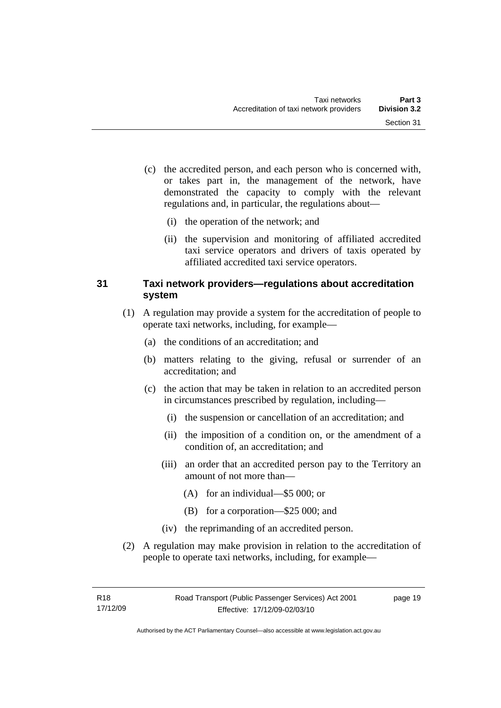- <span id="page-28-0"></span> (c) the accredited person, and each person who is concerned with, or takes part in, the management of the network, have demonstrated the capacity to comply with the relevant regulations and, in particular, the regulations about—
	- (i) the operation of the network; and
	- (ii) the supervision and monitoring of affiliated accredited taxi service operators and drivers of taxis operated by affiliated accredited taxi service operators.

## **31 Taxi network providers—regulations about accreditation system**

- (1) A regulation may provide a system for the accreditation of people to operate taxi networks, including, for example—
	- (a) the conditions of an accreditation; and
	- (b) matters relating to the giving, refusal or surrender of an accreditation; and
	- (c) the action that may be taken in relation to an accredited person in circumstances prescribed by regulation, including—
		- (i) the suspension or cancellation of an accreditation; and
		- (ii) the imposition of a condition on, or the amendment of a condition of, an accreditation; and
		- (iii) an order that an accredited person pay to the Territory an amount of not more than—
			- (A) for an individual—\$5 000; or
			- (B) for a corporation—\$25 000; and
		- (iv) the reprimanding of an accredited person.
- (2) A regulation may make provision in relation to the accreditation of people to operate taxi networks, including, for example—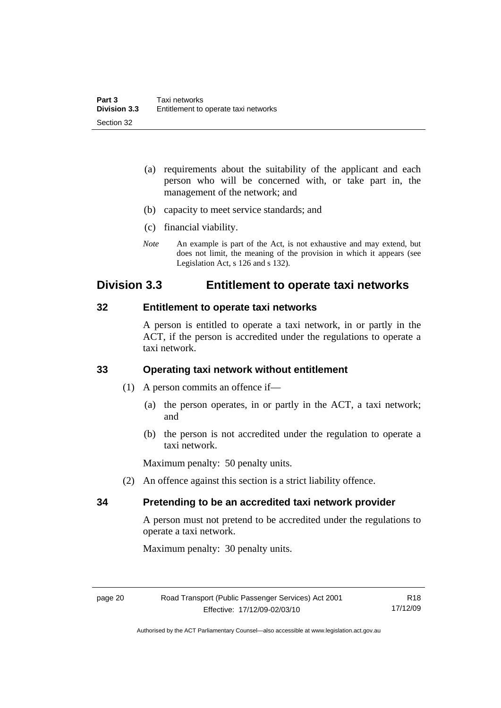- <span id="page-29-0"></span> (a) requirements about the suitability of the applicant and each person who will be concerned with, or take part in, the management of the network; and
- (b) capacity to meet service standards; and
- (c) financial viability.
- *Note* An example is part of the Act, is not exhaustive and may extend, but does not limit, the meaning of the provision in which it appears (see Legislation Act, s 126 and s 132).

## **Division 3.3 Entitlement to operate taxi networks**

#### **32 Entitlement to operate taxi networks**

A person is entitled to operate a taxi network, in or partly in the ACT, if the person is accredited under the regulations to operate a taxi network.

#### **33 Operating taxi network without entitlement**

(1) A person commits an offence if—

- (a) the person operates, in or partly in the ACT, a taxi network; and
- (b) the person is not accredited under the regulation to operate a taxi network.

Maximum penalty: 50 penalty units.

(2) An offence against this section is a strict liability offence.

## **34 Pretending to be an accredited taxi network provider**

A person must not pretend to be accredited under the regulations to operate a taxi network.

Maximum penalty: 30 penalty units.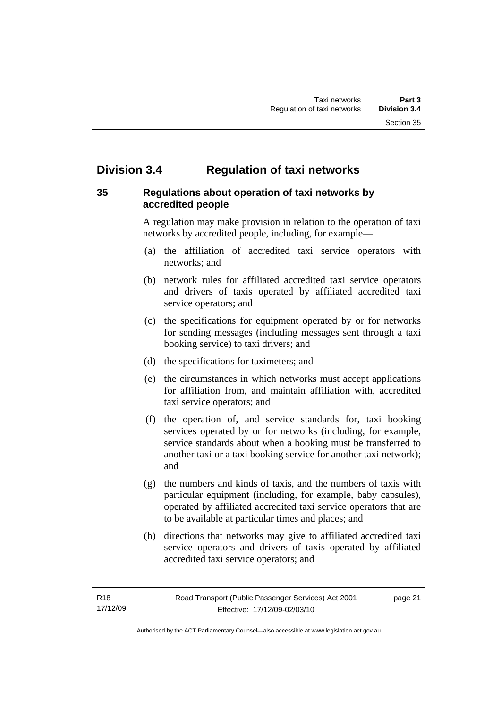# <span id="page-30-0"></span>**Division 3.4 Regulation of taxi networks**

## **35 Regulations about operation of taxi networks by accredited people**

A regulation may make provision in relation to the operation of taxi networks by accredited people, including, for example—

- (a) the affiliation of accredited taxi service operators with networks; and
- (b) network rules for affiliated accredited taxi service operators and drivers of taxis operated by affiliated accredited taxi service operators; and
- (c) the specifications for equipment operated by or for networks for sending messages (including messages sent through a taxi booking service) to taxi drivers; and
- (d) the specifications for taximeters; and
- (e) the circumstances in which networks must accept applications for affiliation from, and maintain affiliation with, accredited taxi service operators; and
- (f) the operation of, and service standards for, taxi booking services operated by or for networks (including, for example, service standards about when a booking must be transferred to another taxi or a taxi booking service for another taxi network); and
- (g) the numbers and kinds of taxis, and the numbers of taxis with particular equipment (including, for example, baby capsules), operated by affiliated accredited taxi service operators that are to be available at particular times and places; and
- (h) directions that networks may give to affiliated accredited taxi service operators and drivers of taxis operated by affiliated accredited taxi service operators; and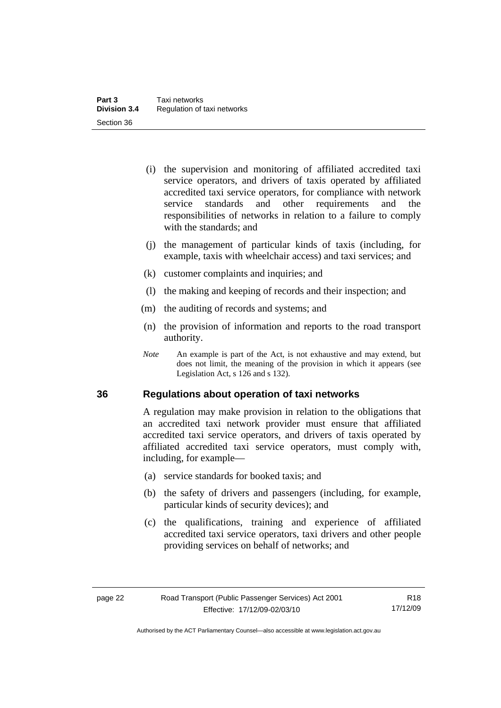- <span id="page-31-0"></span> (i) the supervision and monitoring of affiliated accredited taxi service operators, and drivers of taxis operated by affiliated accredited taxi service operators, for compliance with network service standards and other requirements and the responsibilities of networks in relation to a failure to comply with the standards: and
- (j) the management of particular kinds of taxis (including, for example, taxis with wheelchair access) and taxi services; and
- (k) customer complaints and inquiries; and
- (l) the making and keeping of records and their inspection; and
- (m) the auditing of records and systems; and
- (n) the provision of information and reports to the road transport authority.
- *Note* An example is part of the Act, is not exhaustive and may extend, but does not limit, the meaning of the provision in which it appears (see Legislation Act, s 126 and s 132).

#### **36 Regulations about operation of taxi networks**

A regulation may make provision in relation to the obligations that an accredited taxi network provider must ensure that affiliated accredited taxi service operators, and drivers of taxis operated by affiliated accredited taxi service operators, must comply with, including, for example—

- (a) service standards for booked taxis; and
- (b) the safety of drivers and passengers (including, for example, particular kinds of security devices); and
- (c) the qualifications, training and experience of affiliated accredited taxi service operators, taxi drivers and other people providing services on behalf of networks; and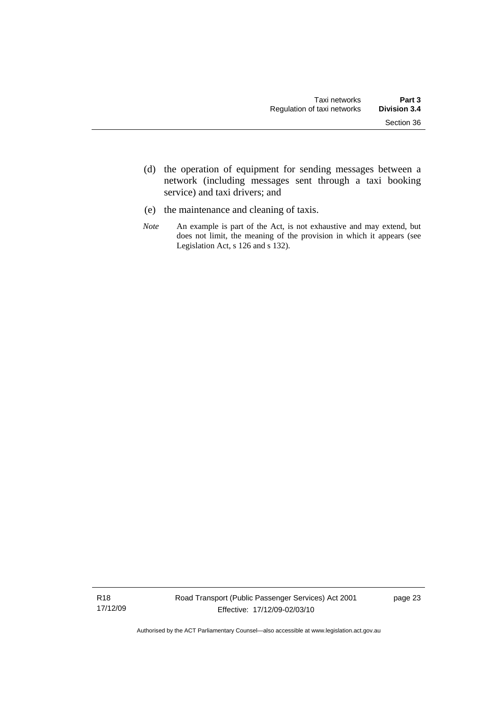- (d) the operation of equipment for sending messages between a network (including messages sent through a taxi booking service) and taxi drivers; and
- (e) the maintenance and cleaning of taxis.
- *Note* An example is part of the Act, is not exhaustive and may extend, but does not limit, the meaning of the provision in which it appears (see Legislation Act, s 126 and s 132).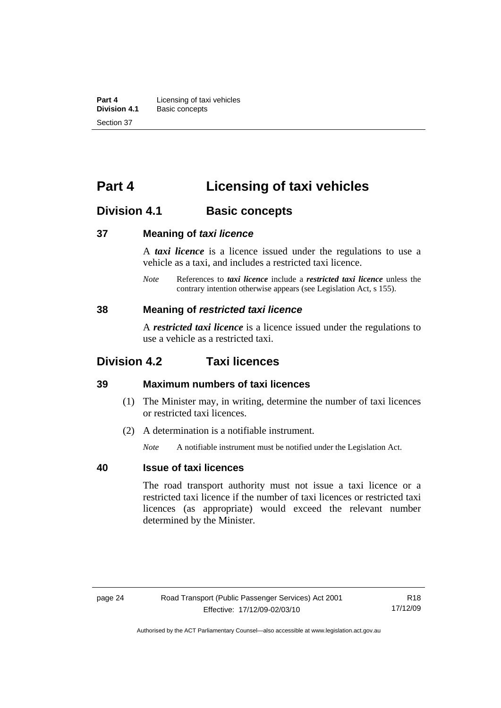<span id="page-33-0"></span>**Part 4 Licensing of taxi vehicles**<br>**Division 4.1 Basic concepts Division 4.1** Basic concepts Section 37

# **Part 4 Licensing of taxi vehicles**

## **Division 4.1 Basic concepts**

#### **37 Meaning of** *taxi licence*

A *taxi licence* is a licence issued under the regulations to use a vehicle as a taxi, and includes a restricted taxi licence.

*Note* References to *taxi licence* include a *restricted taxi licence* unless the contrary intention otherwise appears (see Legislation Act, s 155).

#### **38 Meaning of** *restricted taxi licence*

A *restricted taxi licence* is a licence issued under the regulations to use a vehicle as a restricted taxi.

## **Division 4.2 Taxi licences**

## **39 Maximum numbers of taxi licences**

- (1) The Minister may, in writing, determine the number of taxi licences or restricted taxi licences.
- (2) A determination is a notifiable instrument.

*Note* A notifiable instrument must be notified under the Legislation Act.

## **40 Issue of taxi licences**

The road transport authority must not issue a taxi licence or a restricted taxi licence if the number of taxi licences or restricted taxi licences (as appropriate) would exceed the relevant number determined by the Minister.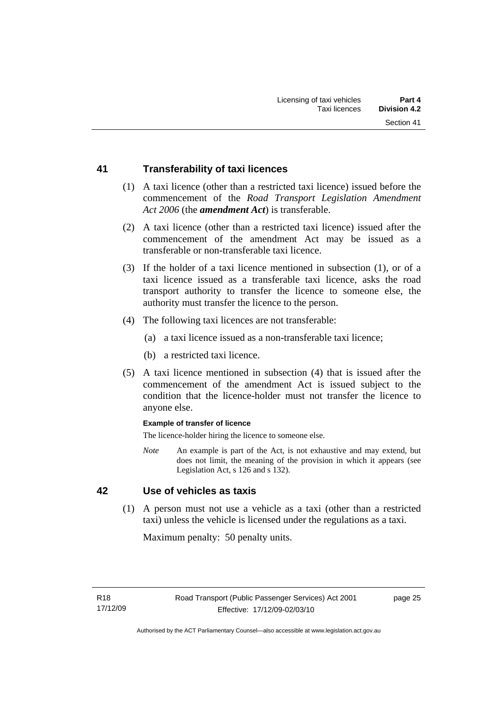### <span id="page-34-0"></span>**41 Transferability of taxi licences**

- (1) A taxi licence (other than a restricted taxi licence) issued before the commencement of the *Road Transport Legislation Amendment Act 2006* (the *amendment Act*) is transferable.
- (2) A taxi licence (other than a restricted taxi licence) issued after the commencement of the amendment Act may be issued as a transferable or non-transferable taxi licence.
- (3) If the holder of a taxi licence mentioned in subsection (1), or of a taxi licence issued as a transferable taxi licence, asks the road transport authority to transfer the licence to someone else, the authority must transfer the licence to the person.
- (4) The following taxi licences are not transferable:
	- (a) a taxi licence issued as a non-transferable taxi licence;
	- (b) a restricted taxi licence.
- (5) A taxi licence mentioned in subsection (4) that is issued after the commencement of the amendment Act is issued subject to the condition that the licence-holder must not transfer the licence to anyone else.

#### **Example of transfer of licence**

The licence-holder hiring the licence to someone else.

*Note* An example is part of the Act, is not exhaustive and may extend, but does not limit, the meaning of the provision in which it appears (see Legislation Act, s 126 and s 132).

## **42 Use of vehicles as taxis**

 (1) A person must not use a vehicle as a taxi (other than a restricted taxi) unless the vehicle is licensed under the regulations as a taxi.

Maximum penalty: 50 penalty units.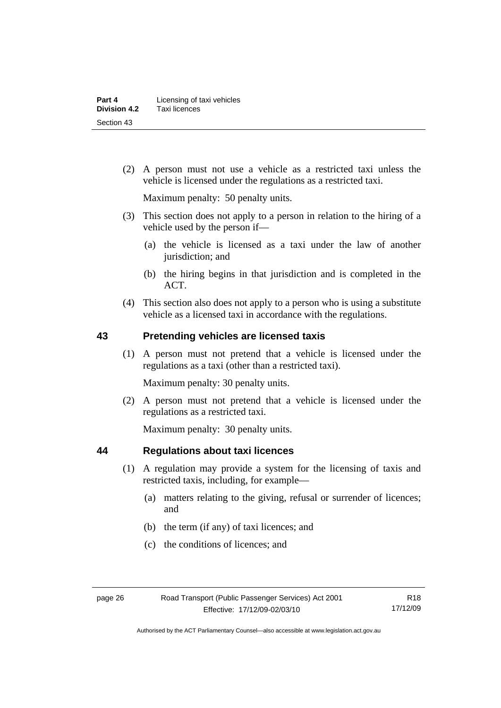<span id="page-35-0"></span> (2) A person must not use a vehicle as a restricted taxi unless the vehicle is licensed under the regulations as a restricted taxi.

Maximum penalty: 50 penalty units.

- (3) This section does not apply to a person in relation to the hiring of a vehicle used by the person if—
	- (a) the vehicle is licensed as a taxi under the law of another jurisdiction; and
	- (b) the hiring begins in that jurisdiction and is completed in the ACT.
- (4) This section also does not apply to a person who is using a substitute vehicle as a licensed taxi in accordance with the regulations.

## **43 Pretending vehicles are licensed taxis**

 (1) A person must not pretend that a vehicle is licensed under the regulations as a taxi (other than a restricted taxi).

Maximum penalty: 30 penalty units.

 (2) A person must not pretend that a vehicle is licensed under the regulations as a restricted taxi.

Maximum penalty: 30 penalty units.

#### **44 Regulations about taxi licences**

- (1) A regulation may provide a system for the licensing of taxis and restricted taxis, including, for example—
	- (a) matters relating to the giving, refusal or surrender of licences; and
	- (b) the term (if any) of taxi licences; and
	- (c) the conditions of licences; and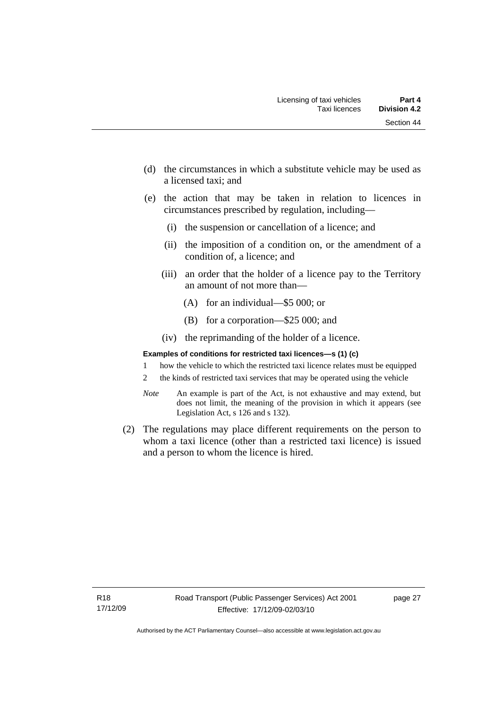- (d) the circumstances in which a substitute vehicle may be used as a licensed taxi; and
- (e) the action that may be taken in relation to licences in circumstances prescribed by regulation, including—
	- (i) the suspension or cancellation of a licence; and
	- (ii) the imposition of a condition on, or the amendment of a condition of, a licence; and
	- (iii) an order that the holder of a licence pay to the Territory an amount of not more than—
		- (A) for an individual—\$5 000; or
		- (B) for a corporation—\$25 000; and
	- (iv) the reprimanding of the holder of a licence.

#### **Examples of conditions for restricted taxi licences—s (1) (c)**

- 1 how the vehicle to which the restricted taxi licence relates must be equipped
- 2 the kinds of restricted taxi services that may be operated using the vehicle
- *Note* An example is part of the Act, is not exhaustive and may extend, but does not limit, the meaning of the provision in which it appears (see Legislation Act, s 126 and s 132).
- (2) The regulations may place different requirements on the person to whom a taxi licence (other than a restricted taxi licence) is issued and a person to whom the licence is hired.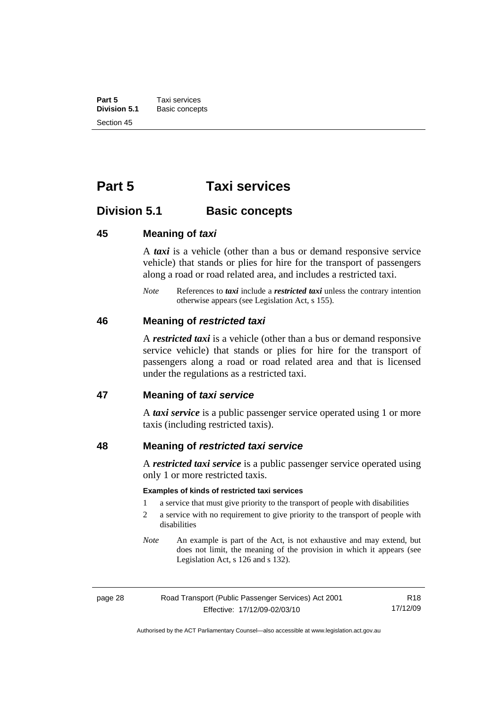**Part 5 Taxi services**<br>**Division 5.1 Basic concep Division 5.1** Basic concepts Section 45

# **Part 5 Taxi services**

# **Division 5.1 Basic concepts**

#### **45 Meaning of** *taxi*

A *taxi* is a vehicle (other than a bus or demand responsive service vehicle) that stands or plies for hire for the transport of passengers along a road or road related area, and includes a restricted taxi.

*Note* References to *taxi* include a *restricted taxi* unless the contrary intention otherwise appears (see Legislation Act, s 155).

#### **46 Meaning of** *restricted taxi*

A *restricted taxi* is a vehicle (other than a bus or demand responsive service vehicle) that stands or plies for hire for the transport of passengers along a road or road related area and that is licensed under the regulations as a restricted taxi.

#### **47 Meaning of** *taxi service*

A *taxi service* is a public passenger service operated using 1 or more taxis (including restricted taxis).

### **48 Meaning of** *restricted taxi service*

A *restricted taxi service* is a public passenger service operated using only 1 or more restricted taxis.

#### **Examples of kinds of restricted taxi services**

- 1 a service that must give priority to the transport of people with disabilities
- 2 a service with no requirement to give priority to the transport of people with disabilities
- *Note* An example is part of the Act, is not exhaustive and may extend, but does not limit, the meaning of the provision in which it appears (see Legislation Act, s 126 and s 132).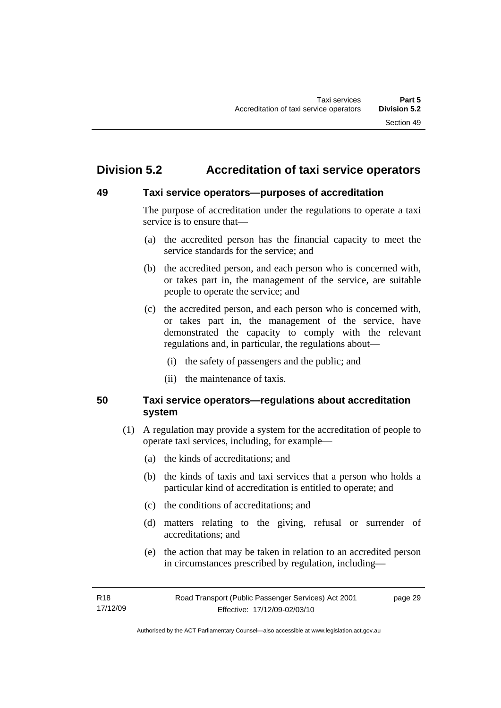# **Division 5.2 Accreditation of taxi service operators**

#### **49 Taxi service operators—purposes of accreditation**

The purpose of accreditation under the regulations to operate a taxi service is to ensure that—

- (a) the accredited person has the financial capacity to meet the service standards for the service; and
- (b) the accredited person, and each person who is concerned with, or takes part in, the management of the service, are suitable people to operate the service; and
- (c) the accredited person, and each person who is concerned with, or takes part in, the management of the service, have demonstrated the capacity to comply with the relevant regulations and, in particular, the regulations about—
	- (i) the safety of passengers and the public; and
	- (ii) the maintenance of taxis.

# **50 Taxi service operators—regulations about accreditation system**

- (1) A regulation may provide a system for the accreditation of people to operate taxi services, including, for example—
	- (a) the kinds of accreditations; and
	- (b) the kinds of taxis and taxi services that a person who holds a particular kind of accreditation is entitled to operate; and
	- (c) the conditions of accreditations; and
	- (d) matters relating to the giving, refusal or surrender of accreditations; and
	- (e) the action that may be taken in relation to an accredited person in circumstances prescribed by regulation, including—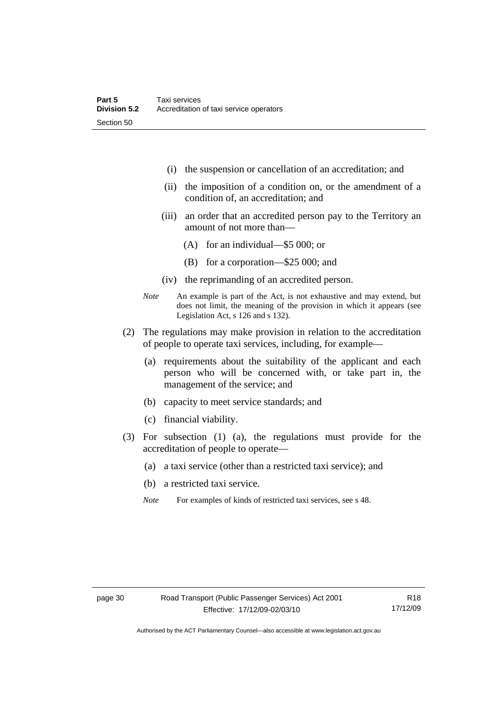- (i) the suspension or cancellation of an accreditation; and
- (ii) the imposition of a condition on, or the amendment of a condition of, an accreditation; and
- (iii) an order that an accredited person pay to the Territory an amount of not more than—
	- (A) for an individual—\$5 000; or
	- (B) for a corporation—\$25 000; and
- (iv) the reprimanding of an accredited person.
- *Note* An example is part of the Act, is not exhaustive and may extend, but does not limit, the meaning of the provision in which it appears (see Legislation Act, s 126 and s 132).
- (2) The regulations may make provision in relation to the accreditation of people to operate taxi services, including, for example—
	- (a) requirements about the suitability of the applicant and each person who will be concerned with, or take part in, the management of the service; and
	- (b) capacity to meet service standards; and
	- (c) financial viability.
- (3) For subsection (1) (a), the regulations must provide for the accreditation of people to operate—
	- (a) a taxi service (other than a restricted taxi service); and
	- (b) a restricted taxi service.
	- *Note* For examples of kinds of restricted taxi services, see s 48.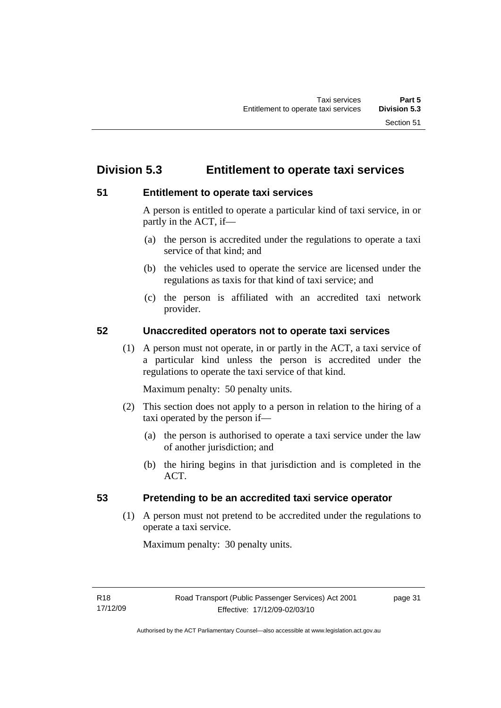# **Division 5.3 Entitlement to operate taxi services**

# **51 Entitlement to operate taxi services**

A person is entitled to operate a particular kind of taxi service, in or partly in the ACT, if—

- (a) the person is accredited under the regulations to operate a taxi service of that kind; and
- (b) the vehicles used to operate the service are licensed under the regulations as taxis for that kind of taxi service; and
- (c) the person is affiliated with an accredited taxi network provider.

# **52 Unaccredited operators not to operate taxi services**

 (1) A person must not operate, in or partly in the ACT, a taxi service of a particular kind unless the person is accredited under the regulations to operate the taxi service of that kind.

Maximum penalty: 50 penalty units.

- (2) This section does not apply to a person in relation to the hiring of a taxi operated by the person if—
	- (a) the person is authorised to operate a taxi service under the law of another jurisdiction; and
	- (b) the hiring begins in that jurisdiction and is completed in the ACT.

# **53 Pretending to be an accredited taxi service operator**

 (1) A person must not pretend to be accredited under the regulations to operate a taxi service.

Maximum penalty: 30 penalty units.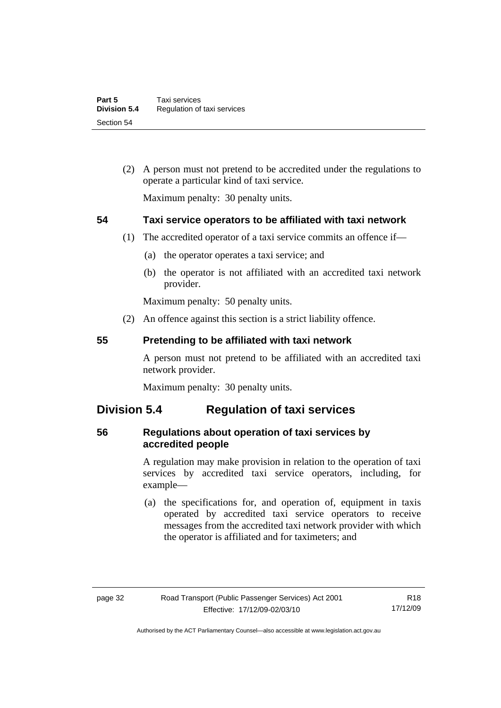(2) A person must not pretend to be accredited under the regulations to operate a particular kind of taxi service.

Maximum penalty: 30 penalty units.

# **54 Taxi service operators to be affiliated with taxi network**

- (1) The accredited operator of a taxi service commits an offence if—
	- (a) the operator operates a taxi service; and
	- (b) the operator is not affiliated with an accredited taxi network provider.

Maximum penalty: 50 penalty units.

(2) An offence against this section is a strict liability offence.

#### **55 Pretending to be affiliated with taxi network**

A person must not pretend to be affiliated with an accredited taxi network provider.

Maximum penalty: 30 penalty units.

# **Division 5.4 Regulation of taxi services**

# **56 Regulations about operation of taxi services by accredited people**

A regulation may make provision in relation to the operation of taxi services by accredited taxi service operators, including, for example—

 (a) the specifications for, and operation of, equipment in taxis operated by accredited taxi service operators to receive messages from the accredited taxi network provider with which the operator is affiliated and for taximeters; and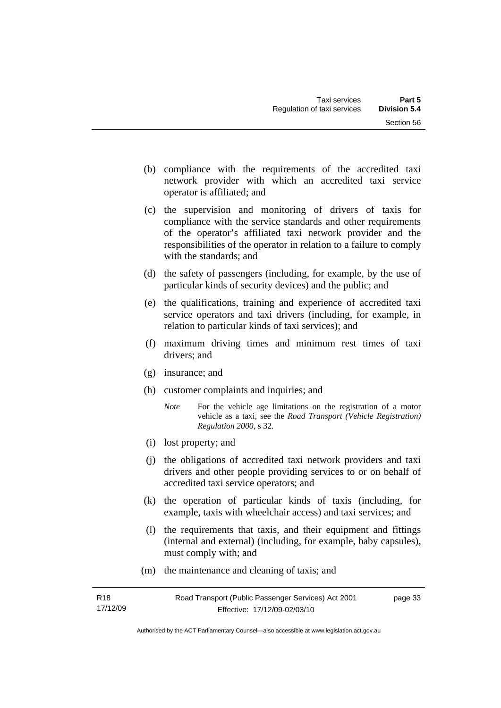- (b) compliance with the requirements of the accredited taxi network provider with which an accredited taxi service operator is affiliated; and
- (c) the supervision and monitoring of drivers of taxis for compliance with the service standards and other requirements of the operator's affiliated taxi network provider and the responsibilities of the operator in relation to a failure to comply with the standards; and
- (d) the safety of passengers (including, for example, by the use of particular kinds of security devices) and the public; and
- (e) the qualifications, training and experience of accredited taxi service operators and taxi drivers (including, for example, in relation to particular kinds of taxi services); and
- (f) maximum driving times and minimum rest times of taxi drivers; and
- (g) insurance; and
- (h) customer complaints and inquiries; and
	- *Note* For the vehicle age limitations on the registration of a motor vehicle as a taxi, see the *Road Transport (Vehicle Registration) Regulation 2000*, s 32.
- (i) lost property; and
- (j) the obligations of accredited taxi network providers and taxi drivers and other people providing services to or on behalf of accredited taxi service operators; and
- (k) the operation of particular kinds of taxis (including, for example, taxis with wheelchair access) and taxi services; and
- (l) the requirements that taxis, and their equipment and fittings (internal and external) (including, for example, baby capsules), must comply with; and
- (m) the maintenance and cleaning of taxis; and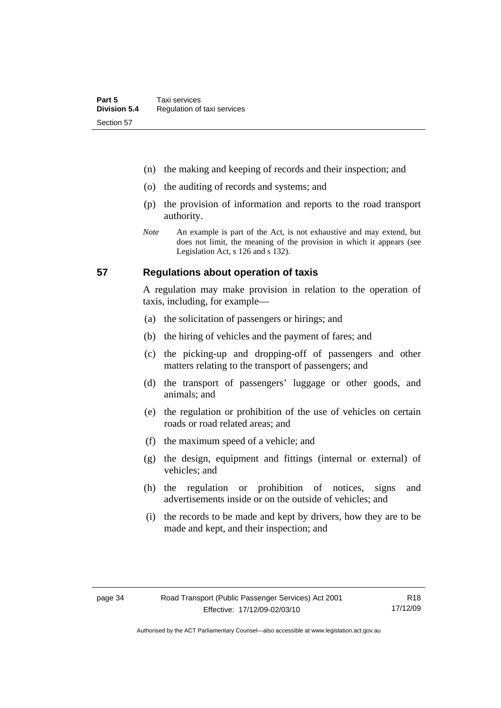- (n) the making and keeping of records and their inspection; and
- (o) the auditing of records and systems; and
- (p) the provision of information and reports to the road transport authority.
- *Note* An example is part of the Act, is not exhaustive and may extend, but does not limit, the meaning of the provision in which it appears (see Legislation Act, s 126 and s 132).

#### **57 Regulations about operation of taxis**

A regulation may make provision in relation to the operation of taxis, including, for example—

- (a) the solicitation of passengers or hirings; and
- (b) the hiring of vehicles and the payment of fares; and
- (c) the picking-up and dropping-off of passengers and other matters relating to the transport of passengers; and
- (d) the transport of passengers' luggage or other goods, and animals; and
- (e) the regulation or prohibition of the use of vehicles on certain roads or road related areas; and
- (f) the maximum speed of a vehicle; and
- (g) the design, equipment and fittings (internal or external) of vehicles; and
- (h) the regulation or prohibition of notices, signs and advertisements inside or on the outside of vehicles; and
- (i) the records to be made and kept by drivers, how they are to be made and kept, and their inspection; and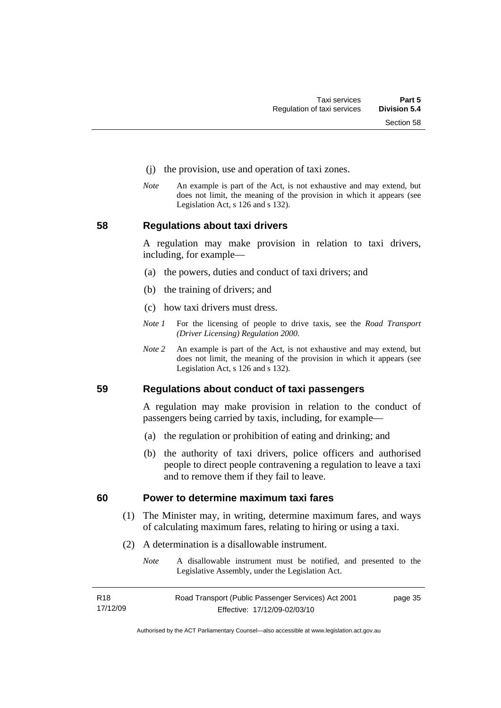- (j) the provision, use and operation of taxi zones.
- *Note* An example is part of the Act, is not exhaustive and may extend, but does not limit, the meaning of the provision in which it appears (see Legislation Act, s 126 and s 132).

#### **58 Regulations about taxi drivers**

A regulation may make provision in relation to taxi drivers, including, for example—

- (a) the powers, duties and conduct of taxi drivers; and
- (b) the training of drivers; and
- (c) how taxi drivers must dress.
- *Note 1* For the licensing of people to drive taxis, see the *Road Transport (Driver Licensing) Regulation 2000*.
- *Note 2* An example is part of the Act, is not exhaustive and may extend, but does not limit, the meaning of the provision in which it appears (see Legislation Act, s 126 and s 132).

**59 Regulations about conduct of taxi passengers** 

A regulation may make provision in relation to the conduct of passengers being carried by taxis, including, for example—

- (a) the regulation or prohibition of eating and drinking; and
- (b) the authority of taxi drivers, police officers and authorised people to direct people contravening a regulation to leave a taxi and to remove them if they fail to leave.

#### **60 Power to determine maximum taxi fares**

- (1) The Minister may, in writing, determine maximum fares, and ways of calculating maximum fares, relating to hiring or using a taxi.
- (2) A determination is a disallowable instrument.
	- *Note* A disallowable instrument must be notified, and presented to the Legislative Assembly, under the Legislation Act.

| R18      | Road Transport (Public Passenger Services) Act 2001 | page 35 |
|----------|-----------------------------------------------------|---------|
| 17/12/09 | Effective: 17/12/09-02/03/10                        |         |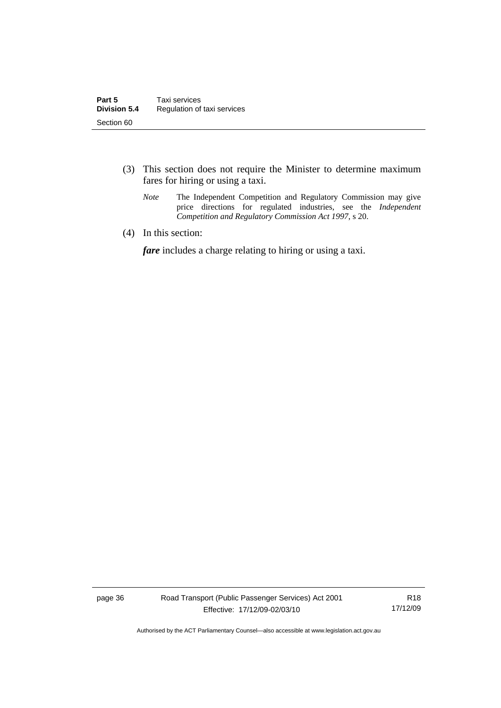- (3) This section does not require the Minister to determine maximum fares for hiring or using a taxi.
	- *Note* The Independent Competition and Regulatory Commission may give price directions for regulated industries, see the *Independent Competition and Regulatory Commission Act 1997*, s 20.
- (4) In this section:

*fare* includes a charge relating to hiring or using a taxi.

page 36 Road Transport (Public Passenger Services) Act 2001 Effective: 17/12/09-02/03/10

R18 17/12/09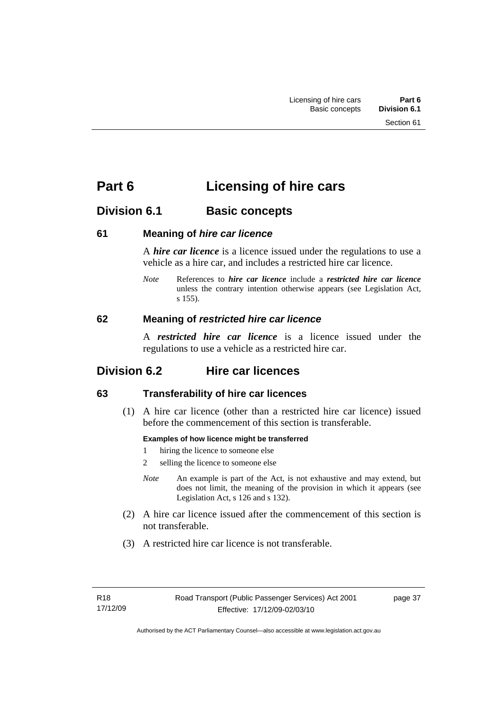# **Part 6 Licensing of hire cars**

# **Division 6.1 Basic concepts**

### **61 Meaning of** *hire car licence*

A *hire car licence* is a licence issued under the regulations to use a vehicle as a hire car, and includes a restricted hire car licence.

*Note* References to *hire car licence* include a *restricted hire car licence* unless the contrary intention otherwise appears (see Legislation Act, s 155).

### **62 Meaning of** *restricted hire car licence*

A *restricted hire car licence* is a licence issued under the regulations to use a vehicle as a restricted hire car.

# **Division 6.2 Hire car licences**

# **63 Transferability of hire car licences**

 (1) A hire car licence (other than a restricted hire car licence) issued before the commencement of this section is transferable.

#### **Examples of how licence might be transferred**

- 1 hiring the licence to someone else
- 2 selling the licence to someone else
- *Note* An example is part of the Act, is not exhaustive and may extend, but does not limit, the meaning of the provision in which it appears (see Legislation Act, s 126 and s 132).
- (2) A hire car licence issued after the commencement of this section is not transferable.
- (3) A restricted hire car licence is not transferable.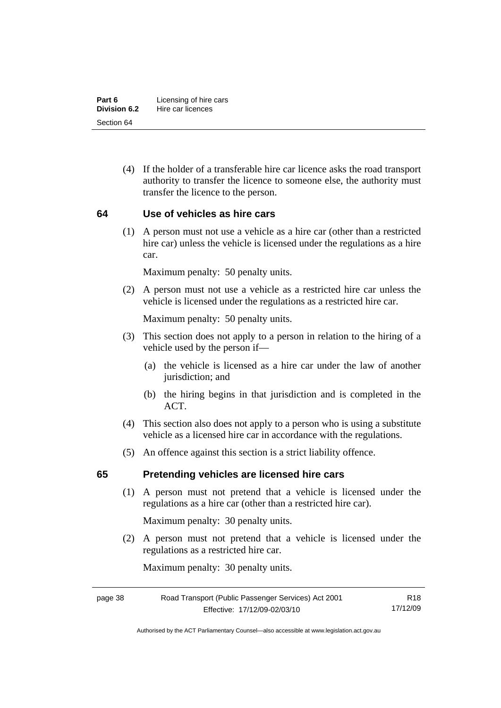| Part 6       | Licensing of hire cars |
|--------------|------------------------|
| Division 6.2 | Hire car licences      |
| Section 64   |                        |

 (4) If the holder of a transferable hire car licence asks the road transport authority to transfer the licence to someone else, the authority must transfer the licence to the person.

#### **64 Use of vehicles as hire cars**

 (1) A person must not use a vehicle as a hire car (other than a restricted hire car) unless the vehicle is licensed under the regulations as a hire car.

Maximum penalty: 50 penalty units.

 (2) A person must not use a vehicle as a restricted hire car unless the vehicle is licensed under the regulations as a restricted hire car.

Maximum penalty: 50 penalty units.

- (3) This section does not apply to a person in relation to the hiring of a vehicle used by the person if—
	- (a) the vehicle is licensed as a hire car under the law of another jurisdiction; and
	- (b) the hiring begins in that jurisdiction and is completed in the ACT.
- (4) This section also does not apply to a person who is using a substitute vehicle as a licensed hire car in accordance with the regulations.
- (5) An offence against this section is a strict liability offence.

#### **65 Pretending vehicles are licensed hire cars**

 (1) A person must not pretend that a vehicle is licensed under the regulations as a hire car (other than a restricted hire car).

Maximum penalty: 30 penalty units.

 (2) A person must not pretend that a vehicle is licensed under the regulations as a restricted hire car.

Maximum penalty: 30 penalty units.

| page 38 | Road Transport (Public Passenger Services) Act 2001 | R18      |
|---------|-----------------------------------------------------|----------|
|         | Effective: 17/12/09-02/03/10                        | 17/12/09 |

Authorised by the ACT Parliamentary Counsel—also accessible at www.legislation.act.gov.au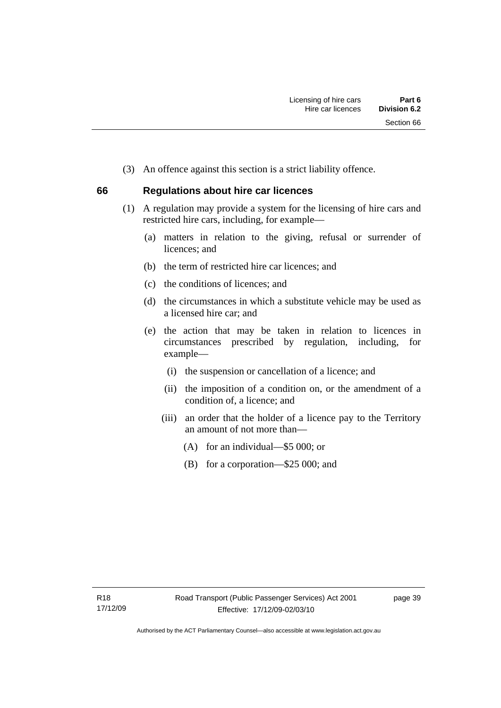(3) An offence against this section is a strict liability offence.

# **66 Regulations about hire car licences**

- (1) A regulation may provide a system for the licensing of hire cars and restricted hire cars, including, for example—
	- (a) matters in relation to the giving, refusal or surrender of licences; and
	- (b) the term of restricted hire car licences; and
	- (c) the conditions of licences; and
	- (d) the circumstances in which a substitute vehicle may be used as a licensed hire car; and
	- (e) the action that may be taken in relation to licences in circumstances prescribed by regulation, including, for example—
		- (i) the suspension or cancellation of a licence; and
		- (ii) the imposition of a condition on, or the amendment of a condition of, a licence; and
		- (iii) an order that the holder of a licence pay to the Territory an amount of not more than—
			- (A) for an individual—\$5 000; or
			- (B) for a corporation—\$25 000; and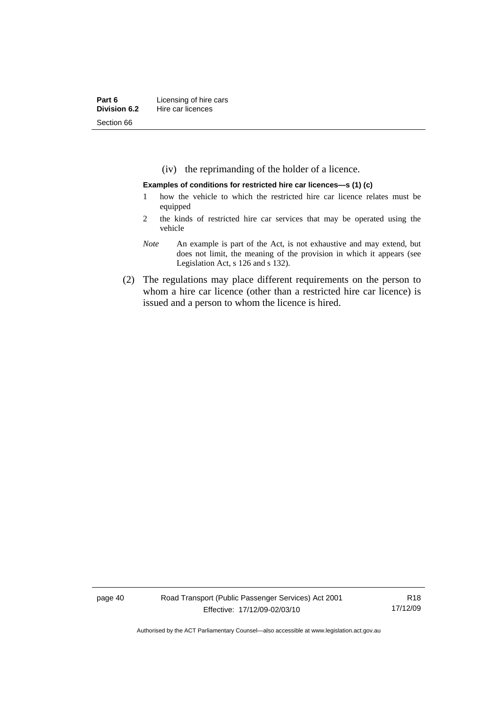(iv) the reprimanding of the holder of a licence.

#### **Examples of conditions for restricted hire car licences—s (1) (c)**

- 1 how the vehicle to which the restricted hire car licence relates must be equipped
- 2 the kinds of restricted hire car services that may be operated using the vehicle
- *Note* An example is part of the Act, is not exhaustive and may extend, but does not limit, the meaning of the provision in which it appears (see Legislation Act, s 126 and s 132).
- (2) The regulations may place different requirements on the person to whom a hire car licence (other than a restricted hire car licence) is issued and a person to whom the licence is hired.

page 40 Road Transport (Public Passenger Services) Act 2001 Effective: 17/12/09-02/03/10

R18 17/12/09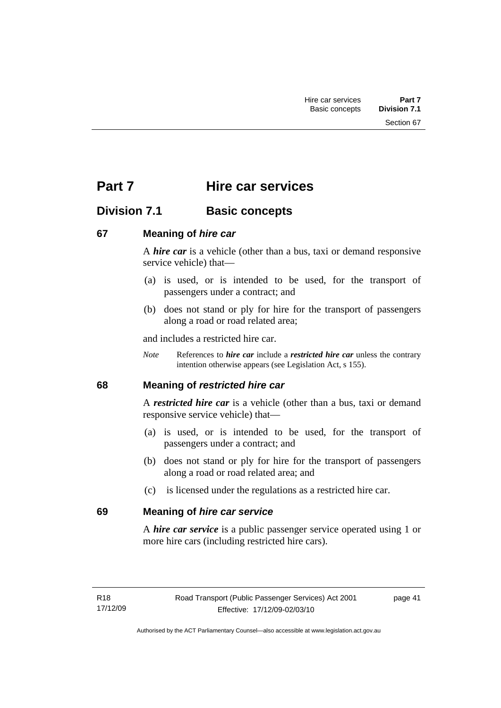# **Part 7 Hire car services**

# **Division 7.1 Basic concepts**

# **67 Meaning of** *hire car*

A *hire car* is a vehicle (other than a bus, taxi or demand responsive service vehicle) that—

- (a) is used, or is intended to be used, for the transport of passengers under a contract; and
- (b) does not stand or ply for hire for the transport of passengers along a road or road related area;

and includes a restricted hire car.

*Note* References to *hire car* include a *restricted hire car* unless the contrary intention otherwise appears (see Legislation Act, s 155).

# **68 Meaning of** *restricted hire car*

A *restricted hire car* is a vehicle (other than a bus, taxi or demand responsive service vehicle) that—

- (a) is used, or is intended to be used, for the transport of passengers under a contract; and
- (b) does not stand or ply for hire for the transport of passengers along a road or road related area; and
- (c) is licensed under the regulations as a restricted hire car.

# **69 Meaning of** *hire car service*

A *hire car service* is a public passenger service operated using 1 or more hire cars (including restricted hire cars).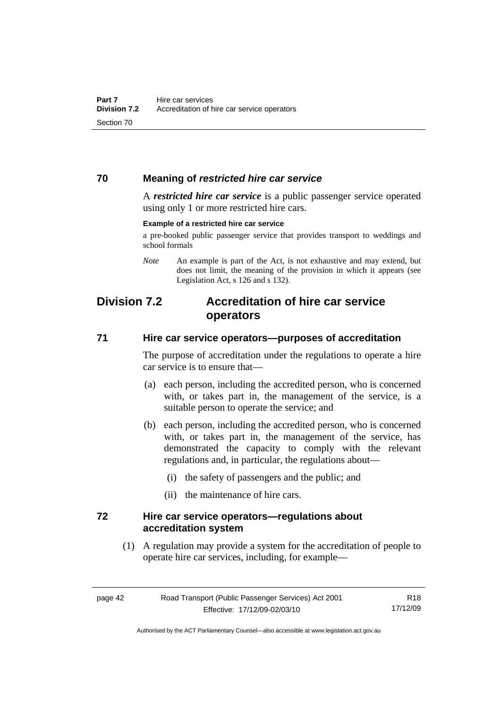### **70 Meaning of** *restricted hire car service*

A *restricted hire car service* is a public passenger service operated using only 1 or more restricted hire cars.

#### **Example of a restricted hire car service**

a pre-booked public passenger service that provides transport to weddings and school formals

*Note* An example is part of the Act, is not exhaustive and may extend, but does not limit, the meaning of the provision in which it appears (see Legislation Act, s 126 and s 132).

# **Division 7.2 Accreditation of hire car service operators**

### **71 Hire car service operators—purposes of accreditation**

The purpose of accreditation under the regulations to operate a hire car service is to ensure that—

- (a) each person, including the accredited person, who is concerned with, or takes part in, the management of the service, is a suitable person to operate the service; and
- (b) each person, including the accredited person, who is concerned with, or takes part in, the management of the service, has demonstrated the capacity to comply with the relevant regulations and, in particular, the regulations about—
	- (i) the safety of passengers and the public; and
	- (ii) the maintenance of hire cars.

#### **72 Hire car service operators—regulations about accreditation system**

 (1) A regulation may provide a system for the accreditation of people to operate hire car services, including, for example—

Authorised by the ACT Parliamentary Counsel—also accessible at www.legislation.act.gov.au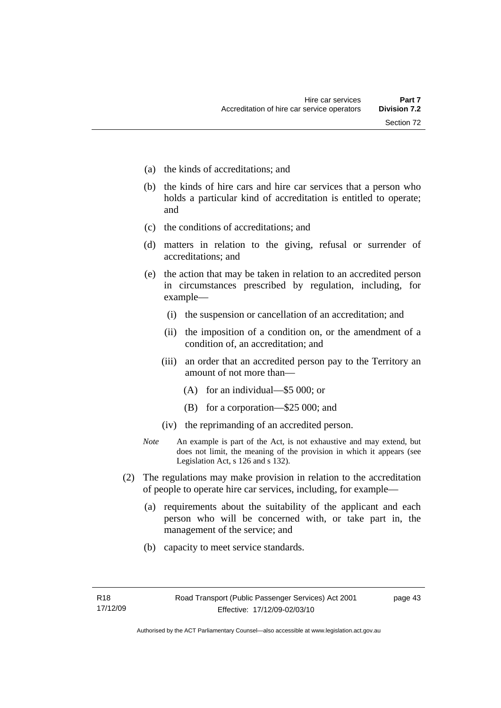- (a) the kinds of accreditations; and
- (b) the kinds of hire cars and hire car services that a person who holds a particular kind of accreditation is entitled to operate; and
- (c) the conditions of accreditations; and
- (d) matters in relation to the giving, refusal or surrender of accreditations; and
- (e) the action that may be taken in relation to an accredited person in circumstances prescribed by regulation, including, for example—
	- (i) the suspension or cancellation of an accreditation; and
	- (ii) the imposition of a condition on, or the amendment of a condition of, an accreditation; and
	- (iii) an order that an accredited person pay to the Territory an amount of not more than—
		- (A) for an individual—\$5 000; or
		- (B) for a corporation—\$25 000; and
	- (iv) the reprimanding of an accredited person.
- *Note* An example is part of the Act, is not exhaustive and may extend, but does not limit, the meaning of the provision in which it appears (see Legislation Act, s 126 and s 132).
- (2) The regulations may make provision in relation to the accreditation of people to operate hire car services, including, for example—
	- (a) requirements about the suitability of the applicant and each person who will be concerned with, or take part in, the management of the service; and
	- (b) capacity to meet service standards.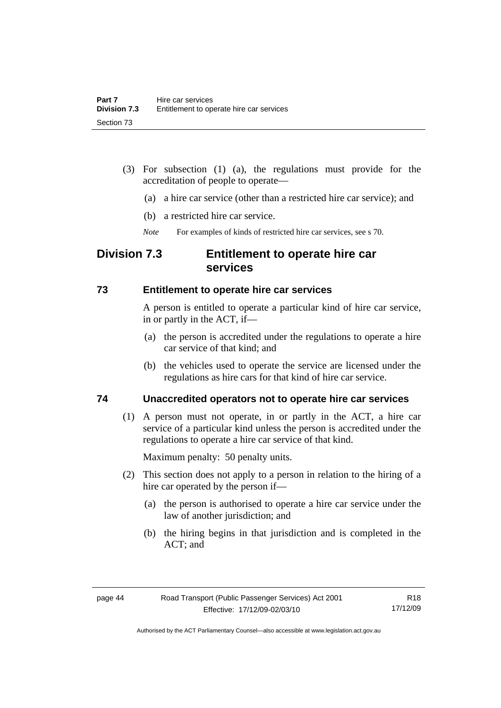- (3) For subsection (1) (a), the regulations must provide for the accreditation of people to operate—
	- (a) a hire car service (other than a restricted hire car service); and
	- (b) a restricted hire car service.
	- *Note* For examples of kinds of restricted hire car services, see s 70.

# **Division 7.3 Entitlement to operate hire car services**

#### **73 Entitlement to operate hire car services**

A person is entitled to operate a particular kind of hire car service, in or partly in the ACT, if—

- (a) the person is accredited under the regulations to operate a hire car service of that kind; and
- (b) the vehicles used to operate the service are licensed under the regulations as hire cars for that kind of hire car service.

### **74 Unaccredited operators not to operate hire car services**

 (1) A person must not operate, in or partly in the ACT, a hire car service of a particular kind unless the person is accredited under the regulations to operate a hire car service of that kind.

Maximum penalty: 50 penalty units.

- (2) This section does not apply to a person in relation to the hiring of a hire car operated by the person if—
	- (a) the person is authorised to operate a hire car service under the law of another jurisdiction; and
	- (b) the hiring begins in that jurisdiction and is completed in the ACT; and

Authorised by the ACT Parliamentary Counsel—also accessible at www.legislation.act.gov.au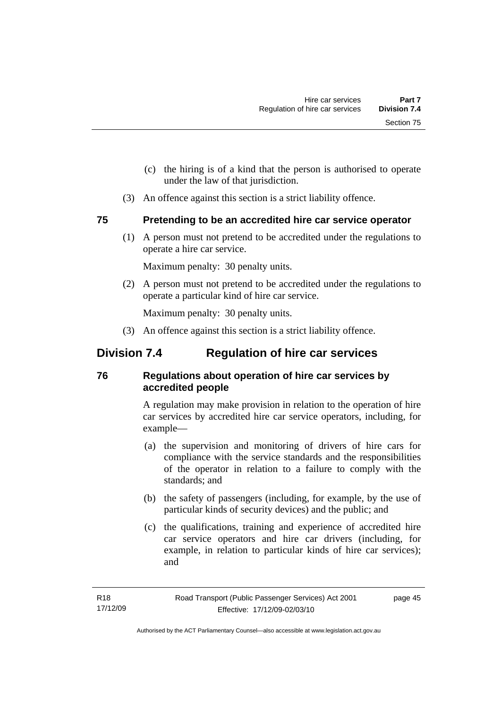- (c) the hiring is of a kind that the person is authorised to operate under the law of that jurisdiction.
- (3) An offence against this section is a strict liability offence.

# **75 Pretending to be an accredited hire car service operator**

 (1) A person must not pretend to be accredited under the regulations to operate a hire car service.

Maximum penalty: 30 penalty units.

 (2) A person must not pretend to be accredited under the regulations to operate a particular kind of hire car service.

Maximum penalty: 30 penalty units.

(3) An offence against this section is a strict liability offence.

# **Division 7.4 Regulation of hire car services**

# **76 Regulations about operation of hire car services by accredited people**

A regulation may make provision in relation to the operation of hire car services by accredited hire car service operators, including, for example—

- (a) the supervision and monitoring of drivers of hire cars for compliance with the service standards and the responsibilities of the operator in relation to a failure to comply with the standards; and
- (b) the safety of passengers (including, for example, by the use of particular kinds of security devices) and the public; and
- (c) the qualifications, training and experience of accredited hire car service operators and hire car drivers (including, for example, in relation to particular kinds of hire car services); and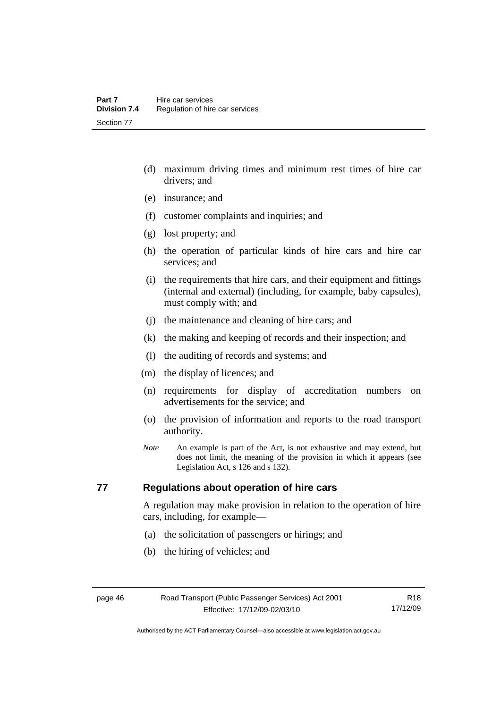- (d) maximum driving times and minimum rest times of hire car drivers; and
- (e) insurance; and
- (f) customer complaints and inquiries; and
- (g) lost property; and
- (h) the operation of particular kinds of hire cars and hire car services; and
- (i) the requirements that hire cars, and their equipment and fittings (internal and external) (including, for example, baby capsules), must comply with; and
- (j) the maintenance and cleaning of hire cars; and
- (k) the making and keeping of records and their inspection; and
- (l) the auditing of records and systems; and
- (m) the display of licences; and
- (n) requirements for display of accreditation numbers on advertisements for the service; and
- (o) the provision of information and reports to the road transport authority.
- *Note* An example is part of the Act, is not exhaustive and may extend, but does not limit, the meaning of the provision in which it appears (see Legislation Act, s 126 and s 132).

### **77 Regulations about operation of hire cars**

A regulation may make provision in relation to the operation of hire cars, including, for example—

- (a) the solicitation of passengers or hirings; and
- (b) the hiring of vehicles; and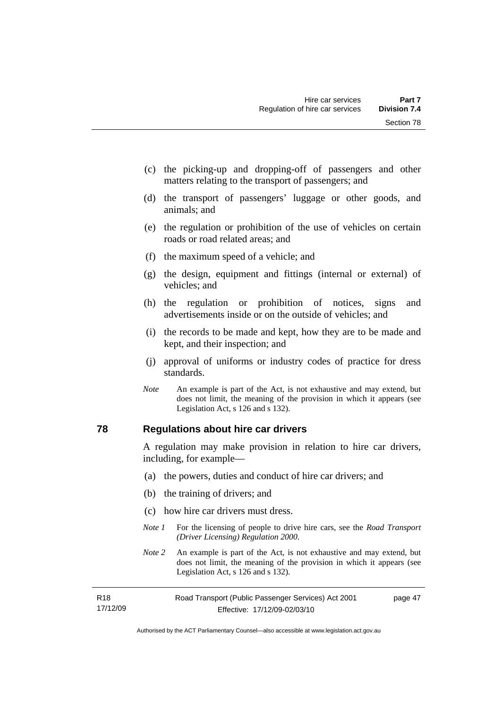- (c) the picking-up and dropping-off of passengers and other matters relating to the transport of passengers; and
- (d) the transport of passengers' luggage or other goods, and animals; and
- (e) the regulation or prohibition of the use of vehicles on certain roads or road related areas; and
- (f) the maximum speed of a vehicle; and
- (g) the design, equipment and fittings (internal or external) of vehicles; and
- (h) the regulation or prohibition of notices, signs and advertisements inside or on the outside of vehicles; and
- (i) the records to be made and kept, how they are to be made and kept, and their inspection; and
- (j) approval of uniforms or industry codes of practice for dress standards.
- *Note* An example is part of the Act, is not exhaustive and may extend, but does not limit, the meaning of the provision in which it appears (see Legislation Act, s 126 and s 132).

### **78 Regulations about hire car drivers**

A regulation may make provision in relation to hire car drivers, including, for example—

- (a) the powers, duties and conduct of hire car drivers; and
- (b) the training of drivers; and
- (c) how hire car drivers must dress.
- *Note 1* For the licensing of people to drive hire cars, see the *Road Transport (Driver Licensing) Regulation 2000*.
- *Note 2* An example is part of the Act, is not exhaustive and may extend, but does not limit, the meaning of the provision in which it appears (see Legislation Act, s 126 and s 132).

| R18      | Road Transport (Public Passenger Services) Act 2001 | page 47 |
|----------|-----------------------------------------------------|---------|
| 17/12/09 | Effective: 17/12/09-02/03/10                        |         |

Authorised by the ACT Parliamentary Counsel—also accessible at www.legislation.act.gov.au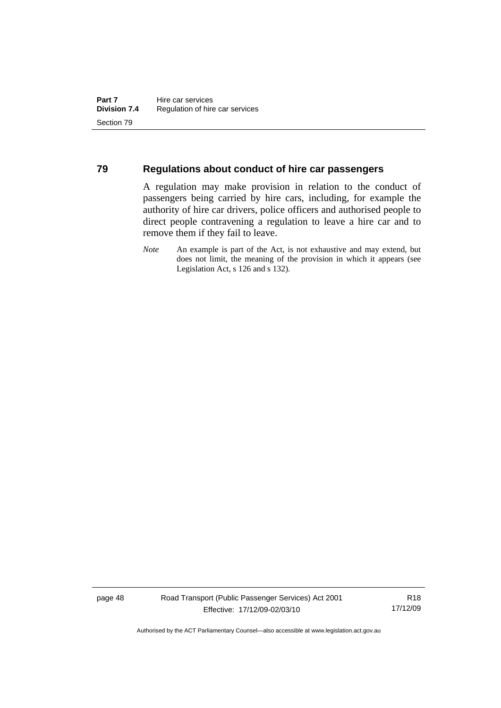#### **79 Regulations about conduct of hire car passengers**

A regulation may make provision in relation to the conduct of passengers being carried by hire cars, including, for example the authority of hire car drivers, police officers and authorised people to direct people contravening a regulation to leave a hire car and to remove them if they fail to leave.

page 48 Road Transport (Public Passenger Services) Act 2001 Effective: 17/12/09-02/03/10

R18 17/12/09

*Note* An example is part of the Act, is not exhaustive and may extend, but does not limit, the meaning of the provision in which it appears (see Legislation Act, s 126 and s 132).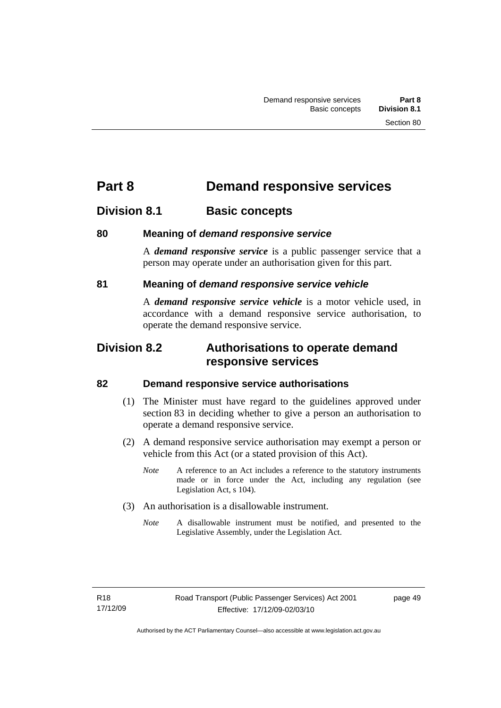# **Part 8 Demand responsive services**

# **Division 8.1 Basic concepts**

# **80 Meaning of** *demand responsive service*

A *demand responsive service* is a public passenger service that a person may operate under an authorisation given for this part.

# **81 Meaning of** *demand responsive service vehicle*

A *demand responsive service vehicle* is a motor vehicle used, in accordance with a demand responsive service authorisation, to operate the demand responsive service.

# **Division 8.2 Authorisations to operate demand responsive services**

# **82 Demand responsive service authorisations**

- (1) The Minister must have regard to the guidelines approved under section 83 in deciding whether to give a person an authorisation to operate a demand responsive service.
- (2) A demand responsive service authorisation may exempt a person or vehicle from this Act (or a stated provision of this Act).
	- *Note* A reference to an Act includes a reference to the statutory instruments made or in force under the Act, including any regulation (see Legislation Act, s 104).
- (3) An authorisation is a disallowable instrument.
	- *Note* A disallowable instrument must be notified, and presented to the Legislative Assembly, under the Legislation Act.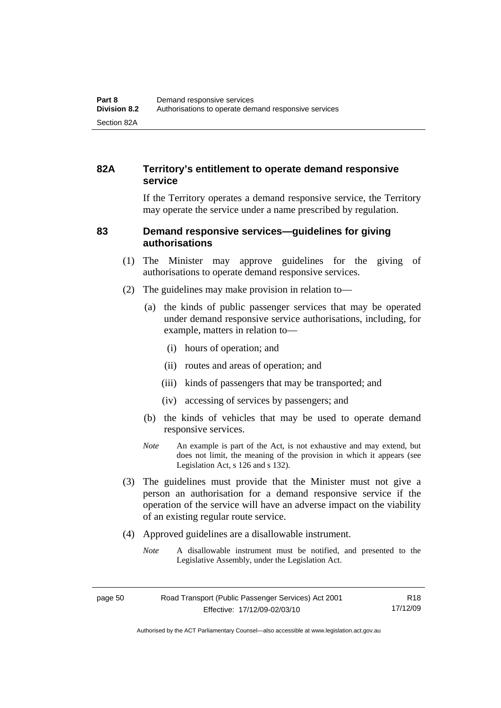# **82A Territory's entitlement to operate demand responsive service**

If the Territory operates a demand responsive service, the Territory may operate the service under a name prescribed by regulation.

### **83 Demand responsive services—guidelines for giving authorisations**

- (1) The Minister may approve guidelines for the giving of authorisations to operate demand responsive services.
- (2) The guidelines may make provision in relation to—
	- (a) the kinds of public passenger services that may be operated under demand responsive service authorisations, including, for example, matters in relation to—
		- (i) hours of operation; and
		- (ii) routes and areas of operation; and
		- (iii) kinds of passengers that may be transported; and
		- (iv) accessing of services by passengers; and
	- (b) the kinds of vehicles that may be used to operate demand responsive services.
	- *Note* An example is part of the Act, is not exhaustive and may extend, but does not limit, the meaning of the provision in which it appears (see Legislation Act, s 126 and s 132).
- (3) The guidelines must provide that the Minister must not give a person an authorisation for a demand responsive service if the operation of the service will have an adverse impact on the viability of an existing regular route service.
- (4) Approved guidelines are a disallowable instrument.
	- *Note* A disallowable instrument must be notified, and presented to the Legislative Assembly, under the Legislation Act.

R18 17/12/09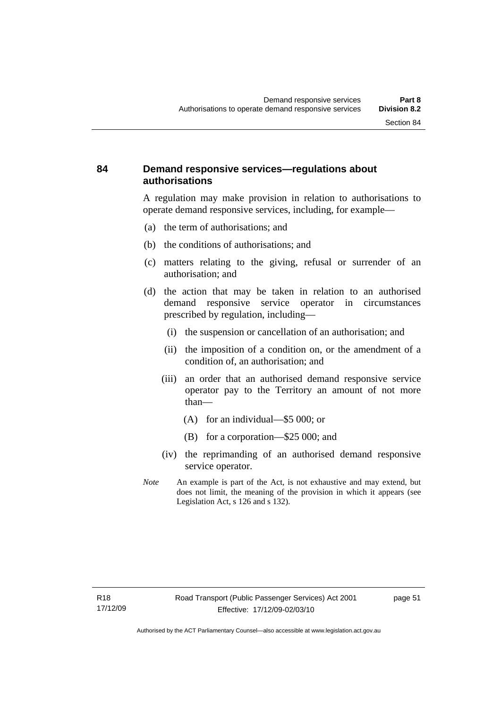# **84 Demand responsive services—regulations about authorisations**

A regulation may make provision in relation to authorisations to operate demand responsive services, including, for example—

- (a) the term of authorisations; and
- (b) the conditions of authorisations; and
- (c) matters relating to the giving, refusal or surrender of an authorisation; and
- (d) the action that may be taken in relation to an authorised demand responsive service operator in circumstances prescribed by regulation, including—
	- (i) the suspension or cancellation of an authorisation; and
	- (ii) the imposition of a condition on, or the amendment of a condition of, an authorisation; and
	- (iii) an order that an authorised demand responsive service operator pay to the Territory an amount of not more than—
		- (A) for an individual—\$5 000; or
		- (B) for a corporation—\$25 000; and
	- (iv) the reprimanding of an authorised demand responsive service operator.
- *Note* An example is part of the Act, is not exhaustive and may extend, but does not limit, the meaning of the provision in which it appears (see Legislation Act, s 126 and s 132).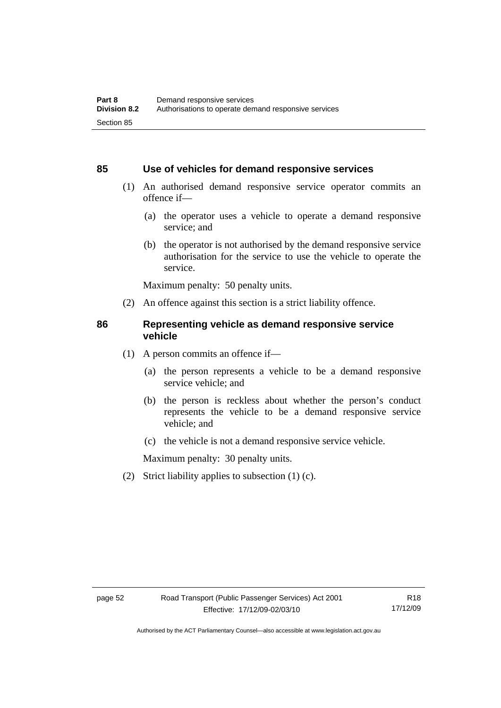#### **85 Use of vehicles for demand responsive services**

- (1) An authorised demand responsive service operator commits an offence if—
	- (a) the operator uses a vehicle to operate a demand responsive service; and
	- (b) the operator is not authorised by the demand responsive service authorisation for the service to use the vehicle to operate the service.

Maximum penalty: 50 penalty units.

(2) An offence against this section is a strict liability offence.

#### **86 Representing vehicle as demand responsive service vehicle**

- (1) A person commits an offence if—
	- (a) the person represents a vehicle to be a demand responsive service vehicle; and
	- (b) the person is reckless about whether the person's conduct represents the vehicle to be a demand responsive service vehicle; and
	- (c) the vehicle is not a demand responsive service vehicle.

Maximum penalty: 30 penalty units.

(2) Strict liability applies to subsection (1) (c).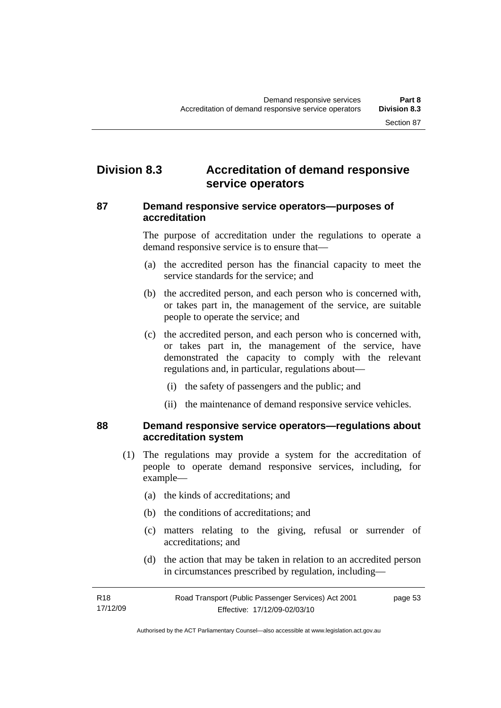# **Division 8.3 Accreditation of demand responsive service operators**

### **87 Demand responsive service operators—purposes of accreditation**

The purpose of accreditation under the regulations to operate a demand responsive service is to ensure that—

- (a) the accredited person has the financial capacity to meet the service standards for the service; and
- (b) the accredited person, and each person who is concerned with, or takes part in, the management of the service, are suitable people to operate the service; and
- (c) the accredited person, and each person who is concerned with, or takes part in, the management of the service, have demonstrated the capacity to comply with the relevant regulations and, in particular, regulations about—
	- (i) the safety of passengers and the public; and
	- (ii) the maintenance of demand responsive service vehicles.

#### **88 Demand responsive service operators—regulations about accreditation system**

- (1) The regulations may provide a system for the accreditation of people to operate demand responsive services, including, for example—
	- (a) the kinds of accreditations; and
	- (b) the conditions of accreditations; and
	- (c) matters relating to the giving, refusal or surrender of accreditations; and
	- (d) the action that may be taken in relation to an accredited person in circumstances prescribed by regulation, including—

| R18      | Road Transport (Public Passenger Services) Act 2001 | page 53 |
|----------|-----------------------------------------------------|---------|
| 17/12/09 | Effective: 17/12/09-02/03/10                        |         |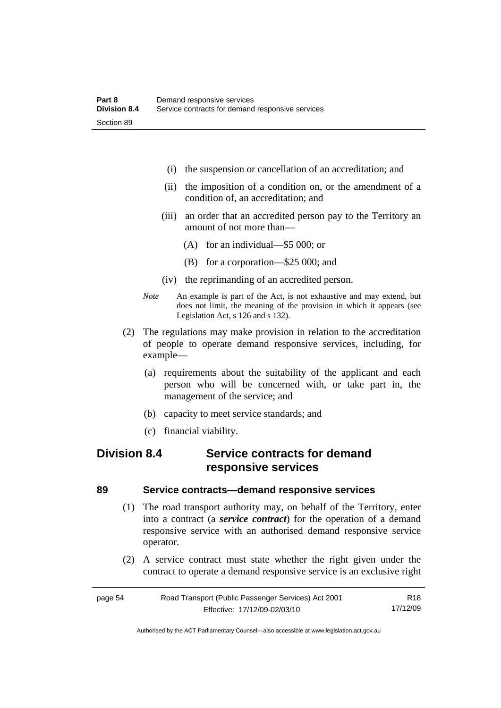- (i) the suspension or cancellation of an accreditation; and
- (ii) the imposition of a condition on, or the amendment of a condition of, an accreditation; and
- (iii) an order that an accredited person pay to the Territory an amount of not more than—
	- (A) for an individual—\$5 000; or
	- (B) for a corporation—\$25 000; and
- (iv) the reprimanding of an accredited person.
- *Note* An example is part of the Act, is not exhaustive and may extend, but does not limit, the meaning of the provision in which it appears (see Legislation Act, s 126 and s 132).
- (2) The regulations may make provision in relation to the accreditation of people to operate demand responsive services, including, for example—
	- (a) requirements about the suitability of the applicant and each person who will be concerned with, or take part in, the management of the service; and
	- (b) capacity to meet service standards; and
	- (c) financial viability.

# **Division 8.4 Service contracts for demand responsive services**

#### **89 Service contracts—demand responsive services**

- (1) The road transport authority may, on behalf of the Territory, enter into a contract (a *service contract*) for the operation of a demand responsive service with an authorised demand responsive service operator.
- (2) A service contract must state whether the right given under the contract to operate a demand responsive service is an exclusive right

| page 54 | Road Transport (Public Passenger Services) Act 2001 | R18      |
|---------|-----------------------------------------------------|----------|
|         | Effective: 17/12/09-02/03/10                        | 17/12/09 |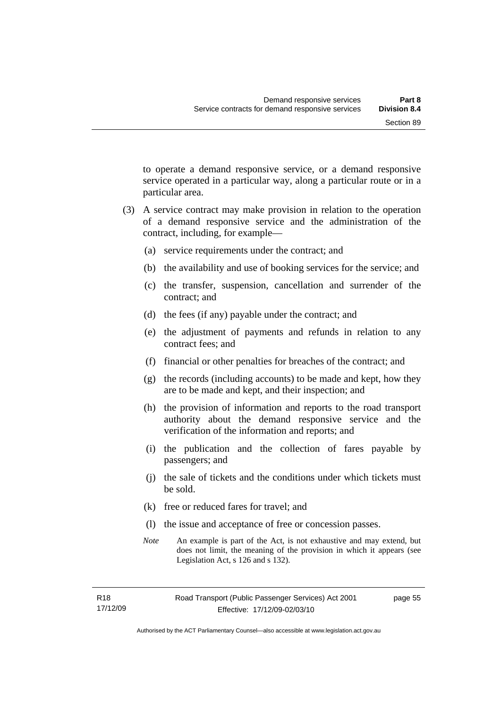to operate a demand responsive service, or a demand responsive service operated in a particular way, along a particular route or in a particular area.

- (3) A service contract may make provision in relation to the operation of a demand responsive service and the administration of the contract, including, for example—
	- (a) service requirements under the contract; and
	- (b) the availability and use of booking services for the service; and
	- (c) the transfer, suspension, cancellation and surrender of the contract; and
	- (d) the fees (if any) payable under the contract; and
	- (e) the adjustment of payments and refunds in relation to any contract fees; and
	- (f) financial or other penalties for breaches of the contract; and
	- (g) the records (including accounts) to be made and kept, how they are to be made and kept, and their inspection; and
	- (h) the provision of information and reports to the road transport authority about the demand responsive service and the verification of the information and reports; and
	- (i) the publication and the collection of fares payable by passengers; and
	- (j) the sale of tickets and the conditions under which tickets must be sold.
	- (k) free or reduced fares for travel; and
	- (l) the issue and acceptance of free or concession passes.
	- *Note* An example is part of the Act, is not exhaustive and may extend, but does not limit, the meaning of the provision in which it appears (see Legislation Act, s 126 and s 132).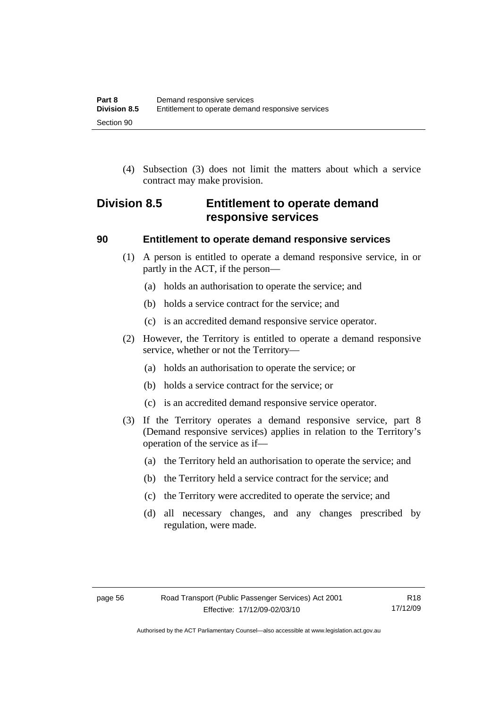(4) Subsection (3) does not limit the matters about which a service contract may make provision.

# **Division 8.5 Entitlement to operate demand responsive services**

#### **90 Entitlement to operate demand responsive services**

- (1) A person is entitled to operate a demand responsive service, in or partly in the ACT, if the person—
	- (a) holds an authorisation to operate the service; and
	- (b) holds a service contract for the service; and
	- (c) is an accredited demand responsive service operator.
- (2) However, the Territory is entitled to operate a demand responsive service, whether or not the Territory—
	- (a) holds an authorisation to operate the service; or
	- (b) holds a service contract for the service; or
	- (c) is an accredited demand responsive service operator.
- (3) If the Territory operates a demand responsive service, part 8 (Demand responsive services) applies in relation to the Territory's operation of the service as if—
	- (a) the Territory held an authorisation to operate the service; and
	- (b) the Territory held a service contract for the service; and
	- (c) the Territory were accredited to operate the service; and
	- (d) all necessary changes, and any changes prescribed by regulation, were made.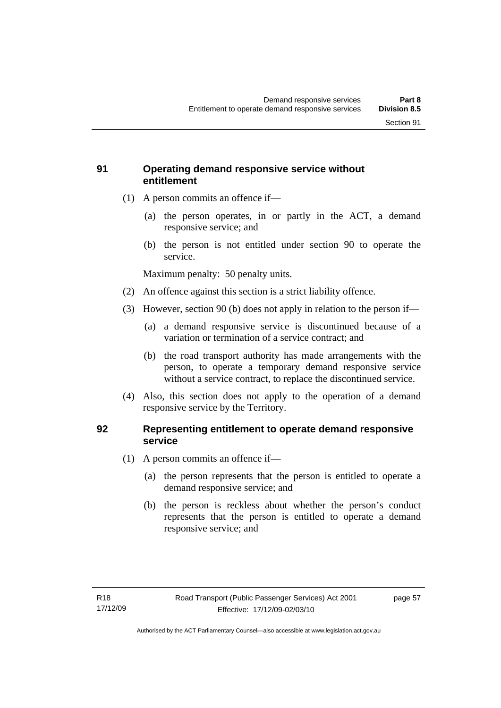# **91 Operating demand responsive service without entitlement**

- (1) A person commits an offence if—
	- (a) the person operates, in or partly in the ACT, a demand responsive service; and
	- (b) the person is not entitled under section 90 to operate the service.

Maximum penalty: 50 penalty units.

- (2) An offence against this section is a strict liability offence.
- (3) However, section 90 (b) does not apply in relation to the person if—
	- (a) a demand responsive service is discontinued because of a variation or termination of a service contract; and
	- (b) the road transport authority has made arrangements with the person, to operate a temporary demand responsive service without a service contract, to replace the discontinued service.
- (4) Also, this section does not apply to the operation of a demand responsive service by the Territory.

# **92 Representing entitlement to operate demand responsive service**

- (1) A person commits an offence if—
	- (a) the person represents that the person is entitled to operate a demand responsive service; and
	- (b) the person is reckless about whether the person's conduct represents that the person is entitled to operate a demand responsive service; and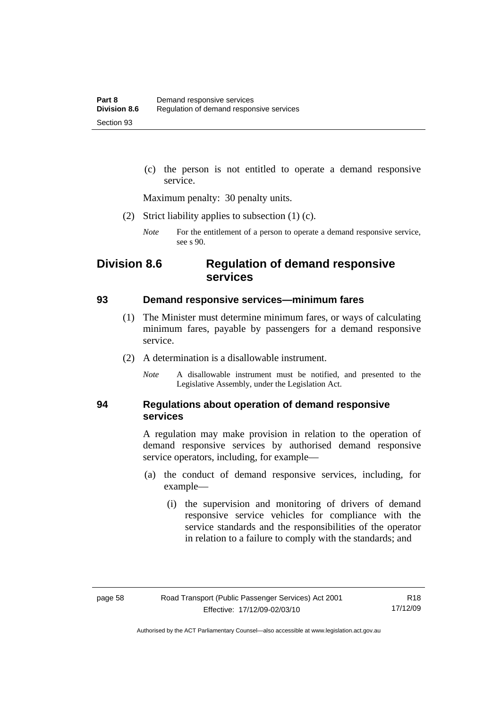(c) the person is not entitled to operate a demand responsive service.

Maximum penalty: 30 penalty units.

- (2) Strict liability applies to subsection (1) (c).
	- *Note* For the entitlement of a person to operate a demand responsive service, see s 90.

# **Division 8.6 Regulation of demand responsive services**

#### **93 Demand responsive services—minimum fares**

- (1) The Minister must determine minimum fares, or ways of calculating minimum fares, payable by passengers for a demand responsive service.
- (2) A determination is a disallowable instrument.
	- *Note* A disallowable instrument must be notified, and presented to the Legislative Assembly, under the Legislation Act.

### **94 Regulations about operation of demand responsive services**

A regulation may make provision in relation to the operation of demand responsive services by authorised demand responsive service operators, including, for example—

- (a) the conduct of demand responsive services, including, for example—
	- (i) the supervision and monitoring of drivers of demand responsive service vehicles for compliance with the service standards and the responsibilities of the operator in relation to a failure to comply with the standards; and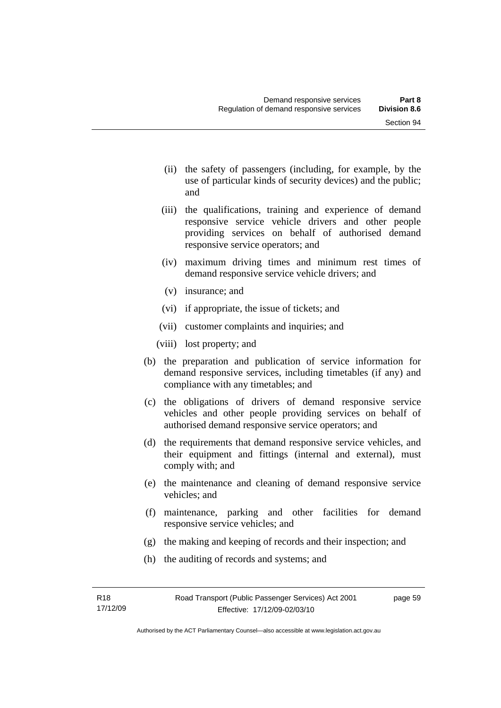- (ii) the safety of passengers (including, for example, by the use of particular kinds of security devices) and the public; and
- (iii) the qualifications, training and experience of demand responsive service vehicle drivers and other people providing services on behalf of authorised demand responsive service operators; and
- (iv) maximum driving times and minimum rest times of demand responsive service vehicle drivers; and
- (v) insurance; and
- (vi) if appropriate, the issue of tickets; and
- (vii) customer complaints and inquiries; and
- (viii) lost property; and
- (b) the preparation and publication of service information for demand responsive services, including timetables (if any) and compliance with any timetables; and
- (c) the obligations of drivers of demand responsive service vehicles and other people providing services on behalf of authorised demand responsive service operators; and
- (d) the requirements that demand responsive service vehicles, and their equipment and fittings (internal and external), must comply with; and
- (e) the maintenance and cleaning of demand responsive service vehicles; and
- (f) maintenance, parking and other facilities for demand responsive service vehicles; and
- (g) the making and keeping of records and their inspection; and
- (h) the auditing of records and systems; and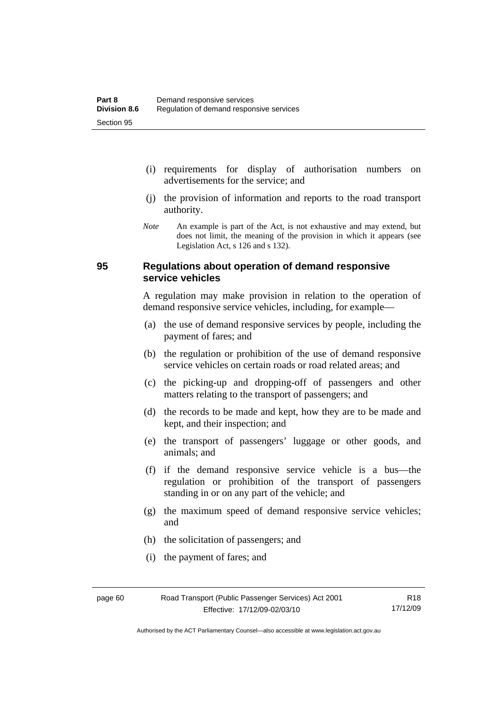- (i) requirements for display of authorisation numbers on advertisements for the service; and
- (j) the provision of information and reports to the road transport authority.
- *Note* An example is part of the Act, is not exhaustive and may extend, but does not limit, the meaning of the provision in which it appears (see Legislation Act, s 126 and s 132).

### **95 Regulations about operation of demand responsive service vehicles**

A regulation may make provision in relation to the operation of demand responsive service vehicles, including, for example—

- (a) the use of demand responsive services by people, including the payment of fares; and
- (b) the regulation or prohibition of the use of demand responsive service vehicles on certain roads or road related areas; and
- (c) the picking-up and dropping-off of passengers and other matters relating to the transport of passengers; and
- (d) the records to be made and kept, how they are to be made and kept, and their inspection; and
- (e) the transport of passengers' luggage or other goods, and animals; and
- (f) if the demand responsive service vehicle is a bus—the regulation or prohibition of the transport of passengers standing in or on any part of the vehicle; and
- (g) the maximum speed of demand responsive service vehicles; and
- (h) the solicitation of passengers; and
- (i) the payment of fares; and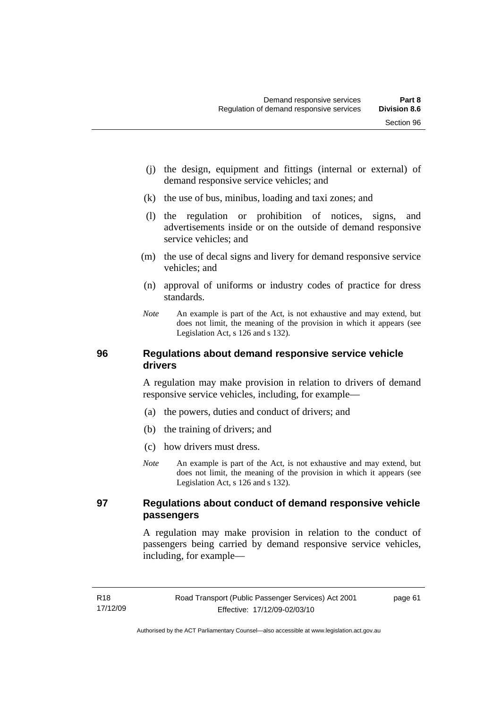- (k) the use of bus, minibus, loading and taxi zones; and
- (l) the regulation or prohibition of notices, signs, and advertisements inside or on the outside of demand responsive service vehicles; and
- (m) the use of decal signs and livery for demand responsive service vehicles; and
- (n) approval of uniforms or industry codes of practice for dress standards.
- *Note* An example is part of the Act, is not exhaustive and may extend, but does not limit, the meaning of the provision in which it appears (see Legislation Act, s 126 and s 132).

# **96 Regulations about demand responsive service vehicle drivers**

A regulation may make provision in relation to drivers of demand responsive service vehicles, including, for example—

- (a) the powers, duties and conduct of drivers; and
- (b) the training of drivers; and
- (c) how drivers must dress.
- *Note* An example is part of the Act, is not exhaustive and may extend, but does not limit, the meaning of the provision in which it appears (see Legislation Act, s 126 and s 132).

### **97 Regulations about conduct of demand responsive vehicle passengers**

A regulation may make provision in relation to the conduct of passengers being carried by demand responsive service vehicles, including, for example—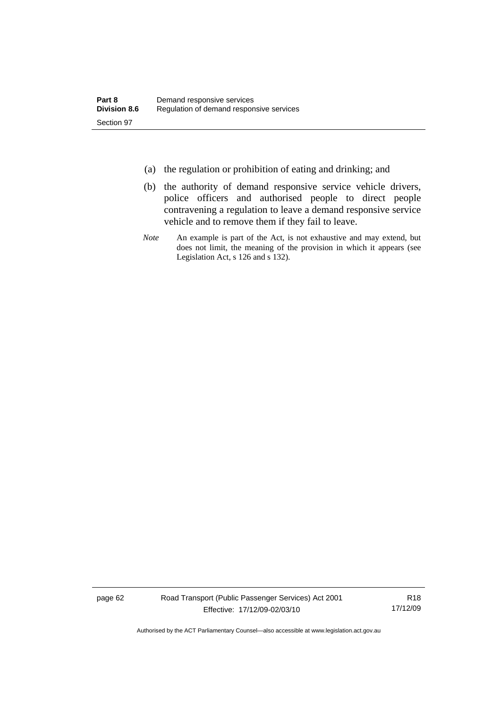- (a) the regulation or prohibition of eating and drinking; and
- (b) the authority of demand responsive service vehicle drivers, police officers and authorised people to direct people contravening a regulation to leave a demand responsive service vehicle and to remove them if they fail to leave.
- *Note* An example is part of the Act, is not exhaustive and may extend, but does not limit, the meaning of the provision in which it appears (see Legislation Act, s 126 and s 132).

page 62 Road Transport (Public Passenger Services) Act 2001 Effective: 17/12/09-02/03/10

R18 17/12/09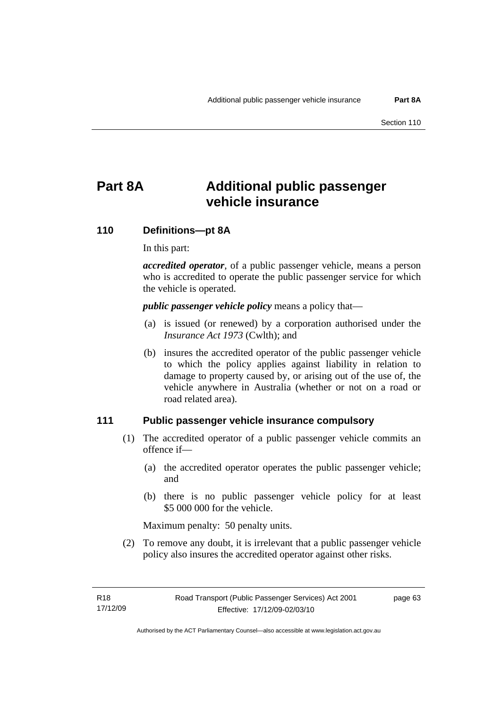# **Part 8A Additional public passenger vehicle insurance**

# **110 Definitions—pt 8A**

In this part:

*accredited operator*, of a public passenger vehicle, means a person who is accredited to operate the public passenger service for which the vehicle is operated.

*public passenger vehicle policy* means a policy that—

- (a) is issued (or renewed) by a corporation authorised under the *Insurance Act 1973* (Cwlth); and
- (b) insures the accredited operator of the public passenger vehicle to which the policy applies against liability in relation to damage to property caused by, or arising out of the use of, the vehicle anywhere in Australia (whether or not on a road or road related area).

### **111 Public passenger vehicle insurance compulsory**

- (1) The accredited operator of a public passenger vehicle commits an offence if—
	- (a) the accredited operator operates the public passenger vehicle; and
	- (b) there is no public passenger vehicle policy for at least \$5 000 000 for the vehicle.

Maximum penalty: 50 penalty units.

 (2) To remove any doubt, it is irrelevant that a public passenger vehicle policy also insures the accredited operator against other risks.

page 63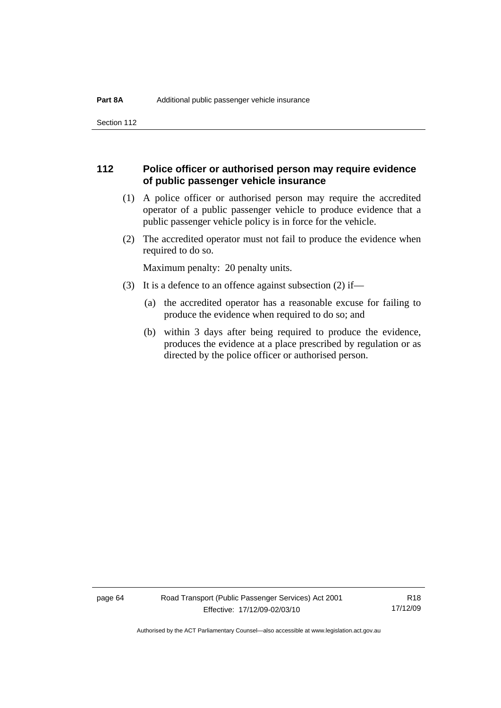Section 112

# **112 Police officer or authorised person may require evidence of public passenger vehicle insurance**

- (1) A police officer or authorised person may require the accredited operator of a public passenger vehicle to produce evidence that a public passenger vehicle policy is in force for the vehicle.
- (2) The accredited operator must not fail to produce the evidence when required to do so.

Maximum penalty: 20 penalty units.

- (3) It is a defence to an offence against subsection (2) if—
	- (a) the accredited operator has a reasonable excuse for failing to produce the evidence when required to do so; and
	- (b) within 3 days after being required to produce the evidence, produces the evidence at a place prescribed by regulation or as directed by the police officer or authorised person.

page 64 Road Transport (Public Passenger Services) Act 2001 Effective: 17/12/09-02/03/10

R18 17/12/09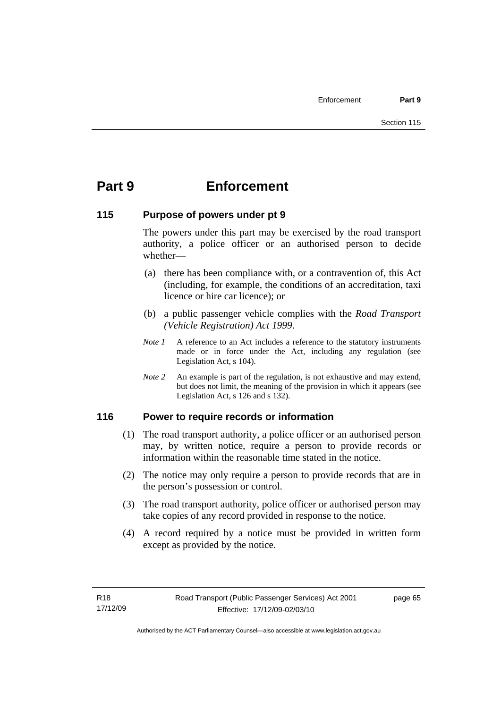# **Part 9 Enforcement**

# **115 Purpose of powers under pt 9**

The powers under this part may be exercised by the road transport authority, a police officer or an authorised person to decide whether—

- (a) there has been compliance with, or a contravention of, this Act (including, for example, the conditions of an accreditation, taxi licence or hire car licence); or
- (b) a public passenger vehicle complies with the *Road Transport (Vehicle Registration) Act 1999*.
- *Note 1* A reference to an Act includes a reference to the statutory instruments made or in force under the Act, including any regulation (see Legislation Act, s 104).
- *Note 2* An example is part of the regulation, is not exhaustive and may extend, but does not limit, the meaning of the provision in which it appears (see Legislation Act, s 126 and s 132).

# **116 Power to require records or information**

- (1) The road transport authority, a police officer or an authorised person may, by written notice, require a person to provide records or information within the reasonable time stated in the notice.
- (2) The notice may only require a person to provide records that are in the person's possession or control.
- (3) The road transport authority, police officer or authorised person may take copies of any record provided in response to the notice.
- (4) A record required by a notice must be provided in written form except as provided by the notice.

page 65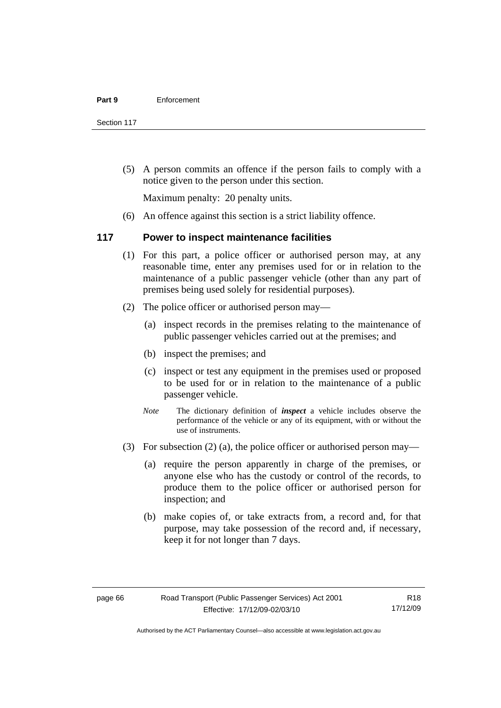Section 117

 (5) A person commits an offence if the person fails to comply with a notice given to the person under this section.

Maximum penalty: 20 penalty units.

(6) An offence against this section is a strict liability offence.

### **117 Power to inspect maintenance facilities**

- (1) For this part, a police officer or authorised person may, at any reasonable time, enter any premises used for or in relation to the maintenance of a public passenger vehicle (other than any part of premises being used solely for residential purposes).
- (2) The police officer or authorised person may—
	- (a) inspect records in the premises relating to the maintenance of public passenger vehicles carried out at the premises; and
	- (b) inspect the premises; and
	- (c) inspect or test any equipment in the premises used or proposed to be used for or in relation to the maintenance of a public passenger vehicle.
	- *Note* The dictionary definition of *inspect* a vehicle includes observe the performance of the vehicle or any of its equipment, with or without the use of instruments.
- (3) For subsection (2) (a), the police officer or authorised person may—
	- (a) require the person apparently in charge of the premises, or anyone else who has the custody or control of the records, to produce them to the police officer or authorised person for inspection; and
	- (b) make copies of, or take extracts from, a record and, for that purpose, may take possession of the record and, if necessary, keep it for not longer than 7 days.

R18 17/12/09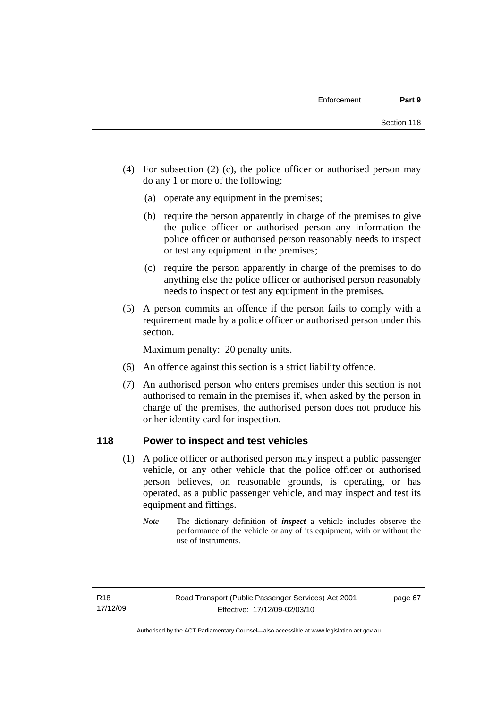- (4) For subsection (2) (c), the police officer or authorised person may do any 1 or more of the following:
	- (a) operate any equipment in the premises;
	- (b) require the person apparently in charge of the premises to give the police officer or authorised person any information the police officer or authorised person reasonably needs to inspect or test any equipment in the premises;
	- (c) require the person apparently in charge of the premises to do anything else the police officer or authorised person reasonably needs to inspect or test any equipment in the premises.
- (5) A person commits an offence if the person fails to comply with a requirement made by a police officer or authorised person under this section.

Maximum penalty: 20 penalty units.

- (6) An offence against this section is a strict liability offence.
- (7) An authorised person who enters premises under this section is not authorised to remain in the premises if, when asked by the person in charge of the premises, the authorised person does not produce his or her identity card for inspection.

# **118 Power to inspect and test vehicles**

- (1) A police officer or authorised person may inspect a public passenger vehicle, or any other vehicle that the police officer or authorised person believes, on reasonable grounds, is operating, or has operated, as a public passenger vehicle, and may inspect and test its equipment and fittings.
	- *Note* The dictionary definition of *inspect* a vehicle includes observe the performance of the vehicle or any of its equipment, with or without the use of instruments.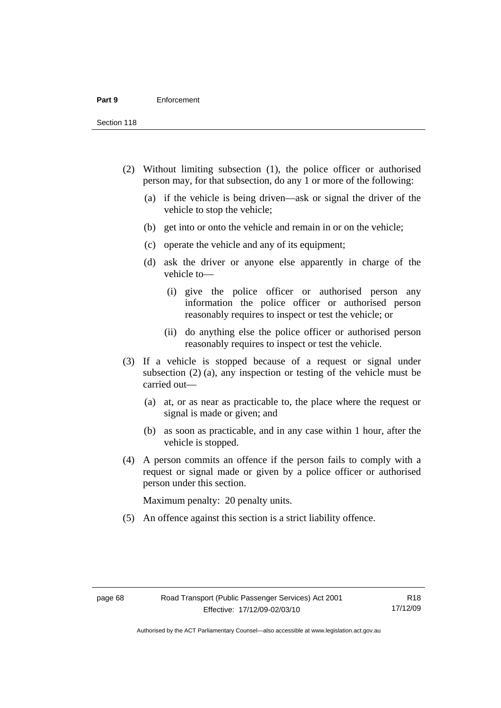Section 118

- (2) Without limiting subsection (1), the police officer or authorised person may, for that subsection, do any 1 or more of the following:
	- (a) if the vehicle is being driven—ask or signal the driver of the vehicle to stop the vehicle;
	- (b) get into or onto the vehicle and remain in or on the vehicle;
	- (c) operate the vehicle and any of its equipment;
	- (d) ask the driver or anyone else apparently in charge of the vehicle to—
		- (i) give the police officer or authorised person any information the police officer or authorised person reasonably requires to inspect or test the vehicle; or
		- (ii) do anything else the police officer or authorised person reasonably requires to inspect or test the vehicle.
- (3) If a vehicle is stopped because of a request or signal under subsection (2) (a), any inspection or testing of the vehicle must be carried out—
	- (a) at, or as near as practicable to, the place where the request or signal is made or given; and
	- (b) as soon as practicable, and in any case within 1 hour, after the vehicle is stopped.
- (4) A person commits an offence if the person fails to comply with a request or signal made or given by a police officer or authorised person under this section.

Maximum penalty: 20 penalty units.

(5) An offence against this section is a strict liability offence.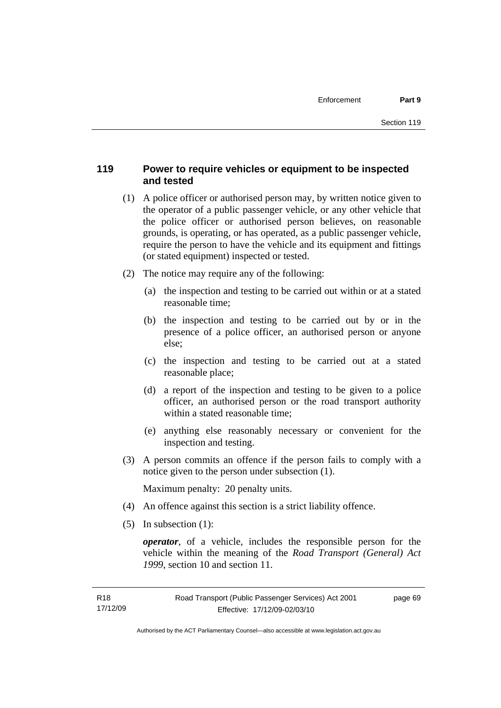# **119 Power to require vehicles or equipment to be inspected and tested**

- (1) A police officer or authorised person may, by written notice given to the operator of a public passenger vehicle, or any other vehicle that the police officer or authorised person believes, on reasonable grounds, is operating, or has operated, as a public passenger vehicle, require the person to have the vehicle and its equipment and fittings (or stated equipment) inspected or tested.
- (2) The notice may require any of the following:
	- (a) the inspection and testing to be carried out within or at a stated reasonable time;
	- (b) the inspection and testing to be carried out by or in the presence of a police officer, an authorised person or anyone else;
	- (c) the inspection and testing to be carried out at a stated reasonable place;
	- (d) a report of the inspection and testing to be given to a police officer, an authorised person or the road transport authority within a stated reasonable time;
	- (e) anything else reasonably necessary or convenient for the inspection and testing.
- (3) A person commits an offence if the person fails to comply with a notice given to the person under subsection (1).

Maximum penalty: 20 penalty units.

- (4) An offence against this section is a strict liability offence.
- (5) In subsection (1):

*operator*, of a vehicle, includes the responsible person for the vehicle within the meaning of the *Road Transport (General) Act 1999*, section 10 and section 11.

page 69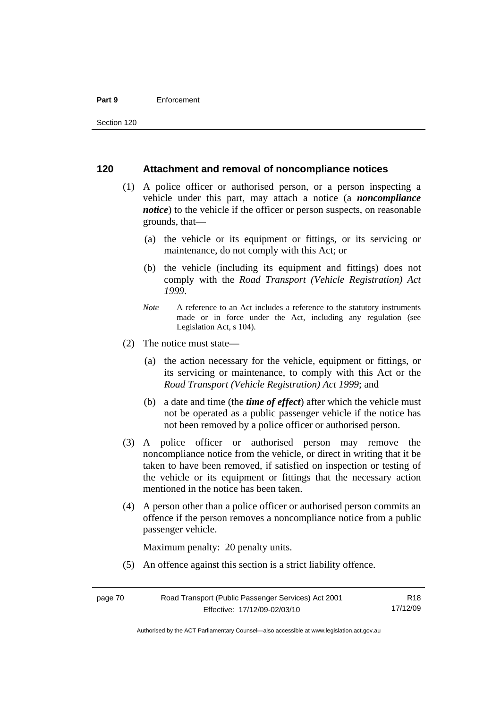#### **Part 9** Enforcement

### **120 Attachment and removal of noncompliance notices**

- (1) A police officer or authorised person, or a person inspecting a vehicle under this part, may attach a notice (a *noncompliance notice*) to the vehicle if the officer or person suspects, on reasonable grounds, that—
	- (a) the vehicle or its equipment or fittings, or its servicing or maintenance, do not comply with this Act; or
	- (b) the vehicle (including its equipment and fittings) does not comply with the *Road Transport (Vehicle Registration) Act 1999*.
	- *Note* A reference to an Act includes a reference to the statutory instruments made or in force under the Act, including any regulation (see Legislation Act, s 104).
- (2) The notice must state—
	- (a) the action necessary for the vehicle, equipment or fittings, or its servicing or maintenance, to comply with this Act or the *Road Transport (Vehicle Registration) Act 1999*; and
	- (b) a date and time (the *time of effect*) after which the vehicle must not be operated as a public passenger vehicle if the notice has not been removed by a police officer or authorised person.
- (3) A police officer or authorised person may remove the noncompliance notice from the vehicle, or direct in writing that it be taken to have been removed, if satisfied on inspection or testing of the vehicle or its equipment or fittings that the necessary action mentioned in the notice has been taken.
- (4) A person other than a police officer or authorised person commits an offence if the person removes a noncompliance notice from a public passenger vehicle.

Maximum penalty: 20 penalty units.

(5) An offence against this section is a strict liability offence.

Authorised by the ACT Parliamentary Counsel—also accessible at www.legislation.act.gov.au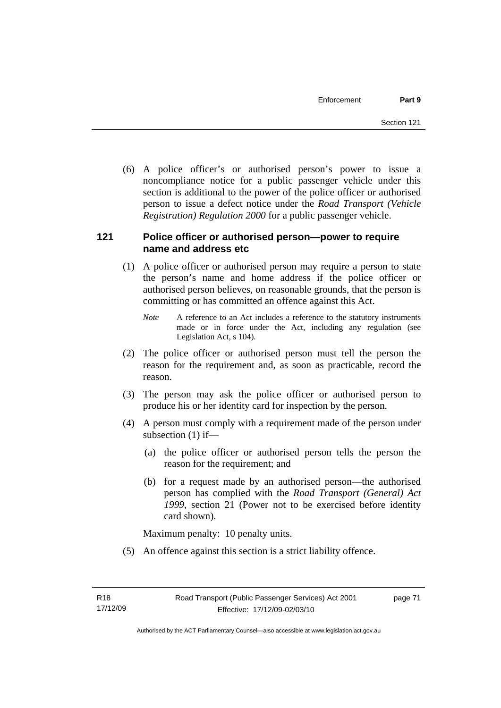(6) A police officer's or authorised person's power to issue a noncompliance notice for a public passenger vehicle under this section is additional to the power of the police officer or authorised person to issue a defect notice under the *Road Transport (Vehicle Registration) Regulation 2000* for a public passenger vehicle.

# **121 Police officer or authorised person—power to require name and address etc**

- (1) A police officer or authorised person may require a person to state the person's name and home address if the police officer or authorised person believes, on reasonable grounds, that the person is committing or has committed an offence against this Act.
	- *Note* A reference to an Act includes a reference to the statutory instruments made or in force under the Act, including any regulation (see Legislation Act, s 104).
- (2) The police officer or authorised person must tell the person the reason for the requirement and, as soon as practicable, record the reason.
- (3) The person may ask the police officer or authorised person to produce his or her identity card for inspection by the person.
- (4) A person must comply with a requirement made of the person under subsection (1) if—
	- (a) the police officer or authorised person tells the person the reason for the requirement; and
	- (b) for a request made by an authorised person—the authorised person has complied with the *Road Transport (General) Act 1999*, section 21 (Power not to be exercised before identity card shown).

Maximum penalty: 10 penalty units.

(5) An offence against this section is a strict liability offence.

page 71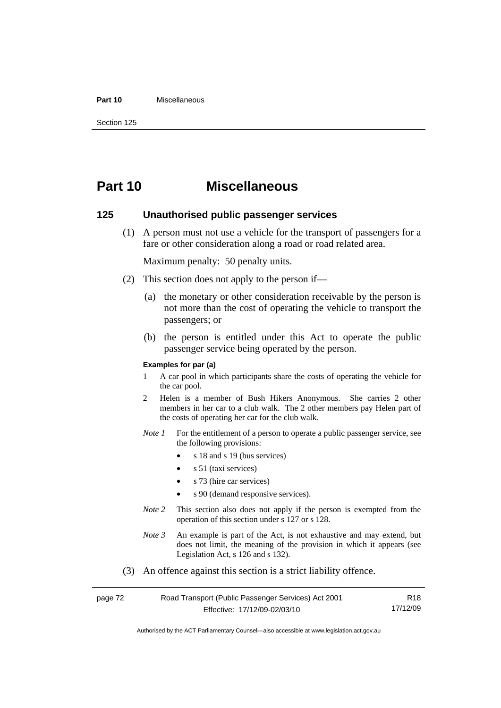#### **Part 10** Miscellaneous

Section 125

# **Part 10 Miscellaneous**

### **125 Unauthorised public passenger services**

 (1) A person must not use a vehicle for the transport of passengers for a fare or other consideration along a road or road related area.

Maximum penalty: 50 penalty units.

- (2) This section does not apply to the person if—
	- (a) the monetary or other consideration receivable by the person is not more than the cost of operating the vehicle to transport the passengers; or
	- (b) the person is entitled under this Act to operate the public passenger service being operated by the person.

#### **Examples for par (a)**

- 1 A car pool in which participants share the costs of operating the vehicle for the car pool.
- 2 Helen is a member of Bush Hikers Anonymous. She carries 2 other members in her car to a club walk. The 2 other members pay Helen part of the costs of operating her car for the club walk.
- *Note 1* For the entitlement of a person to operate a public passenger service, see the following provisions:
	- s 18 and s 19 (bus services)
	- $s$  51 (taxi services)
	- s 73 (hire car services)
	- s 90 (demand responsive services).
- *Note* 2 This section also does not apply if the person is exempted from the operation of this section under s 127 or s 128.
- *Note 3* An example is part of the Act, is not exhaustive and may extend, but does not limit, the meaning of the provision in which it appears (see Legislation Act, s 126 and s 132).
- (3) An offence against this section is a strict liability offence.

| page 72 | Road Transport (Public Passenger Services) Act 2001 | R18      |
|---------|-----------------------------------------------------|----------|
|         | Effective: 17/12/09-02/03/10                        | 17/12/09 |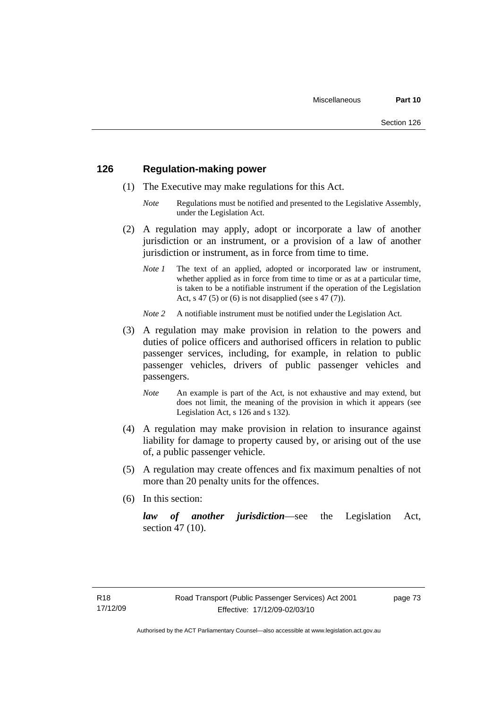## **126 Regulation-making power**

- (1) The Executive may make regulations for this Act.
	- *Note* Regulations must be notified and presented to the Legislative Assembly, under the Legislation Act.
- (2) A regulation may apply, adopt or incorporate a law of another jurisdiction or an instrument, or a provision of a law of another jurisdiction or instrument, as in force from time to time.
	- *Note 1* The text of an applied, adopted or incorporated law or instrument, whether applied as in force from time to time or as at a particular time, is taken to be a notifiable instrument if the operation of the Legislation Act, s 47 (5) or (6) is not disapplied (see s 47 (7)).
	- *Note 2* A notifiable instrument must be notified under the Legislation Act.
- (3) A regulation may make provision in relation to the powers and duties of police officers and authorised officers in relation to public passenger services, including, for example, in relation to public passenger vehicles, drivers of public passenger vehicles and passengers.
	- *Note* An example is part of the Act, is not exhaustive and may extend, but does not limit, the meaning of the provision in which it appears (see Legislation Act, s 126 and s 132).
- (4) A regulation may make provision in relation to insurance against liability for damage to property caused by, or arising out of the use of, a public passenger vehicle.
- (5) A regulation may create offences and fix maximum penalties of not more than 20 penalty units for the offences.
- (6) In this section:

*law of another jurisdiction*—see the Legislation Act, section 47 (10).

page 73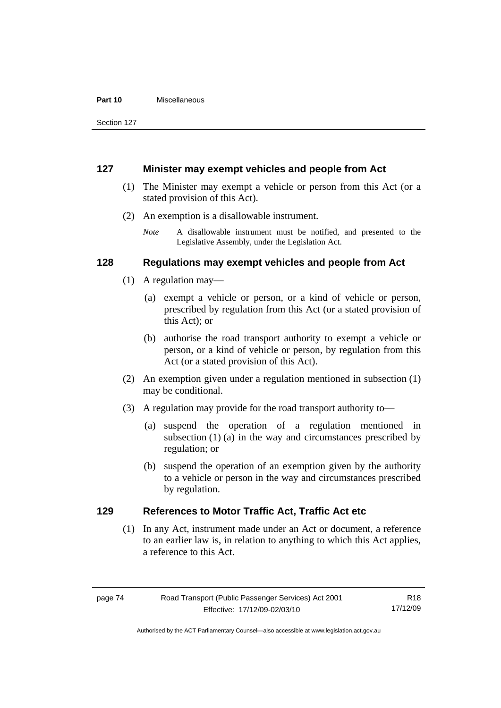#### **Part 10** Miscellaneous

Section 127

### **127 Minister may exempt vehicles and people from Act**

- (1) The Minister may exempt a vehicle or person from this Act (or a stated provision of this Act).
- (2) An exemption is a disallowable instrument.
	- *Note* A disallowable instrument must be notified, and presented to the Legislative Assembly, under the Legislation Act.

# **128 Regulations may exempt vehicles and people from Act**

- (1) A regulation may—
	- (a) exempt a vehicle or person, or a kind of vehicle or person, prescribed by regulation from this Act (or a stated provision of this Act); or
	- (b) authorise the road transport authority to exempt a vehicle or person, or a kind of vehicle or person, by regulation from this Act (or a stated provision of this Act).
- (2) An exemption given under a regulation mentioned in subsection (1) may be conditional.
- (3) A regulation may provide for the road transport authority to—
	- (a) suspend the operation of a regulation mentioned in subsection (1) (a) in the way and circumstances prescribed by regulation; or
	- (b) suspend the operation of an exemption given by the authority to a vehicle or person in the way and circumstances prescribed by regulation.

# **129 References to Motor Traffic Act, Traffic Act etc**

 (1) In any Act, instrument made under an Act or document, a reference to an earlier law is, in relation to anything to which this Act applies, a reference to this Act.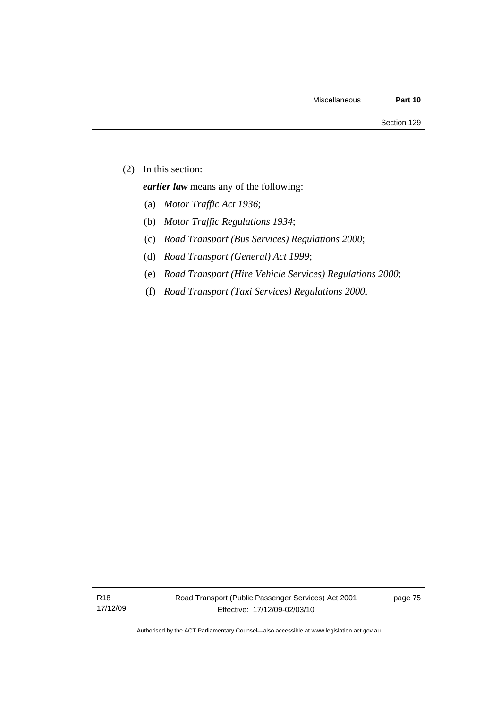(2) In this section:

*earlier law* means any of the following:

- (a) *Motor Traffic Act 1936*;
- (b) *Motor Traffic Regulations 1934*;
- (c) *Road Transport (Bus Services) Regulations 2000*;
- (d) *Road Transport (General) Act 1999*;
- (e) *Road Transport (Hire Vehicle Services) Regulations 2000*;
- (f) *Road Transport (Taxi Services) Regulations 2000*.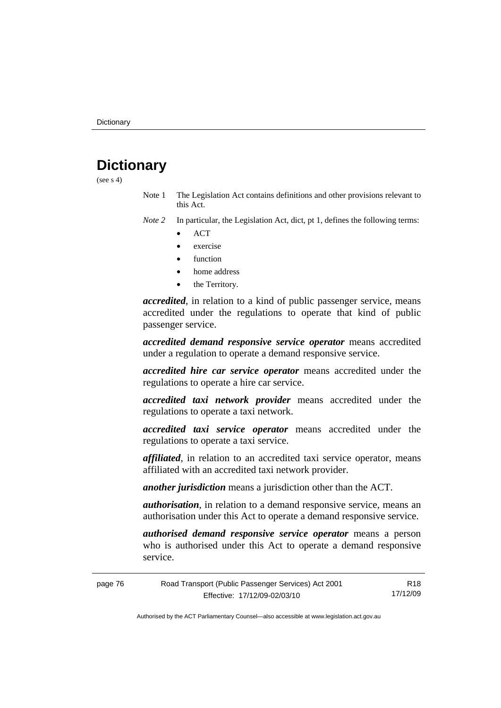# **Dictionary**

(see  $s$  4)

Note 1 The Legislation Act contains definitions and other provisions relevant to this Act.

*Note 2* In particular, the Legislation Act, dict, pt 1, defines the following terms:

- ACT
- exercise
- function
- home address
- the Territory.

*accredited*, in relation to a kind of public passenger service, means accredited under the regulations to operate that kind of public passenger service.

*accredited demand responsive service operator* means accredited under a regulation to operate a demand responsive service.

*accredited hire car service operator* means accredited under the regulations to operate a hire car service.

*accredited taxi network provider* means accredited under the regulations to operate a taxi network.

*accredited taxi service operator* means accredited under the regulations to operate a taxi service.

*affiliated*, in relation to an accredited taxi service operator, means affiliated with an accredited taxi network provider.

*another jurisdiction* means a jurisdiction other than the ACT.

*authorisation*, in relation to a demand responsive service, means an authorisation under this Act to operate a demand responsive service.

*authorised demand responsive service operator* means a person who is authorised under this Act to operate a demand responsive service.

| page 76 | Road Transport (Public Passenger Services) Act 2001 | R18      |
|---------|-----------------------------------------------------|----------|
|         | Effective: 17/12/09-02/03/10                        | 17/12/09 |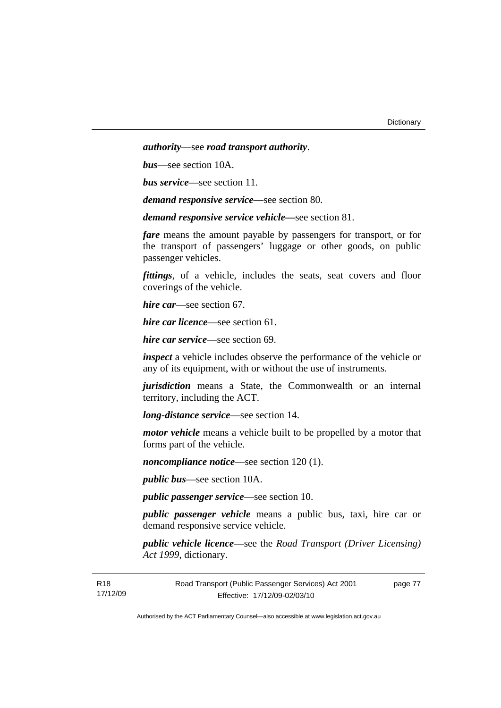*authority*—see *road transport authority*.

*bus*—see section 10A.

*bus service*—see section 11.

*demand responsive service—*see section 80.

*demand responsive service vehicle—*see section 81.

*fare* means the amount payable by passengers for transport, or for the transport of passengers' luggage or other goods, on public passenger vehicles.

*fittings*, of a vehicle, includes the seats, seat covers and floor coverings of the vehicle.

*hire car*—see section 67.

*hire car licence*—see section 61.

*hire car service*—see section 69.

*inspect* a vehicle includes observe the performance of the vehicle or any of its equipment, with or without the use of instruments.

*jurisdiction* means a State, the Commonwealth or an internal territory, including the ACT.

*long-distance service*—see section 14.

*motor vehicle* means a vehicle built to be propelled by a motor that forms part of the vehicle.

*noncompliance notice*—see section 120 (1).

*public bus*—see section 10A.

*public passenger service*—see section 10.

*public passenger vehicle* means a public bus, taxi, hire car or demand responsive service vehicle.

*public vehicle licence*—see the *Road Transport (Driver Licensing) Act 1999*, dictionary.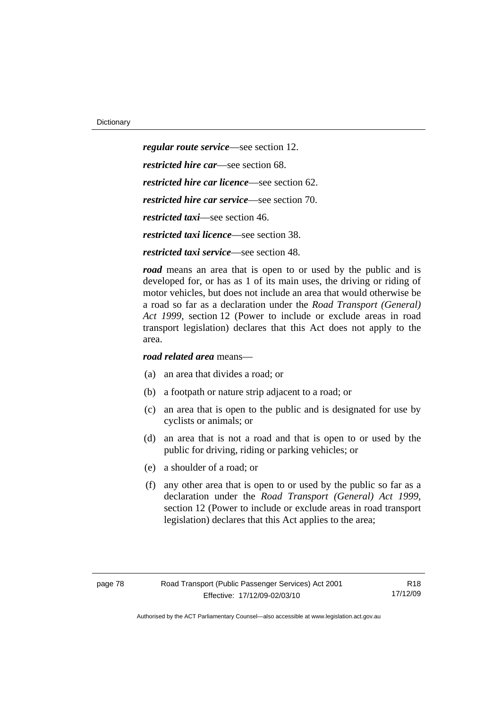*regular route service*—see section 12. *restricted hire car*—see section 68. *restricted hire car licence*—see section 62. *restricted hire car service*—see section 70. *restricted taxi*—see section 46. *restricted taxi licence*—see section 38.

*restricted taxi service*—see section 48.

*road* means an area that is open to or used by the public and is developed for, or has as 1 of its main uses, the driving or riding of motor vehicles, but does not include an area that would otherwise be a road so far as a declaration under the *Road Transport (General) Act 1999*, section 12 (Power to include or exclude areas in road transport legislation) declares that this Act does not apply to the area.

*road related area* means—

- (a) an area that divides a road; or
- (b) a footpath or nature strip adjacent to a road; or
- (c) an area that is open to the public and is designated for use by cyclists or animals; or
- (d) an area that is not a road and that is open to or used by the public for driving, riding or parking vehicles; or
- (e) a shoulder of a road; or
- (f) any other area that is open to or used by the public so far as a declaration under the *Road Transport (General) Act 1999*, section 12 (Power to include or exclude areas in road transport legislation) declares that this Act applies to the area;

R18 17/12/09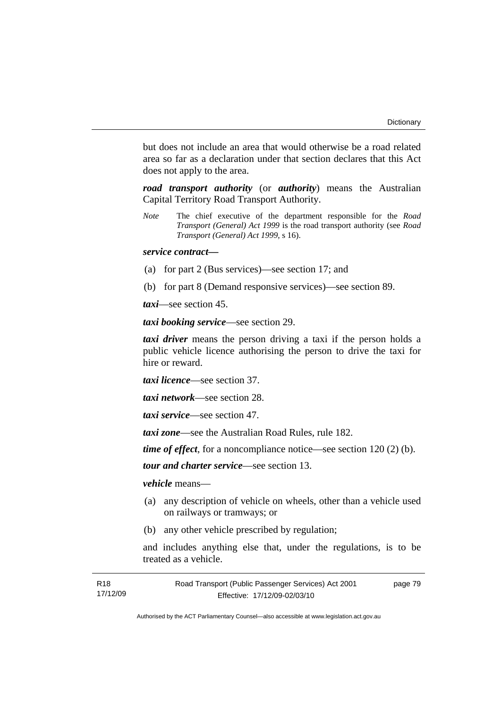but does not include an area that would otherwise be a road related area so far as a declaration under that section declares that this Act does not apply to the area.

*road transport authority* (or *authority*) means the Australian Capital Territory Road Transport Authority.

*Note* The chief executive of the department responsible for the *Road Transport (General) Act 1999* is the road transport authority (see *Road Transport (General) Act 1999*, s 16).

### *service contract—*

- (a) for part 2 (Bus services)—see section 17; and
- (b) for part 8 (Demand responsive services)—see section 89.

*taxi*—see section 45.

*taxi booking service*—see section 29.

*taxi driver* means the person driving a taxi if the person holds a public vehicle licence authorising the person to drive the taxi for hire or reward.

*taxi licence*—see section 37.

*taxi network*—see section 28.

*taxi service*—see section 47.

*taxi zone*—see the Australian Road Rules, rule 182.

*time of effect*, for a noncompliance notice—see section 120 (2) (b).

*tour and charter service*—see section 13.

*vehicle* means—

- (a) any description of vehicle on wheels, other than a vehicle used on railways or tramways; or
- (b) any other vehicle prescribed by regulation;

and includes anything else that, under the regulations, is to be treated as a vehicle.

| R18      | Road Transport (Public Passenger Services) Act 2001 | page 79 |
|----------|-----------------------------------------------------|---------|
| 17/12/09 | Effective: 17/12/09-02/03/10                        |         |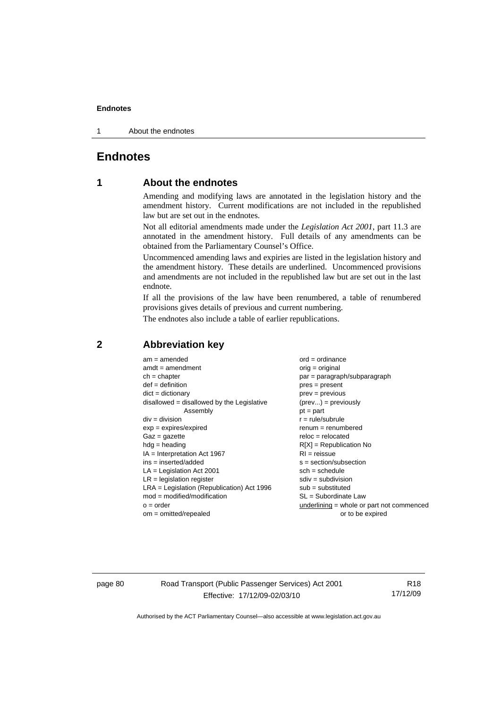1 About the endnotes

# **Endnotes**

# **1 About the endnotes**

Amending and modifying laws are annotated in the legislation history and the amendment history. Current modifications are not included in the republished law but are set out in the endnotes.

Not all editorial amendments made under the *Legislation Act 2001*, part 11.3 are annotated in the amendment history. Full details of any amendments can be obtained from the Parliamentary Counsel's Office.

Uncommenced amending laws and expiries are listed in the legislation history and the amendment history. These details are underlined. Uncommenced provisions and amendments are not included in the republished law but are set out in the last endnote.

If all the provisions of the law have been renumbered, a table of renumbered provisions gives details of previous and current numbering.

The endnotes also include a table of earlier republications.

| $am = amended$                               | $ord = ordinance$                         |
|----------------------------------------------|-------------------------------------------|
| $amdt = amendment$                           | $orig = original$                         |
| $ch = chapter$                               | par = paragraph/subparagraph              |
| $def = definition$                           | $pres = present$                          |
| $dict = dictionary$                          | $prev = previous$                         |
| disallowed = disallowed by the Legislative   | $(\text{prev}) = \text{previously}$       |
| Assembly                                     | $pt = part$                               |
| $div = division$                             | $r = rule/subrule$                        |
| $exp = expires/expired$                      | $renum = renumbered$                      |
| $Gaz = gazette$                              | $reloc = relocated$                       |
| $hdg =$ heading                              | $R[X]$ = Republication No                 |
| $IA = Interpretation Act 1967$               | $RI = reissue$                            |
| $ins = inserted/added$                       | $s = section/subsection$                  |
| $LA =$ Legislation Act 2001                  | $sch = schedule$                          |
| $LR =$ legislation register                  | $sdiv = subdivision$                      |
| $LRA =$ Legislation (Republication) Act 1996 | $sub = substituted$                       |
| $mod = modified/modification$                | SL = Subordinate Law                      |
| $o = order$                                  | underlining = whole or part not commenced |
| $om = omitted/repealed$                      | or to be expired                          |
|                                              |                                           |

## **2 Abbreviation key**

page 80 Road Transport (Public Passenger Services) Act 2001 Effective: 17/12/09-02/03/10

R18 17/12/09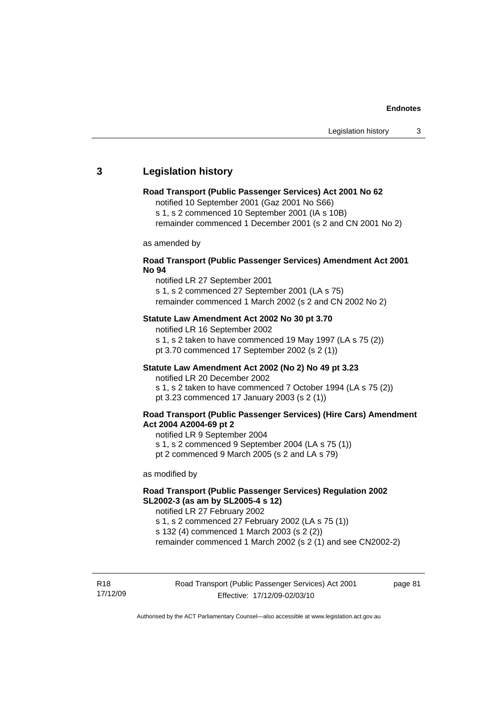# **3 Legislation history**

#### **Road Transport (Public Passenger Services) Act 2001 No 62**

notified 10 September 2001 (Gaz 2001 No S66)

s 1, s 2 commenced 10 September 2001 (IA s 10B)

remainder commenced 1 December 2001 (s 2 and CN 2001 No 2)

as amended by

#### **Road Transport (Public Passenger Services) Amendment Act 2001 No 94**

notified LR 27 September 2001

s 1, s 2 commenced 27 September 2001 (LA s 75) remainder commenced 1 March 2002 (s 2 and CN 2002 No 2)

#### **Statute Law Amendment Act 2002 No 30 pt 3.70**

notified LR 16 September 2002 s 1, s 2 taken to have commenced 19 May 1997 (LA s 75 (2)) pt 3.70 commenced 17 September 2002 (s 2 (1))

#### **Statute Law Amendment Act 2002 (No 2) No 49 pt 3.23**

notified LR 20 December 2002

s 1, s 2 taken to have commenced 7 October 1994 (LA s 75 (2)) pt 3.23 commenced 17 January 2003 (s 2 (1))

#### **Road Transport (Public Passenger Services) (Hire Cars) Amendment Act 2004 A2004-69 pt 2**

notified LR 9 September 2004

s 1, s 2 commenced 9 September 2004 (LA s 75 (1))

pt 2 commenced 9 March 2005 (s 2 and LA s 79)

as modified by

### **Road Transport (Public Passenger Services) Regulation 2002 SL2002-3 (as am by SL2005-4 s 12)**

notified LR 27 February 2002 s 1, s 2 commenced 27 February 2002 (LA s 75 (1))

s 132 (4) commenced 1 March 2003 (s 2 (2))

remainder commenced 1 March 2002 (s 2 (1) and see CN2002-2)

R18 17/12/09 page 81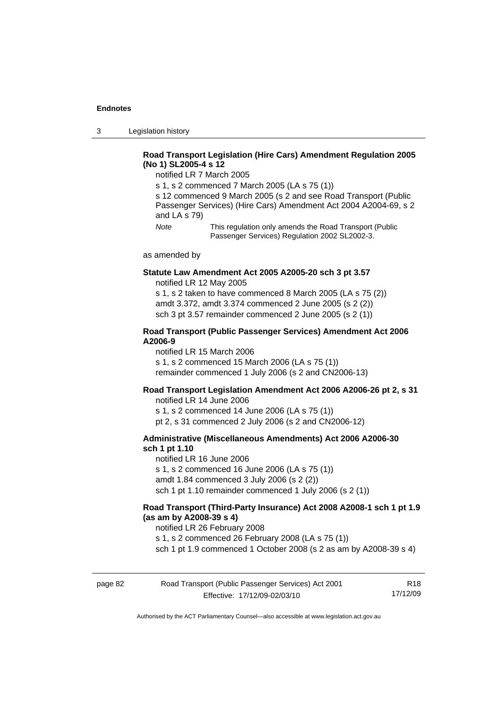3 Legislation history

### **Road Transport Legislation (Hire Cars) Amendment Regulation 2005 (No 1) SL2005-4 s 12**

notified LR 7 March 2005

s 1, s 2 commenced 7 March 2005 (LA s 75 (1))

s 12 commenced 9 March 2005 (s 2 and see Road Transport (Public Passenger Services) (Hire Cars) Amendment Act 2004 A2004-69, s 2 and LA s 79)

*Note* This regulation only amends the Road Transport (Public Passenger Services) Regulation 2002 SL2002-3.

as amended by

#### **Statute Law Amendment Act 2005 A2005-20 sch 3 pt 3.57**  notified LR 12 May 2005

s 1, s 2 taken to have commenced 8 March 2005 (LA s 75 (2)) amdt 3.372, amdt 3.374 commenced 2 June 2005 (s 2 (2)) sch 3 pt 3.57 remainder commenced 2 June 2005 (s 2 (1))

#### **Road Transport (Public Passenger Services) Amendment Act 2006 A2006-9**

notified LR 15 March 2006 s 1, s 2 commenced 15 March 2006 (LA s 75 (1)) remainder commenced 1 July 2006 (s 2 and CN2006-13)

#### **Road Transport Legislation Amendment Act 2006 A2006-26 pt 2, s 31**

notified LR 14 June 2006 s 1, s 2 commenced 14 June 2006 (LA s 75 (1)) pt 2, s 31 commenced 2 July 2006 (s 2 and CN2006-12)

#### **Administrative (Miscellaneous Amendments) Act 2006 A2006-30 sch 1 pt 1.10**

notified LR 16 June 2006 s 1, s 2 commenced 16 June 2006 (LA s 75 (1)) amdt 1.84 commenced 3 July 2006 (s 2 (2)) sch 1 pt 1.10 remainder commenced 1 July 2006 (s 2 (1))

#### **Road Transport (Third-Party Insurance) Act 2008 A2008-1 sch 1 pt 1.9 (as am by A2008-39 s 4)**

notified LR 26 February 2008

s 1, s 2 commenced 26 February 2008 (LA s 75 (1))

sch 1 pt 1.9 commenced 1 October 2008 (s 2 as am by A2008-39 s 4)

| page 82 | Road Transport (Public Passenger Services) Act 2001 | R18      |
|---------|-----------------------------------------------------|----------|
|         | Effective: 17/12/09-02/03/10                        | 17/12/09 |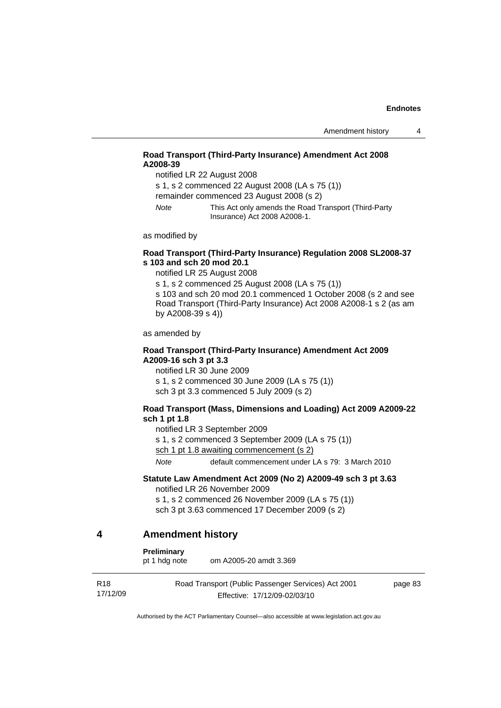### **Road Transport (Third-Party Insurance) Amendment Act 2008 A2008-39**

notified LR 22 August 2008

s 1, s 2 commenced 22 August 2008 (LA s 75 (1))

remainder commenced 23 August 2008 (s 2)

*Note* This Act only amends the Road Transport (Third-Party Insurance) Act 2008 A2008-1.

as modified by

#### **Road Transport (Third-Party Insurance) Regulation 2008 SL2008-37 s 103 and sch 20 mod 20.1**

notified LR 25 August 2008

s 1, s 2 commenced 25 August 2008 (LA s 75 (1)) s 103 and sch 20 mod 20.1 commenced 1 October 2008 (s 2 and see Road Transport (Third-Party Insurance) Act 2008 A2008-1 s 2 (as am by A2008-39 s 4))

as amended by

#### **Road Transport (Third-Party Insurance) Amendment Act 2009 A2009-16 sch 3 pt 3.3**

notified LR 30 June 2009 s 1, s 2 commenced 30 June 2009 (LA s 75 (1)) sch 3 pt 3.3 commenced 5 July 2009 (s 2)

#### **Road Transport (Mass, Dimensions and Loading) Act 2009 A2009-22 sch 1 pt 1.8**

notified LR 3 September 2009

s 1, s 2 commenced 3 September 2009 (LA s 75 (1))

sch 1 pt 1.8 awaiting commencement (s 2)

*Note* default commencement under LA s 79: 3 March 2010

# **Statute Law Amendment Act 2009 (No 2) A2009-49 sch 3 pt 3.63**

notified LR 26 November 2009

s 1, s 2 commenced 26 November 2009 (LA s 75 (1)) sch 3 pt 3.63 commenced 17 December 2009 (s 2)

### **4 Amendment history**

**Preliminary** 

pt 1 hdg note om A2005-20 amdt 3.369

| R18      | Road Transport (Public Passenger Services) Act 2001 | page 83 |
|----------|-----------------------------------------------------|---------|
| 17/12/09 | Effective: 17/12/09-02/03/10                        |         |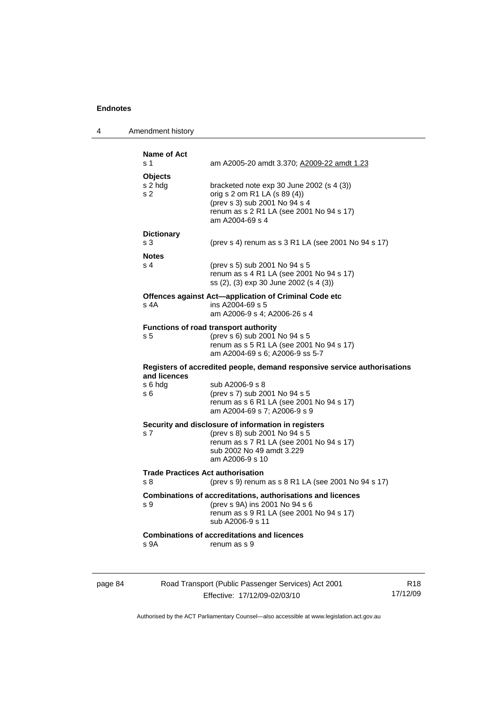| 4       | Amendment history                               |                                                                                                                                                                                  |                 |
|---------|-------------------------------------------------|----------------------------------------------------------------------------------------------------------------------------------------------------------------------------------|-----------------|
|         | Name of Act<br>s 1                              | am A2005-20 amdt 3.370; A2009-22 amdt 1.23                                                                                                                                       |                 |
|         | <b>Objects</b><br>s 2 hdg<br>s 2                | bracketed note exp 30 June 2002 (s 4 (3))<br>orig s 2 om R1 LA (s 89 (4))<br>(prev s 3) sub 2001 No 94 s 4<br>renum as s 2 R1 LA (see 2001 No 94 s 17)<br>am A2004-69 s 4        |                 |
|         | <b>Dictionary</b><br>s 3                        | (prev s 4) renum as s 3 R1 LA (see 2001 No 94 s 17)                                                                                                                              |                 |
|         | <b>Notes</b><br>s 4                             | (prev s 5) sub 2001 No 94 s 5<br>renum as s 4 R1 LA (see 2001 No 94 s 17)<br>ss (2), (3) exp 30 June 2002 (s 4 (3))                                                              |                 |
|         | s 4A                                            | Offences against Act-application of Criminal Code etc<br>ins A2004-69 s 5<br>am A2006-9 s 4; A2006-26 s 4                                                                        |                 |
|         | s 5                                             | <b>Functions of road transport authority</b><br>(prev s 6) sub 2001 No 94 s 5<br>renum as s 5 R1 LA (see 2001 No 94 s 17)<br>am A2004-69 s 6; A2006-9 ss 5-7                     |                 |
|         | and licences                                    | Registers of accredited people, demand responsive service authorisations                                                                                                         |                 |
|         | s 6 hdg<br>s 6                                  | sub A2006-9 s 8<br>(prev s 7) sub 2001 No 94 s 5<br>renum as s 6 R1 LA (see 2001 No 94 s 17)<br>am A2004-69 s 7; A2006-9 s 9                                                     |                 |
|         | s 7                                             | Security and disclosure of information in registers<br>(prev s 8) sub 2001 No 94 s 5<br>renum as s 7 R1 LA (see 2001 No 94 s 17)<br>sub 2002 No 49 amdt 3.229<br>am A2006-9 s 10 |                 |
|         | <b>Trade Practices Act authorisation</b><br>s 8 | (prev s 9) renum as s 8 R1 LA (see 2001 No 94 s 17)                                                                                                                              |                 |
|         | ร ษ                                             | Combinations of accreditations, authorisations and licences<br>(prev s 9A) ins 2001 No 94 s 6<br>renum as s 9 R1 LA (see 2001 No 94 s 17)<br>sub A2006-9 s 11                    |                 |
|         | s 9A                                            | <b>Combinations of accreditations and licences</b><br>renum as s 9                                                                                                               |                 |
| page 84 |                                                 | Road Transport (Public Passenger Services) Act 2001                                                                                                                              | R <sub>18</sub> |

Effective: 17/12/09-02/03/10

R18 17/12/09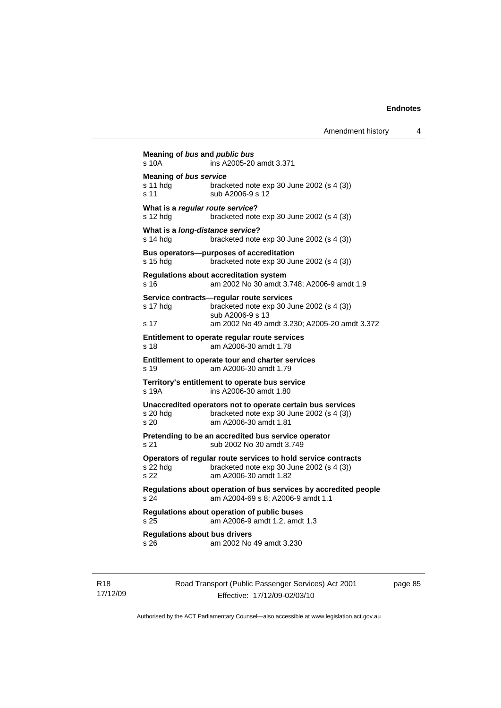```
Meaning of bus and public bus
s 10A ins A2005-20 amdt 3.371
Meaning of bus service
s 11 hdg bracketed note exp 30 June 2002 (s 4 (3)) 
s 11 sub A2006-9 s 12
What is a regular route service? 
s 12 hdg bracketed note exp 30 June 2002 (s 4 (3)) 
What is a long-distance service? 
s 14 hdg bracketed note exp 30 June 2002 (s 4 (3))
Bus operators—purposes of accreditation 
s 15 hdg bracketed note exp 30 June 2002 (s 4 (3)) 
Regulations about accreditation system 
s 16 am 2002 No 30 amdt 3.748; A2006-9 amdt 1.9 
Service contracts—regular route services 
s 17 hdg bracketed note exp 30 June 2002 (s 4 (3)) 
                  sub A2006-9 s 13 
s 17 am 2002 No 49 amdt 3.230; A2005-20 amdt 3.372 
Entitlement to operate regular route services 
s 18 am A2006-30 amdt 1.78 
Entitlement to operate tour and charter services 
s 19 am A2006-30 amdt 1.79 
Territory's entitlement to operate bus service 
s 19A ins A2006-30 amdt 1.80 
Unaccredited operators not to operate certain bus services 
s 20 hdg bracketed note exp 30 June 2002 (s 4 (3)) 
s 20 am A2006-30 amdt 1.81 
Pretending to be an accredited bus service operator 
s 21 sub 2002 No 30 amdt 3.749 
Operators of regular route services to hold service contracts 
s 22 hdg bracketed note exp 30 June 2002 (s 4 (3))<br>s 22 am A2006-30 amdt 1 82
                s 22 am A2006-30 amdt 1.82 
Regulations about operation of bus services by accredited people 
s 24 am A2004-69 s 8; A2006-9 amdt 1.1 
Regulations about operation of public buses 
s 25 am A2006-9 amdt 1.2, amdt 1.3 
Regulations about bus drivers 
s 26 am 2002 No 49 amdt 3.230
```
R18 17/12/09 Road Transport (Public Passenger Services) Act 2001 Effective: 17/12/09-02/03/10

page 85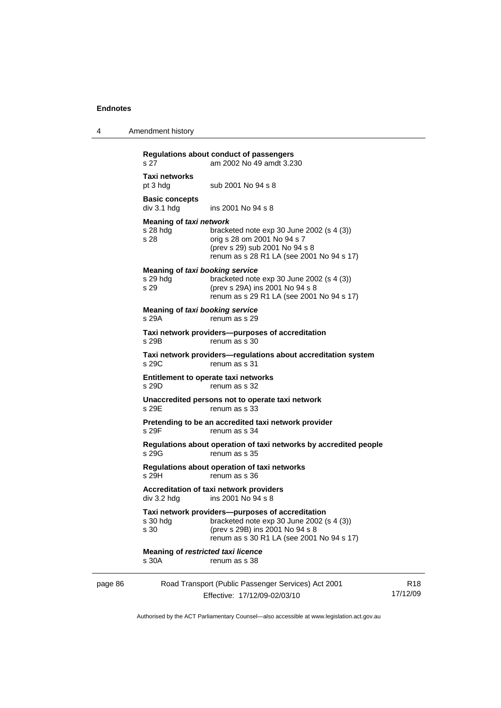| $\boldsymbol{\Lambda}$ | Amendment history |  |
|------------------------|-------------------|--|
|------------------------|-------------------|--|

|         | s 27                                                | Regulations about conduct of passengers<br>am 2002 No 49 amdt 3.230                                                                                                              |                             |
|---------|-----------------------------------------------------|----------------------------------------------------------------------------------------------------------------------------------------------------------------------------------|-----------------------------|
|         | Taxi networks<br>pt 3 hdg                           | sub 2001 No 94 s 8                                                                                                                                                               |                             |
|         | <b>Basic concepts</b><br>div 3.1 hdg                | ins 2001 No 94 s 8                                                                                                                                                               |                             |
|         | Meaning of taxi network<br>s 28 hdg<br>s 28         | bracketed note $exp 30$ June 2002 (s 4 (3))<br>orig s 28 om 2001 No 94 s 7<br>(prev s 29) sub 2001 No 94 s 8<br>renum as s 28 R1 LA (see 2001 No 94 s 17)                        |                             |
|         | Meaning of taxi booking service<br>s 29 hdg<br>s 29 | bracketed note $exp 30$ June 2002 (s 4 (3))<br>(prev s 29A) ins 2001 No 94 s 8<br>renum as s 29 R1 LA (see 2001 No 94 s 17)                                                      |                             |
|         | <b>Meaning of taxi booking service</b><br>s 29A     | renum as s 29                                                                                                                                                                    |                             |
|         | s 29B                                               | Taxi network providers-purposes of accreditation<br>renum as s 30                                                                                                                |                             |
|         | s 29C                                               | Taxi network providers-regulations about accreditation system<br>renum as s 31                                                                                                   |                             |
|         | s 29D                                               | Entitlement to operate taxi networks<br>renum as s 32                                                                                                                            |                             |
|         | s 29E                                               | Unaccredited persons not to operate taxi network<br>renum as s 33                                                                                                                |                             |
|         | s 29F                                               | Pretending to be an accredited taxi network provider<br>renum as s 34                                                                                                            |                             |
|         | s 29G                                               | Regulations about operation of taxi networks by accredited people<br>renum as s 35                                                                                               |                             |
|         | s 29H                                               | Regulations about operation of taxi networks<br>renum as s 36                                                                                                                    |                             |
|         | div 3.2 hdg                                         | Accreditation of taxi network providers<br>ins 2001 No 94 s 8                                                                                                                    |                             |
|         | s 30 hdg<br>s 30                                    | Taxi network providers--purposes of accreditation<br>bracketed note $exp 30$ June 2002 (s 4 (3))<br>(prev s 29B) ins 2001 No 94 s 8<br>renum as s 30 R1 LA (see 2001 No 94 s 17) |                             |
|         | Meaning of restricted taxi licence<br>s 30A         | renum as s 38                                                                                                                                                                    |                             |
| page 86 |                                                     | Road Transport (Public Passenger Services) Act 2001<br>Effective: 17/12/09-02/03/10                                                                                              | R <sub>18</sub><br>17/12/09 |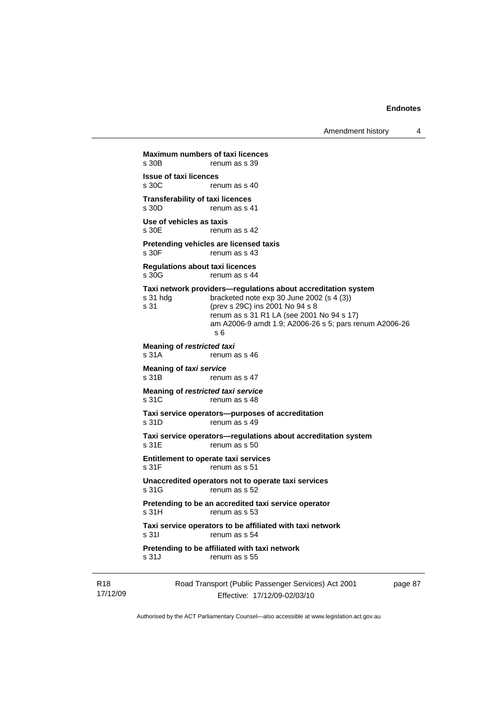Amendment history 4

Road Transport (Public Passenger Services) Act 2001 **Maximum numbers of taxi licences**<br>s 30B renum as s 39 renum as s 39 **Issue of taxi licences**  renum as s 40 **Transferability of taxi licences**<br>s 30D renum as s 4 renum as s 41 **Use of vehicles as taxis**  s 30E renum as s 42 **Pretending vehicles are licensed taxis**  s 30F renum as s 43 **Regulations about taxi licences**  s 30G renum as s 44 **Taxi network providers—regulations about accreditation system**  s 31 hdg bracketed note exp 30 June 2002 (s 4 (3)) s 31 (prev s 29C) ins 2001 No 94 s 8 renum as s 31 R1 LA (see 2001 No 94 s 17) am A2006-9 amdt 1.9; A2006-26 s 5; pars renum A2006-26 s 6 **Meaning of** *restricted taxi* s 31A renum as s 46 **Meaning of** *taxi service*  s 31B renum as s 47 **Meaning of** *restricted taxi service*  s 31C renum as s 48 **Taxi service operators—purposes of accreditation**  s 31D renum as s 49 **Taxi service operators—regulations about accreditation system**  s 31E renum as s 50 **Entitlement to operate taxi services**  s 31F renum as s 51 **Unaccredited operators not to operate taxi services**  s 31G renum as s 52 **Pretending to be an accredited taxi service operator**  s 31H renum as s 53 **Taxi service operators to be affiliated with taxi network**  s 31I renum as s 54 **Pretending to be affiliated with taxi network**  s 31J renum as s 55

R18 17/12/09

Effective: 17/12/09-02/03/10

page 87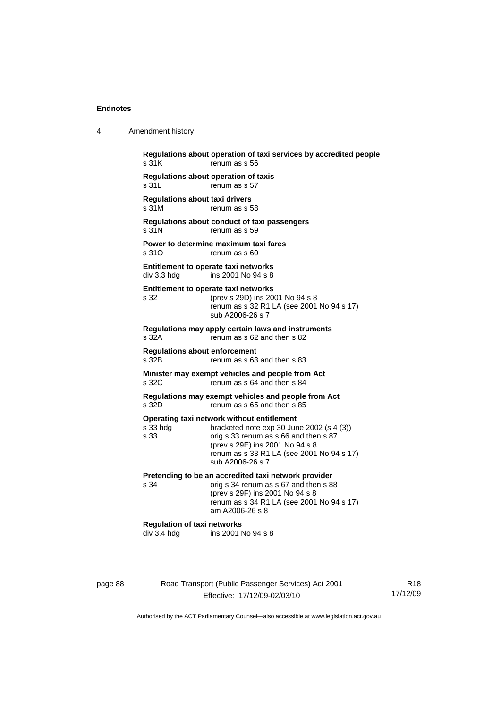4 Amendment history

| s 31K                                          | renum as s 56                                                                                                                                                                                                                        |
|------------------------------------------------|--------------------------------------------------------------------------------------------------------------------------------------------------------------------------------------------------------------------------------------|
| s 31L                                          | Regulations about operation of taxis<br>renum as s 57                                                                                                                                                                                |
| <b>Regulations about taxi drivers</b><br>s 31M | renum as s 58                                                                                                                                                                                                                        |
| s 31N                                          | Regulations about conduct of taxi passengers<br>renum as s 59                                                                                                                                                                        |
| s 310                                          | Power to determine maximum taxi fares<br>renum as s 60                                                                                                                                                                               |
| div 3.3 hdg                                    | <b>Entitlement to operate taxi networks</b><br>ins 2001 No 94 s 8                                                                                                                                                                    |
| s 32                                           | Entitlement to operate taxi networks<br>(prev s 29D) ins 2001 No 94 s 8<br>renum as s 32 R1 LA (see 2001 No 94 s 17)<br>sub A2006-26 s 7                                                                                             |
| s 32A                                          | Regulations may apply certain laws and instruments<br>renum as s 62 and then s 82                                                                                                                                                    |
| <b>Regulations about enforcement</b><br>s 32B  | renum as s 63 and then s 83                                                                                                                                                                                                          |
| s 32C                                          | Minister may exempt vehicles and people from Act<br>renum as s 64 and then s 84                                                                                                                                                      |
| s 32D                                          | Regulations may exempt vehicles and people from Act<br>renum as s 65 and then s 85                                                                                                                                                   |
| s 33 hdg<br>s 33                               | Operating taxi network without entitlement<br>bracketed note exp 30 June 2002 (s 4 (3))<br>orig s 33 renum as s 66 and then s 87<br>(prev s 29E) ins 2001 No 94 s 8<br>renum as s 33 R1 LA (see 2001 No 94 s 17)<br>sub A2006-26 s 7 |
| s.34                                           | Pretending to be an accredited taxi network provider<br>orig s 34 renum as s 67 and then s 88<br>(prev s 29F) ins 2001 No 94 s 8<br>renum as s 34 R1 LA (see 2001 No 94 s 17)<br>am A2006-26 s 8                                     |
|                                                |                                                                                                                                                                                                                                      |

page 88 Road Transport (Public Passenger Services) Act 2001 Effective: 17/12/09-02/03/10

R18 17/12/09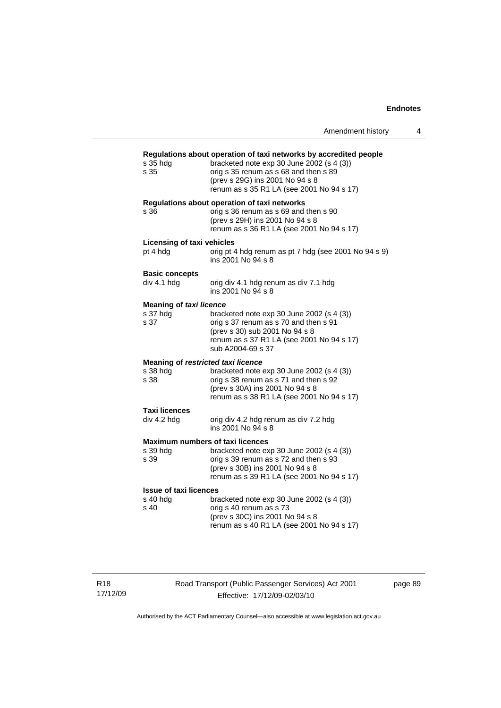|                                                   | Amendment history                                                                                                                                                                                                                         |
|---------------------------------------------------|-------------------------------------------------------------------------------------------------------------------------------------------------------------------------------------------------------------------------------------------|
| s 35 hda<br>s 35                                  | Regulations about operation of taxi networks by accredited people<br>bracketed note $exp 30$ June 2002 (s 4 (3))<br>orig s 35 renum as s 68 and then s 89<br>(prev s 29G) ins 2001 No 94 s 8<br>renum as s 35 R1 LA (see 2001 No 94 s 17) |
| s 36                                              | Regulations about operation of taxi networks<br>orig s 36 renum as s 69 and then s 90<br>(prev s 29H) ins 2001 No 94 s 8<br>renum as s 36 R1 LA (see 2001 No 94 s 17)                                                                     |
| Licensing of taxi vehicles<br>pt 4 hdg            | orig pt 4 hdg renum as pt 7 hdg (see 2001 No 94 s 9)<br>ins 2001 No 94 s 8                                                                                                                                                                |
| <b>Basic concepts</b><br>div 4.1 hdg              | orig div 4.1 hdg renum as div 7.1 hdg<br>ins 2001 No 94 s 8                                                                                                                                                                               |
| Meaning of taxi licence<br>s 37 hdg<br>s 37       | bracketed note $\exp 30$ June 2002 (s 4 (3))<br>orig s 37 renum as s 70 and then s 91<br>(prev s 30) sub 2001 No 94 s 8<br>renum as s 37 R1 LA (see 2001 No 94 s 17)<br>sub A2004-69 s 37                                                 |
| s 38 hda<br>s 38                                  | Meaning of restricted taxi licence<br>bracketed note exp 30 June 2002 (s 4 (3))<br>orig s 38 renum as s 71 and then s 92<br>(prev s 30A) ins 2001 No 94 s 8<br>renum as s 38 R1 LA (see 2001 No 94 s 17)                                  |
| <b>Taxi licences</b><br>div 4.2 hdg               | orig div 4.2 hdg renum as div 7.2 hdg<br>ins 2001 No 94 s 8                                                                                                                                                                               |
| s 39 hda<br>s 39                                  | <b>Maximum numbers of taxi licences</b><br>bracketed note $exp 30$ June 2002 (s 4 (3))<br>orig s 39 renum as s 72 and then s 93<br>(prev s 30B) ins 2001 No 94 s 8<br>renum as s 39 R1 LA (see 2001 No 94 s 17)                           |
| <b>Issue of taxi licences</b><br>s 40 hdg<br>s 40 | bracketed note exp 30 June 2002 (s 4 (3))<br>orig s 40 renum as s 73<br>(prev s 30C) ins 2001 No 94 s 8<br>renum as s 40 R1 LA (see 2001 No 94 s 17)                                                                                      |

R18 17/12/09 Road Transport (Public Passenger Services) Act 2001 Effective: 17/12/09-02/03/10

page 89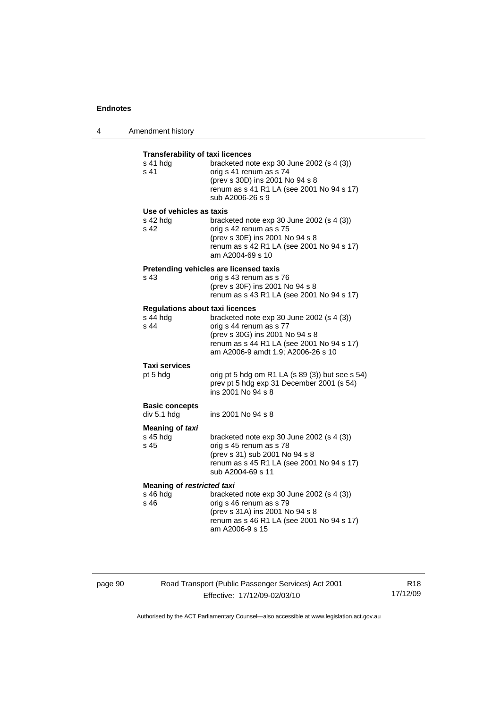| 4 | Amendment history                                           |                                                                                                                                                                                              |
|---|-------------------------------------------------------------|----------------------------------------------------------------------------------------------------------------------------------------------------------------------------------------------|
|   | <b>Transferability of taxi licences</b><br>s 41 hdg<br>s 41 | bracketed note exp 30 June 2002 (s 4 (3))<br>orig s 41 renum as s 74<br>(prev s 30D) ins 2001 No 94 s 8<br>renum as s 41 R1 LA (see 2001 No 94 s 17)<br>sub A2006-26 s 9                     |
|   | Use of vehicles as taxis<br>s 42 hda<br>s 42                | bracketed note $exp 30$ June 2002 (s 4 (3))<br>orig s 42 renum as s 75<br>(prev s 30E) ins 2001 No 94 s 8<br>renum as s 42 R1 LA (see 2001 No 94 s 17)<br>am A2004-69 s 10                   |
|   | s 43                                                        | Pretending vehicles are licensed taxis<br>orig s 43 renum as s 76<br>(prev s 30F) ins 2001 No 94 s 8<br>renum as s 43 R1 LA (see 2001 No 94 s 17)                                            |
|   | <b>Regulations about taxi licences</b><br>s 44 hdg<br>s 44  | bracketed note $exp 30$ June 2002 (s 4 (3))<br>orig s 44 renum as s 77<br>(prev s 30G) ins 2001 No 94 s 8<br>renum as s 44 R1 LA (see 2001 No 94 s 17)<br>am A2006-9 amdt 1.9; A2006-26 s 10 |
|   | Taxi services<br>pt 5 hdg                                   | orig pt 5 hdg om R1 LA (s 89 (3)) but see s 54)<br>prev pt 5 hdg exp 31 December 2001 (s 54)<br>ins 2001 No 94 s 8                                                                           |
|   | <b>Basic concepts</b><br>div 5.1 hdg                        | ins 2001 No 94 s 8                                                                                                                                                                           |
|   | <b>Meaning of taxi</b><br>s 45 hda<br>s 45                  | bracketed note $exp 30$ June 2002 (s 4 (3))<br>orig s 45 renum as s 78<br>(prev s 31) sub 2001 No 94 s 8<br>renum as s 45 R1 LA (see 2001 No 94 s 17)<br>sub A2004-69 s 11                   |
|   | <b>Meaning of restricted taxi</b><br>$s$ 46 hdg<br>s 46     | bracketed note $exp 30$ June 2002 (s 4 (3))<br>orig s 46 renum as s 79<br>(prev s 31A) ins 2001 No 94 s 8<br>renum as s 46 R1 LA (see 2001 No 94 s 17)<br>am A2006-9 s 15                    |

# page 90 Road Transport (Public Passenger Services) Act 2001 Effective: 17/12/09-02/03/10

R18 17/12/09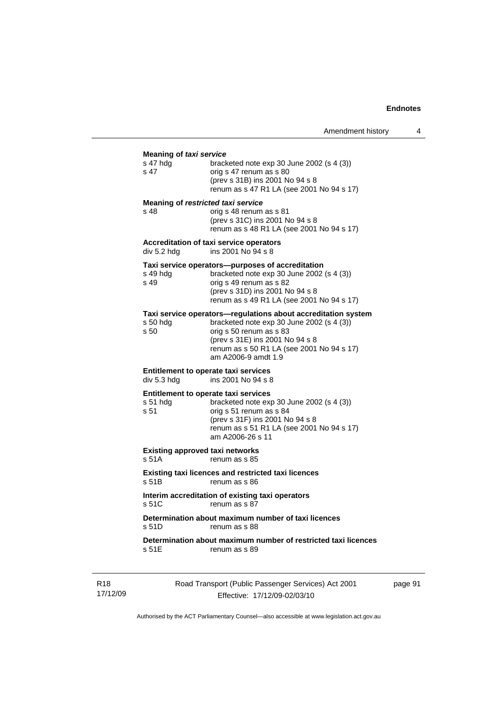## **Meaning of** *taxi service*

| meaning of taxi service<br>s 47 hdg<br>s 47                     | bracketed note $exp 30$ June 2002 (s 4 (3))<br>orig s 47 renum as s 80<br>(prev s 31B) ins 2001 No 94 s 8<br>renum as s 47 R1 LA (see 2001 No 94 s 17)                                                                                         |    |
|-----------------------------------------------------------------|------------------------------------------------------------------------------------------------------------------------------------------------------------------------------------------------------------------------------------------------|----|
| Meaning of restricted taxi service<br>s 48                      | orig s 48 renum as s 81<br>(prev s 31C) ins 2001 No 94 s 8<br>renum as s 48 R1 LA (see 2001 No 94 s 17)                                                                                                                                        |    |
| div 5.2 hdg                                                     | <b>Accreditation of taxi service operators</b><br>ins 2001 No 94 s 8                                                                                                                                                                           |    |
| s 49 hda<br>s 49                                                | Taxi service operators—purposes of accreditation<br>bracketed note $exp 30$ June 2002 (s 4 (3))<br>orig s 49 renum as s 82<br>(prev s 31D) ins 2001 No 94 s 8<br>renum as s 49 R1 LA (see 2001 No 94 s 17)                                     |    |
| s 50 hda<br>s 50                                                | Taxi service operators-regulations about accreditation system<br>bracketed note $exp 30$ June 2002 (s 4 (3))<br>orig s 50 renum as s 83<br>(prev s 31E) ins 2001 No 94 s 8<br>renum as s 50 R1 LA (see 2001 No 94 s 17)<br>am A2006-9 amdt 1.9 |    |
| <b>Entitlement to operate taxi services</b><br>div 5.3 hdg      | ins 2001 No 94 s 8                                                                                                                                                                                                                             |    |
| <b>Entitlement to operate taxi services</b><br>s 51 hda<br>s 51 | bracketed note $exp 30$ June 2002 (s 4 (3))<br>orig s 51 renum as s 84<br>(prev s 31F) ins 2001 No 94 s 8<br>renum as s 51 R1 LA (see 2001 No 94 s 17)<br>am A2006-26 s 11                                                                     |    |
| <b>Existing approved taxi networks</b><br>s 51A                 | renum as s 85                                                                                                                                                                                                                                  |    |
| s 51B                                                           | <b>Existing taxi licences and restricted taxi licences</b><br>renum as s 86                                                                                                                                                                    |    |
| s 51C                                                           | Interim accreditation of existing taxi operators<br>renum as s 87                                                                                                                                                                              |    |
| s 51D                                                           | Determination about maximum number of taxi licences<br>renum as s 88                                                                                                                                                                           |    |
| s 51E                                                           | Determination about maximum number of restricted taxi licences<br>renum as s 89                                                                                                                                                                |    |
|                                                                 | Road Transport (Public Passenger Services) Act 2001                                                                                                                                                                                            | pa |

R18 17/12/09

Effective: 17/12/09-02/03/10

page 91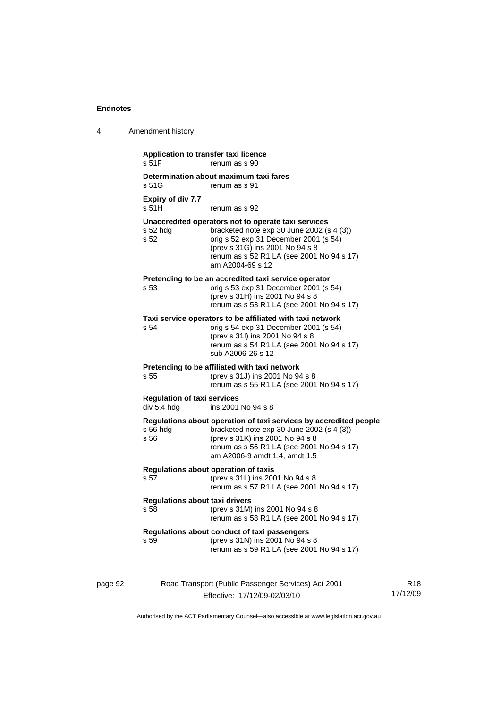| 4       | Amendment history                                                                                                                                                                                                                                                 |
|---------|-------------------------------------------------------------------------------------------------------------------------------------------------------------------------------------------------------------------------------------------------------------------|
|         | Application to transfer taxi licence<br>s 51F<br>renum as s 90                                                                                                                                                                                                    |
|         | Determination about maximum taxi fares<br>s 51G<br>renum as s 91                                                                                                                                                                                                  |
|         | <b>Expiry of div 7.7</b><br>s 51H<br>renum as s 92                                                                                                                                                                                                                |
|         | Unaccredited operators not to operate taxi services<br>s 52 hdg<br>bracketed note exp 30 June 2002 (s 4 (3))<br>s 52<br>orig s 52 exp 31 December 2001 (s 54)<br>(prev s 31G) ins 2001 No 94 s 8<br>renum as s 52 R1 LA (see 2001 No 94 s 17)<br>am A2004-69 s 12 |
|         | Pretending to be an accredited taxi service operator<br>orig s 53 exp 31 December 2001 (s 54)<br>s 53<br>(prev s 31H) ins 2001 No 94 s 8<br>renum as s 53 R1 LA (see 2001 No 94 s 17)                                                                             |
|         | Taxi service operators to be affiliated with taxi network<br>orig s 54 exp 31 December 2001 (s 54)<br>s 54<br>(prev s 31l) ins 2001 No 94 s 8<br>renum as s 54 R1 LA (see 2001 No 94 s 17)<br>sub A2006-26 s 12                                                   |
|         | Pretending to be affiliated with taxi network<br>(prev s 31J) ins 2001 No 94 s 8<br>s 55<br>renum as s 55 R1 LA (see 2001 No 94 s 17)                                                                                                                             |
|         | <b>Regulation of taxi services</b><br>div 5.4 hdg<br>ins 2001 No 94 s 8                                                                                                                                                                                           |
|         | Regulations about operation of taxi services by accredited people<br>$s$ 56 hdg<br>bracketed note exp 30 June 2002 (s 4 (3))<br>s 56<br>(prev s 31K) ins 2001 No 94 s 8<br>renum as s 56 R1 LA (see 2001 No 94 s 17)<br>am A2006-9 amdt 1.4, amdt 1.5             |
|         | Regulations about operation of taxis<br>s 57<br>(prev s 31L) ins 2001 No 94 s 8<br>renum as s 57 R1 LA (see 2001 No 94 s 17)                                                                                                                                      |
|         | <b>Regulations about taxi drivers</b><br>(prev s 31M) ins 2001 No 94 s 8<br>s 58<br>renum as s 58 R1 LA (see 2001 No 94 s 17)                                                                                                                                     |
|         | Regulations about conduct of taxi passengers<br>(prev s 31N) ins 2001 No 94 s 8<br>s 59<br>renum as s 59 R1 LA (see 2001 No 94 s 17)                                                                                                                              |
| page 92 | Road Transport (Public Passenger Services) Act 2001                                                                                                                                                                                                               |

Effective: 17/12/09-02/03/10

R18 17/12/09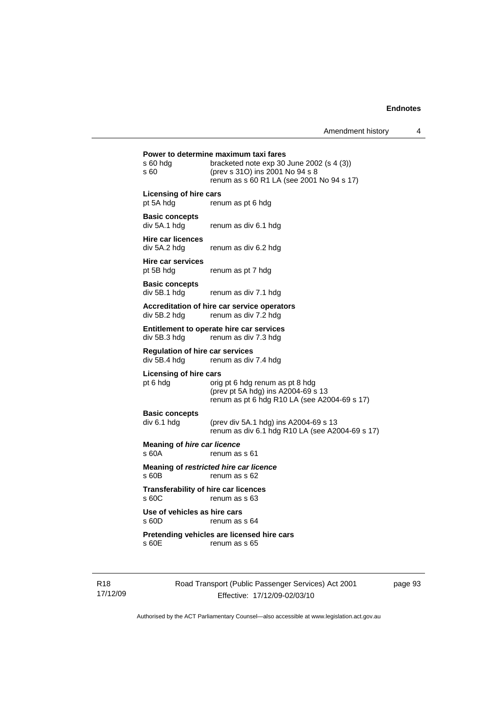|                                                        | Power to determine maximum taxi fares                                                                                     |
|--------------------------------------------------------|---------------------------------------------------------------------------------------------------------------------------|
| s 60 hdg<br>s 60                                       | bracketed note exp 30 June 2002 (s 4 (3))<br>(prev s 31O) ins 2001 No 94 s 8<br>renum as s 60 R1 LA (see 2001 No 94 s 17) |
| Licensing of hire cars                                 |                                                                                                                           |
| pt 5A hdg                                              | renum as pt 6 hdg                                                                                                         |
| <b>Basic concepts</b><br>div 5A.1 hdg                  | renum as div 6.1 hdg                                                                                                      |
| <b>Hire car licences</b><br>div 5A.2 hdg               | renum as div 6.2 hdg                                                                                                      |
| Hire car services<br>pt 5B hdg                         | renum as pt 7 hdg                                                                                                         |
| <b>Basic concepts</b><br>div 5B.1 hdg                  | renum as div 7.1 hdg                                                                                                      |
| div 5B.2 hdg                                           | Accreditation of hire car service operators<br>renum as div 7.2 hdg                                                       |
| div 5B.3 hdg                                           | Entitlement to operate hire car services<br>renum as div 7.3 hdg                                                          |
| <b>Requlation of hire car services</b><br>div 5B.4 hdg | renum as div 7.4 hdg                                                                                                      |
| Licensing of hire cars<br>pt 6 hdg                     | orig pt 6 hdg renum as pt 8 hdg                                                                                           |
|                                                        | (prev pt 5A hdg) ins A2004-69 s 13<br>renum as pt 6 hdg R10 LA (see A2004-69 s 17)                                        |
| <b>Basic concepts</b><br>div 6.1 hdg                   | (prev div 5A.1 hdg) ins A2004-69 s 13                                                                                     |
|                                                        | renum as div 6.1 hdg R10 LA (see A2004-69 s 17)                                                                           |
| <b>Meaning of hire car licence</b><br>s 60A            | renum as s 61                                                                                                             |
| s 60B                                                  | Meaning of restricted hire car licence<br>renum as s 62                                                                   |
| <b>Transferability of hire car licences</b><br>s 60C   | renum as s 63                                                                                                             |
| Use of vehicles as hire cars<br>s 60D                  | renum as s 64                                                                                                             |
|                                                        | Pretending vehicles are licensed hire cars                                                                                |
| s 60E                                                  | renum as s 65                                                                                                             |
|                                                        |                                                                                                                           |

R18 17/12/09 Road Transport (Public Passenger Services) Act 2001 Effective: 17/12/09-02/03/10

page 93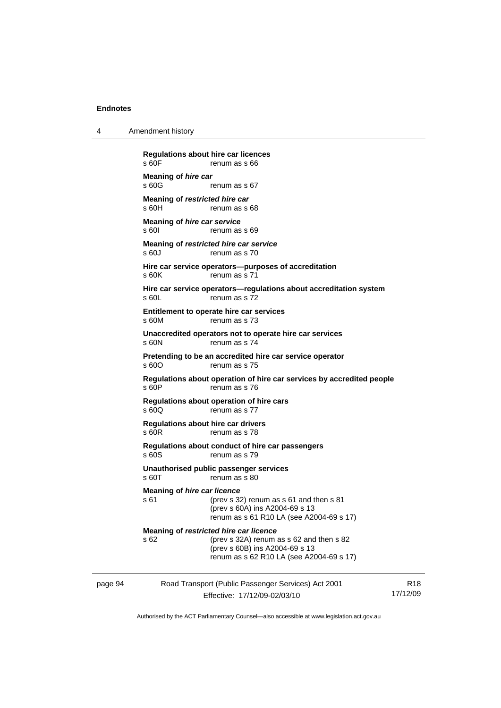4 Amendment history

|         | s 60F                                              | <b>Regulations about hire car licences</b><br>renum as s 66                                                                                                      |                 |
|---------|----------------------------------------------------|------------------------------------------------------------------------------------------------------------------------------------------------------------------|-----------------|
|         | Meaning of hire car<br>s 60G                       | renum as s 67                                                                                                                                                    |                 |
|         | Meaning of restricted hire car<br>s 60H            | renum as s 68                                                                                                                                                    |                 |
|         | Meaning of hire car service<br>s 601               | renum as s 69                                                                                                                                                    |                 |
|         | s60J                                               | Meaning of restricted hire car service<br>renum as s 70                                                                                                          |                 |
|         | s 60K                                              | Hire car service operators—purposes of accreditation<br>renum as s 71                                                                                            |                 |
|         | s 60L                                              | Hire car service operators—regulations about accreditation system<br>renum as s 72                                                                               |                 |
|         | s 60M                                              | Entitlement to operate hire car services<br>renum as s 73                                                                                                        |                 |
|         | s 60N                                              | Unaccredited operators not to operate hire car services<br>renum as s 74                                                                                         |                 |
|         | s 60O                                              | Pretending to be an accredited hire car service operator<br>renum as s 75                                                                                        |                 |
|         | s 60P                                              | Regulations about operation of hire car services by accredited people<br>renum as s 76                                                                           |                 |
|         | s 60Q                                              | Regulations about operation of hire cars<br>renum as s 77                                                                                                        |                 |
|         | <b>Regulations about hire car drivers</b><br>s 60R | renum as s 78                                                                                                                                                    |                 |
|         | s 60S                                              | Regulations about conduct of hire car passengers<br>renum as s 79                                                                                                |                 |
|         | s 60T                                              | Unauthorised public passenger services<br>renum as s 80                                                                                                          |                 |
|         | <b>Meaning of hire car licence</b><br>s 61         | (prev s $32$ ) renum as s $61$ and then s $81$<br>(prev s 60A) ins A2004-69 s 13<br>renum as s 61 R10 LA (see A2004-69 s 17)                                     |                 |
|         | s 62                                               | Meaning of restricted hire car licence<br>(prev s 32A) renum as s 62 and then s 82<br>(prev s 60B) ins A2004-69 s 13<br>renum as s 62 R10 LA (see A2004-69 s 17) |                 |
| page 94 |                                                    | Road Transport (Public Passenger Services) Act 2001<br>Effective: 17/12/09-02/03/10                                                                              | R18<br>17/12/09 |
|         |                                                    |                                                                                                                                                                  |                 |

Authorised by the ACT Parliamentary Counsel—also accessible at www.legislation.act.gov.au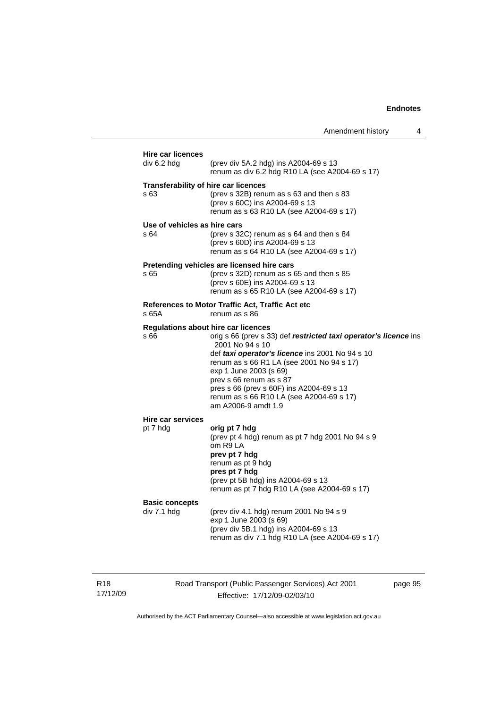| div 6.2 hdg                          | (prev div 5A.2 hdg) ins A2004-69 s 13<br>renum as div 6.2 hdg R10 LA (see A2004-69 s 17)                                                                                                                                                                                                                                                                                                              |
|--------------------------------------|-------------------------------------------------------------------------------------------------------------------------------------------------------------------------------------------------------------------------------------------------------------------------------------------------------------------------------------------------------------------------------------------------------|
| s 63                                 | <b>Transferability of hire car licences</b><br>(prev s 32B) renum as s 63 and then s 83<br>(prev s 60C) ins A2004-69 s 13<br>renum as s 63 R10 LA (see A2004-69 s 17)                                                                                                                                                                                                                                 |
| Use of vehicles as hire cars<br>s 64 | (prev s $32C$ ) renum as s $64$ and then s $84$<br>(prev s 60D) ins A2004-69 s 13<br>renum as s 64 R10 LA (see A2004-69 s 17)                                                                                                                                                                                                                                                                         |
| s 65                                 | Pretending vehicles are licensed hire cars<br>(prev s 32D) renum as s 65 and then s 85<br>(prev s 60E) ins A2004-69 s 13<br>renum as s 65 R10 LA (see A2004-69 s 17)                                                                                                                                                                                                                                  |
| s 65A                                | References to Motor Traffic Act, Traffic Act etc<br>renum as s 86                                                                                                                                                                                                                                                                                                                                     |
| s 66                                 | <b>Regulations about hire car licences</b><br>orig s 66 (prev s 33) def restricted taxi operator's licence ins<br>2001 No 94 s 10<br>def taxi operator's licence ins 2001 No 94 s 10<br>renum as s 66 R1 LA (see 2001 No 94 s 17)<br>exp 1 June 2003 (s 69)<br>prev s 66 renum as s 87<br>pres s 66 (prev s 60F) ins A2004-69 s 13<br>renum as s 66 R10 LA (see A2004-69 s 17)<br>am A2006-9 amdt 1.9 |
| Hire car services<br>pt 7 hdg        | orig pt 7 hdg<br>(prev pt 4 hdg) renum as pt 7 hdg 2001 No 94 s 9<br>om R9 LA<br>prev pt 7 hdg<br>renum as pt 9 hdg<br>pres pt 7 hdg<br>(prev pt 5B hdg) ins A2004-69 s 13<br>renum as pt 7 hdg R10 LA (see A2004-69 s 17)                                                                                                                                                                            |
| <b>Basic concepts</b><br>div 7.1 hdg | (prev div 4.1 hdg) renum 2001 No 94 s 9<br>exp 1 June 2003 (s 69)<br>(prev div 5B.1 hdg) ins A2004-69 s 13<br>renum as div 7.1 hdg R10 LA (see A2004-69 s 17)                                                                                                                                                                                                                                         |

R18 17/12/09 Road Transport (Public Passenger Services) Act 2001 Effective: 17/12/09-02/03/10

page 95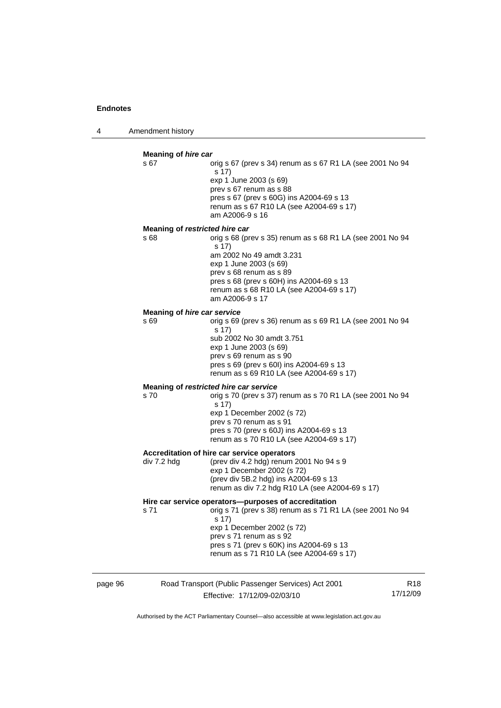4 Amendment history

### **Meaning of** *hire car*  s 67 orig s 67 (prev s 34) renum as s 67 R1 LA (see 2001 No 94 s 17) exp 1 June 2003 (s 69) prev s 67 renum as s 88 pres s 67 (prev s 60G) ins A2004-69 s 13 renum as s 67 R10 LA (see A2004-69 s 17) am A2006-9 s 16 **Meaning of** *restricted hire car*  s 68 orig s 68 (prev s 35) renum as s 68 R1 LA (see 2001 No 94 s 17) am 2002 No 49 amdt 3.231 exp 1 June 2003 (s 69) prev s 68 renum as s 89 pres s 68 (prev s 60H) ins A2004-69 s 13 renum as s 68 R10 LA (see A2004-69 s 17) am A2006-9 s 17 **Meaning of** *hire car service*  s 69 orig s 69 (prev s 36) renum as s 69 R1 LA (see 2001 No 94 s 17) sub 2002 No 30 amdt 3.751 exp 1 June 2003 (s 69) prev s 69 renum as s 90 pres s 69 (prev s 60I) ins A2004-69 s 13 renum as s 69 R10 LA (see A2004-69 s 17) **Meaning of** *restricted hire car service*  s 70 orig s 70 (prev s 37) renum as s 70 R1 LA (see 2001 No 94 s 17) exp 1 December 2002 (s 72) prev s 70 renum as s 91 pres s 70 (prev s 60J) ins A2004-69 s 13 renum as s 70 R10 LA (see A2004-69 s 17) **Accreditation of hire car service operators**  div 7.2 hdg (prev div 4.2 hdg) renum 2001 No 94 s 9 exp 1 December 2002 (s 72) (prev div 5B.2 hdg) ins A2004-69 s 13 renum as div 7.2 hdg R10 LA (see A2004-69 s 17) **Hire car service operators—purposes of accreditation**  s 71 orig s 71 (prev s 38) renum as s 71 R1 LA (see 2001 No 94 s 17) exp 1 December 2002 (s 72) prev s 71 renum as s 92 pres s 71 (prev s 60K) ins A2004-69 s 13 renum as s 71 R10 LA (see A2004-69 s 17)

page 96 Road Transport (Public Passenger Services) Act 2001 Effective: 17/12/09-02/03/10 R18 17/12/09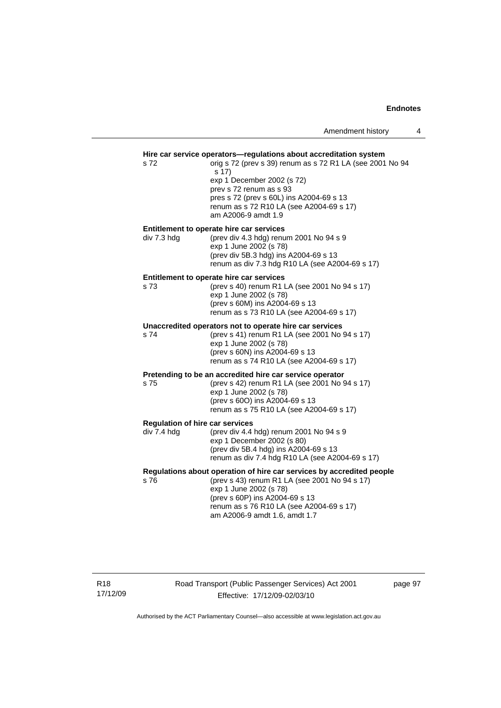## **Hire car service operators—regulations about accreditation system**

s 72 orig s 72 (prev s 39) renum as s 72 R1 LA (see 2001 No 94 s 17) exp 1 December 2002 (s 72) prev s 72 renum as s 93 pres s 72 (prev s 60L) ins A2004-69 s 13 renum as s 72 R10 LA (see A2004-69 s 17) am A2006-9 amdt 1.9

**Entitlement to operate hire car services**<br>div 7.3 hdg (prev div 4.3 hdg) renu  $(nrav div 4.3 hda)$  renum 2001 No 94 s 9

| aiv 7.0 Huy | $1000118$ and $10011$ in $2001180$ at $3433$    |
|-------------|-------------------------------------------------|
|             | exp 1 June 2002 (s 78)                          |
|             | (prev div 5B.3 hdg) ins A2004-69 s 13           |
|             | renum as div 7.3 hdg R10 LA (see A2004-69 s 17) |
|             |                                                 |

#### **Entitlement to operate hire car services**

| s 73. | (prev s 40) renum R1 LA (see 2001 No 94 s 17) |
|-------|-----------------------------------------------|
|       | exp 1 June 2002 (s 78)                        |
|       | (prev s 60M) ins A2004-69 s 13                |
|       | renum as s 73 R10 LA (see A2004-69 s 17)      |
|       |                                               |

#### **Unaccredited operators not to operate hire car services**

s 74 (prev s 41) renum R1 LA (see 2001 No 94 s 17) exp 1 June 2002 (s 78) (prev s 60N) ins A2004-69 s 13 renum as s 74 R10 LA (see A2004-69 s 17)

#### **Pretending to be an accredited hire car service operator**

s 75 (prev s 42) renum R1 LA (see 2001 No 94 s 17) exp 1 June 2002 (s 78) (prev s 60O) ins A2004-69 s 13 renum as s 75 R10 LA (see A2004-69 s 17)

#### **Regulation of hire car services**

| div 7.4 hdg | (prev div 4.4 hdg) renum 2001 No 94 s 9         |
|-------------|-------------------------------------------------|
|             | exp 1 December 2002 (s 80)                      |
|             | (prev div 5B.4 hdg) ins A2004-69 s 13           |
|             | renum as div 7.4 hdg R10 LA (see A2004-69 s 17) |
|             |                                                 |

### **Regulations about operation of hire car services by accredited people**

s 76 (prev s 43) renum R1 LA (see 2001 No 94 s 17) exp 1 June 2002 (s 78) (prev s 60P) ins A2004-69 s 13 renum as s 76 R10 LA (see A2004-69 s 17) am A2006-9 amdt 1.6, amdt 1.7

R18 17/12/09 Road Transport (Public Passenger Services) Act 2001 Effective: 17/12/09-02/03/10

page 97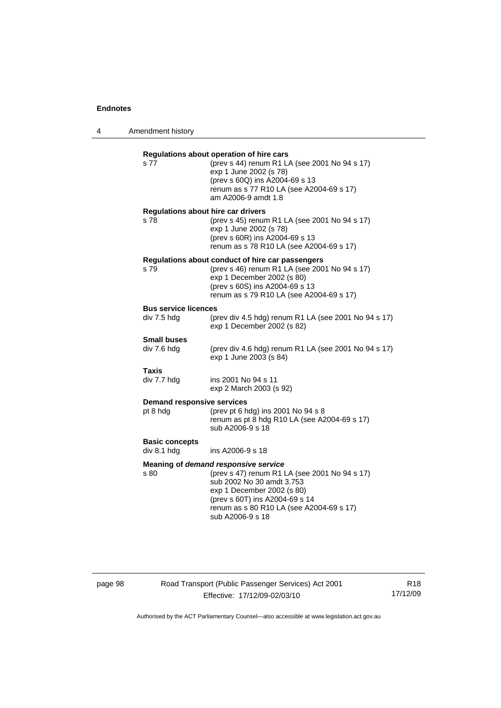| s 77                                              | Regulations about operation of hire cars<br>(prev s 44) renum R1 LA (see 2001 No 94 s 17)<br>exp 1 June 2002 (s 78)<br>(prev s 60Q) ins A2004-69 s 13<br>renum as s 77 R10 LA (see A2004-69 s 17)<br>am A2006-9 amdt 1.8                           |
|---------------------------------------------------|----------------------------------------------------------------------------------------------------------------------------------------------------------------------------------------------------------------------------------------------------|
| <b>Regulations about hire car drivers</b><br>s 78 | (prev s 45) renum R1 LA (see 2001 No 94 s 17)<br>exp 1 June 2002 (s 78)<br>(prev s 60R) ins A2004-69 s 13<br>renum as s 78 R10 LA (see A2004-69 s 17)                                                                                              |
| s 79                                              | Regulations about conduct of hire car passengers<br>(prev s 46) renum R1 LA (see 2001 No 94 s 17)<br>exp 1 December 2002 (s 80)<br>(prev s 60S) ins A2004-69 s 13<br>renum as s 79 R10 LA (see A2004-69 s 17)                                      |
| <b>Bus service licences</b><br>div 7.5 hdg        | (prev div 4.5 hdg) renum R1 LA (see 2001 No 94 s 17)<br>exp 1 December 2002 (s 82)                                                                                                                                                                 |
| <b>Small buses</b><br>div 7.6 hdg                 | (prev div 4.6 hdg) renum R1 LA (see 2001 No 94 s 17)<br>exp 1 June 2003 (s 84)                                                                                                                                                                     |
| <b>Taxis</b><br>div 7.7 hdg                       | ins 2001 No 94 s 11<br>exp 2 March 2003 (s 92)                                                                                                                                                                                                     |
| <b>Demand responsive services</b><br>pt 8 hdg     | (prev pt 6 hdg) ins 2001 No 94 s 8<br>renum as pt 8 hdg R10 LA (see A2004-69 s 17)<br>sub A2006-9 s 18                                                                                                                                             |
| <b>Basic concepts</b><br>div 8.1 hdg              | ins A2006-9 s 18                                                                                                                                                                                                                                   |
| s 80                                              | Meaning of demand responsive service<br>(prev s 47) renum R1 LA (see 2001 No 94 s 17)<br>sub 2002 No 30 amdt 3.753<br>exp 1 December 2002 (s 80)<br>(prev s 60T) ins A2004-69 s 14<br>renum as s 80 R10 LA (see A2004-69 s 17)<br>sub A2006-9 s 18 |

# page 98 Road Transport (Public Passenger Services) Act 2001 Effective: 17/12/09-02/03/10

R18 17/12/09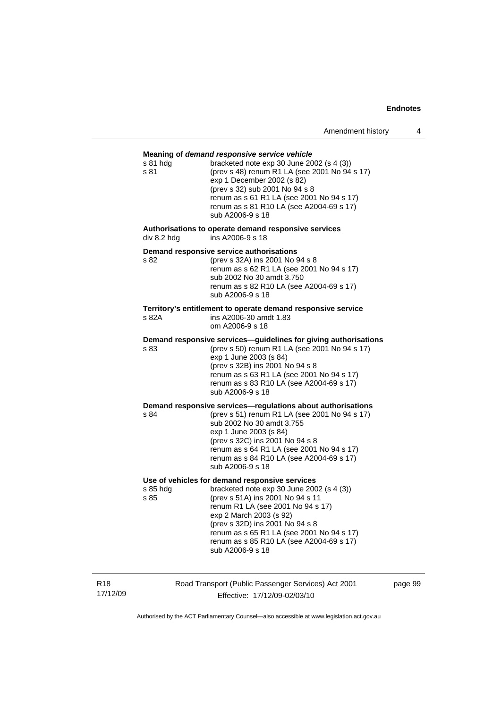# **Meaning of** *demand responsive service vehicle* s 81 hdg bracketed note exp 30 June 2002 (s 4 (3)) s 81 (prev s 48) renum R1 LA (see 2001 No 94 s 17) exp 1 December 2002 (s 82) (prev s 32) sub 2001 No 94 s 8 renum as s 61 R1 LA (see 2001 No 94 s 17) renum as s 81 R10 LA (see A2004-69 s 17) sub A2006-9 s 18 **Authorisations to operate demand responsive services**  div 8.2 hdg ins A2006-9 s 18 **Demand responsive service authorisations**  s 82 (prev s 32A) ins 2001 No 94 s 8 renum as s 62 R1 LA (see 2001 No 94 s 17) sub 2002 No 30 amdt 3.750 renum as s 82 R10 LA (see A2004-69 s 17) sub A2006-9 s 18 **Territory's entitlement to operate demand responsive service**  s 82A ins A2006-30 amdt 1.83 om A2006-9 s 18 **Demand responsive services—guidelines for giving authorisations**  s 83 (prev s 50) renum R1 LA (see 2001 No 94 s 17) exp 1 June 2003 (s 84) (prev s 32B) ins 2001 No 94 s 8 renum as s 63 R1 LA (see 2001 No 94 s 17) renum as s 83 R10 LA (see A2004-69 s 17) sub A2006-9 s 18 **Demand responsive services—regulations about authorisations**  s 84 (prev s 51) renum R1 LA (see 2001 No 94 s 17) sub 2002 No 30 amdt 3.755 exp 1 June 2003 (s 84) (prev s 32C) ins 2001 No 94 s 8 renum as s 64 R1 LA (see 2001 No 94 s 17) renum as s 84 R10 LA (see A2004-69 s 17) sub A2006-9 s 18 **Use of vehicles for demand responsive services**  s 85 hdg bracketed note exp 30 June 2002 (s 4 (3)) s 85 (prev s 51A) ins 2001 No 94 s 11 renum R1 LA (see 2001 No 94 s 17) exp 2 March 2003 (s 92) (prev s 32D) ins 2001 No 94 s 8 renum as s 65 R1 LA (see 2001 No 94 s 17) renum as s 85 R10 LA (see A2004-69 s 17) sub A2006-9 s 18

R18 17/12/09 Road Transport (Public Passenger Services) Act 2001 Effective: 17/12/09-02/03/10

page 99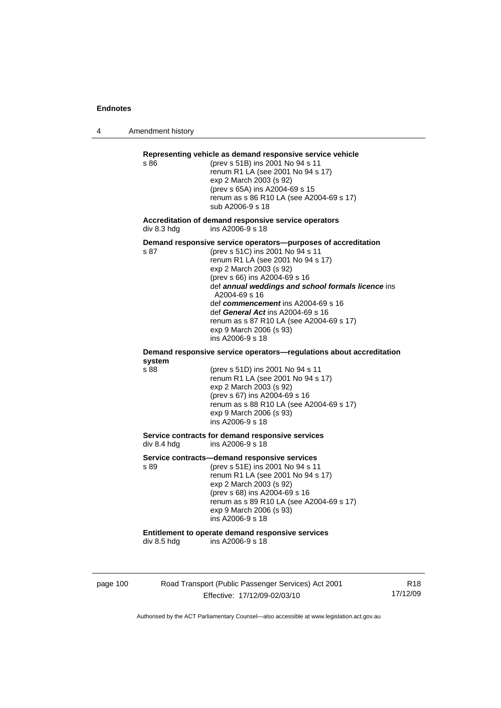4 Amendment history

# page 100 Road Transport (Public Passenger Services) Act 2001 Effective: 17/12/09-02/03/10 R18 17/12/09 **Representing vehicle as demand responsive service vehicle**  s 86 (prev s 51B) ins 2001 No 94 s 11 renum R1 LA (see 2001 No 94 s 17) exp 2 March 2003 (s 92) (prev s 65A) ins A2004-69 s 15 renum as s 86 R10 LA (see A2004-69 s 17) sub A2006-9 s 18 **Accreditation of demand responsive service operators**  div 8.3 hdg ins A2006-9 s 18 **Demand responsive service operators—purposes of accreditation**  s 87 (prev s 51C) ins 2001 No 94 s 11 renum R1 LA (see 2001 No 94 s 17) exp 2 March 2003 (s 92) (prev s 66) ins A2004-69 s 16 def *annual weddings and school formals licence* ins A2004-69 s 16 def *commencement* ins A2004-69 s 16 def *General Act* ins A2004-69 s 16 renum as s 87 R10 LA (see A2004-69 s 17) exp 9 March 2006 (s 93) ins A2006-9 s 18 **Demand responsive service operators—regulations about accreditation system**  s 88 (prev s 51D) ins 2001 No 94 s 11 renum R1 LA (see 2001 No 94 s 17) exp 2 March 2003 (s 92) (prev s 67) ins A2004-69 s 16 renum as s 88 R10 LA (see A2004-69 s 17) exp 9 March 2006 (s 93) ins A2006-9 s 18 **Service contracts for demand responsive services**  div 8.4 hdg ins A2006-9 s 18 **Service contracts—demand responsive services**  s 89 (prev s 51E) ins 2001 No 94 s 11 renum R1 LA (see 2001 No 94 s 17) exp 2 March 2003 (s 92) (prev s 68) ins A2004-69 s 16 renum as s 89 R10 LA (see A2004-69 s 17) exp 9 March 2006 (s 93) ins A2006-9 s 18 **Entitlement to operate demand responsive services**  div 8.5 hdg ins A2006-9 s 18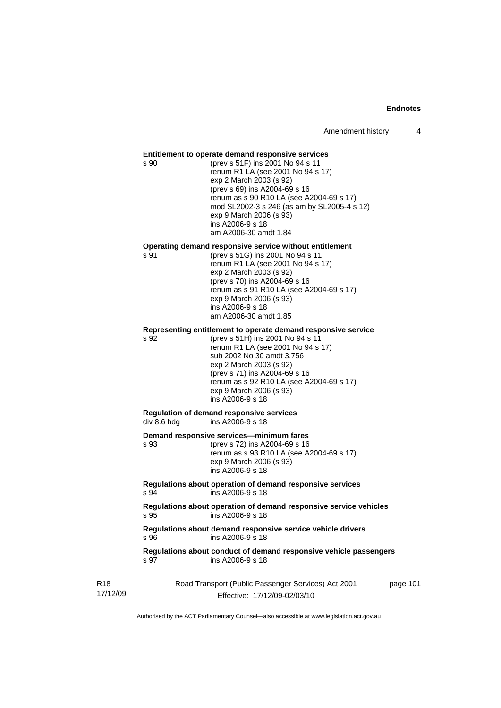## **Entitlement to operate demand responsive services**

s 90 (prev s 51F) ins 2001 No 94 s 11 renum R1 LA (see 2001 No 94 s 17) exp 2 March 2003 (s 92) (prev s 69) ins A2004-69 s 16 renum as s 90 R10 LA (see A2004-69 s 17) mod SL2002-3 s 246 (as am by SL2005-4 s 12) exp 9 March 2006 (s 93) ins A2006-9 s 18 am A2006-30 amdt 1.84

#### **Operating demand responsive service without entitlement**

s 91 (prev s 51G) ins 2001 No 94 s 11 renum R1 LA (see 2001 No 94 s 17) exp 2 March 2003 (s 92) (prev s 70) ins A2004-69 s 16 renum as s 91 R10 LA (see A2004-69 s 17) exp 9 March 2006 (s 93) ins A2006-9 s 18 am A2006-30 amdt 1.85

# **Representing entitlement to operate demand responsive service**

s 92 (prev s 51H) ins 2001 No 94 s 11 renum R1 LA (see 2001 No 94 s 17) sub 2002 No 30 amdt 3.756 exp 2 March 2003 (s 92) (prev s 71) ins A2004-69 s 16 renum as s 92 R10 LA (see A2004-69 s 17) exp 9 March 2006 (s 93) ins A2006-9 s 18

#### **Regulation of demand responsive services**   $div 8.6$  hdg  $div 8.6$  ins A2006-9 s 18

#### **Demand responsive services—minimum fares**

| s 93 | (prev s 72) ins A2004-69 s 16            |
|------|------------------------------------------|
|      | renum as s 93 R10 LA (see A2004-69 s 17) |
|      | exp 9 March 2006 (s 93)                  |
|      | ins A2006-9 s 18                         |
|      |                                          |

## **Regulations about operation of demand responsive services**  s 94 ins A2006-9 s 18

**Regulations about operation of demand responsive service vehicles**  s 95 ins A2006-9 s 18

## **Regulations about demand responsive service vehicle drivers**  s 96 ins A2006-9 s 18

## **Regulations about conduct of demand responsive vehicle passengers**  ins A2006-9 s 18

| R18      | Road Transport (Public Passenger Services) Act 2001 | page 101 |
|----------|-----------------------------------------------------|----------|
| 17/12/09 | Effective: 17/12/09-02/03/10                        |          |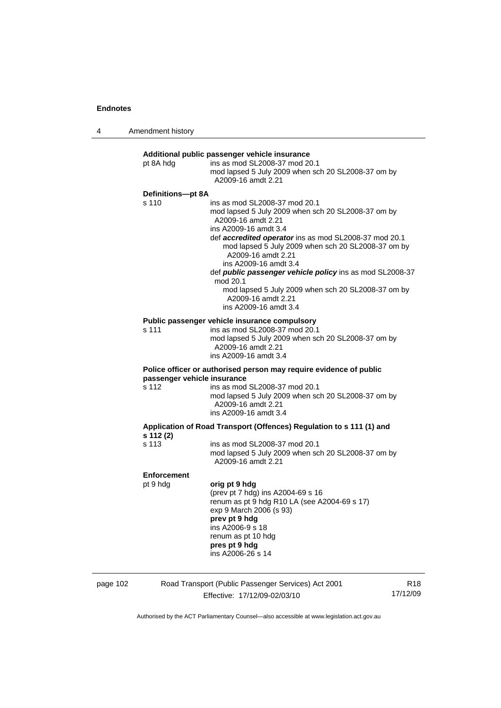4 Amendment history

| pt 8A hdg          | ins as mod SL2008-37 mod 20.1<br>mod lapsed 5 July 2009 when sch 20 SL2008-37 om by<br>A2009-16 amdt 2.21                                                                                                                                                                                                                                                                                                                                                                            |
|--------------------|--------------------------------------------------------------------------------------------------------------------------------------------------------------------------------------------------------------------------------------------------------------------------------------------------------------------------------------------------------------------------------------------------------------------------------------------------------------------------------------|
| Definitions-pt 8A  |                                                                                                                                                                                                                                                                                                                                                                                                                                                                                      |
| s 110              | ins as mod SL2008-37 mod 20.1<br>mod lapsed 5 July 2009 when sch 20 SL2008-37 om by<br>A2009-16 amdt 2.21<br>ins A2009-16 amdt 3.4<br>def accredited operator ins as mod SL2008-37 mod 20.1<br>mod lapsed 5 July 2009 when sch 20 SL2008-37 om by<br>A2009-16 amdt 2.21<br>ins A2009-16 amdt 3.4<br>def <i>public passenger vehicle policy</i> ins as mod SL2008-37<br>mod 20.1<br>mod lapsed 5 July 2009 when sch 20 SL2008-37 om by<br>A2009-16 amdt 2.21<br>ins A2009-16 amdt 3.4 |
|                    | Public passenger vehicle insurance compulsory                                                                                                                                                                                                                                                                                                                                                                                                                                        |
| s 111              | ins as mod SL2008-37 mod 20.1<br>mod lapsed 5 July 2009 when sch 20 SL2008-37 om by<br>A2009-16 amdt 2.21<br>ins A2009-16 amdt 3.4                                                                                                                                                                                                                                                                                                                                                   |
|                    | Police officer or authorised person may require evidence of public<br>passenger vehicle insurance                                                                                                                                                                                                                                                                                                                                                                                    |
| s 112              | ins as mod SL2008-37 mod 20.1<br>mod lapsed 5 July 2009 when sch 20 SL2008-37 om by<br>A2009-16 amdt 2.21<br>ins A2009-16 amdt 3.4                                                                                                                                                                                                                                                                                                                                                   |
| s 112 (2)          | Application of Road Transport (Offences) Regulation to s 111 (1) and                                                                                                                                                                                                                                                                                                                                                                                                                 |
| s 113              | ins as mod SL2008-37 mod 20.1<br>mod lapsed 5 July 2009 when sch 20 SL2008-37 om by<br>A2009-16 amdt 2.21                                                                                                                                                                                                                                                                                                                                                                            |
| <b>Enforcement</b> |                                                                                                                                                                                                                                                                                                                                                                                                                                                                                      |
| pt 9 hdg           | orig pt 9 hdg<br>(prev pt 7 hdg) ins A2004-69 s 16<br>renum as pt 9 hdg R10 LA (see A2004-69 s 17)<br>exp 9 March 2006 (s 93)<br>prev pt 9 hdg<br>ins A2006-9 s 18<br>renum as pt 10 hdg<br>pres pt 9 hdg<br>ins A2006-26 s 14                                                                                                                                                                                                                                                       |

| page 102 | Road Transport (Public Passenger Services) Act 2001 | R <sub>18</sub> |
|----------|-----------------------------------------------------|-----------------|
|          | Effective: 17/12/09-02/03/10                        | 17/12/09        |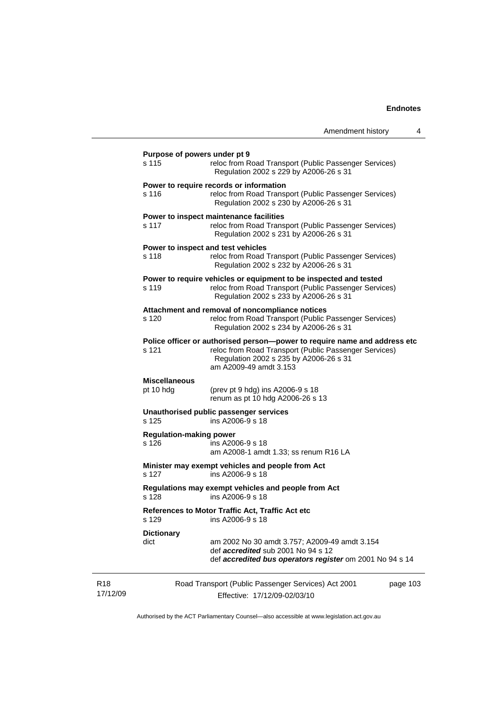|                                         | Amendment history                                                                                                                                                                                       | 4        |
|-----------------------------------------|---------------------------------------------------------------------------------------------------------------------------------------------------------------------------------------------------------|----------|
| Purpose of powers under pt 9<br>s 115   | reloc from Road Transport (Public Passenger Services)<br>Regulation 2002 s 229 by A2006-26 s 31                                                                                                         |          |
| s 116                                   | Power to require records or information<br>reloc from Road Transport (Public Passenger Services)<br>Regulation 2002 s 230 by A2006-26 s 31                                                              |          |
| s 117                                   | Power to inspect maintenance facilities<br>reloc from Road Transport (Public Passenger Services)<br>Regulation 2002 s 231 by A2006-26 s 31                                                              |          |
| s 118                                   | Power to inspect and test vehicles<br>reloc from Road Transport (Public Passenger Services)<br>Regulation 2002 s 232 by A2006-26 s 31                                                                   |          |
| s 119                                   | Power to require vehicles or equipment to be inspected and tested<br>reloc from Road Transport (Public Passenger Services)<br>Regulation 2002 s 233 by A2006-26 s 31                                    |          |
| s 120                                   | Attachment and removal of noncompliance notices<br>reloc from Road Transport (Public Passenger Services)<br>Regulation 2002 s 234 by A2006-26 s 31                                                      |          |
| s 121                                   | Police officer or authorised person--power to require name and address etc<br>reloc from Road Transport (Public Passenger Services)<br>Regulation 2002 s 235 by A2006-26 s 31<br>am A2009-49 amdt 3.153 |          |
| <b>Miscellaneous</b><br>pt 10 hdg       | (prev pt 9 hdg) ins A2006-9 s 18<br>renum as pt 10 hdg A2006-26 s 13                                                                                                                                    |          |
| s 125                                   | Unauthorised public passenger services<br>ins A2006-9 s 18                                                                                                                                              |          |
| <b>Regulation-making power</b><br>s 126 | ins A2006-9 s 18<br>am A2008-1 amdt 1.33; ss renum R16 LA                                                                                                                                               |          |
| s 127                                   | Minister may exempt vehicles and people from Act<br>ins A2006-9 s 18                                                                                                                                    |          |
| s 128                                   | Regulations may exempt vehicles and people from Act<br>ins A2006-9 s 18                                                                                                                                 |          |
| s 129                                   | References to Motor Traffic Act, Traffic Act etc<br>ins A2006-9 s 18                                                                                                                                    |          |
| <b>Dictionary</b><br>dict               | am 2002 No 30 amdt 3.757; A2009-49 amdt 3.154<br>def <i>accredited</i> sub 2001 No 94 s 12<br>def accredited bus operators register om 2001 No 94 s 14                                                  |          |
|                                         | Road Transport (Public Passenger Services) Act 2001                                                                                                                                                     | page 103 |

Authorised by the ACT Parliamentary Counsel—also accessible at www.legislation.act.gov.au

Effective: 17/12/09-02/03/10

R18 17/12/09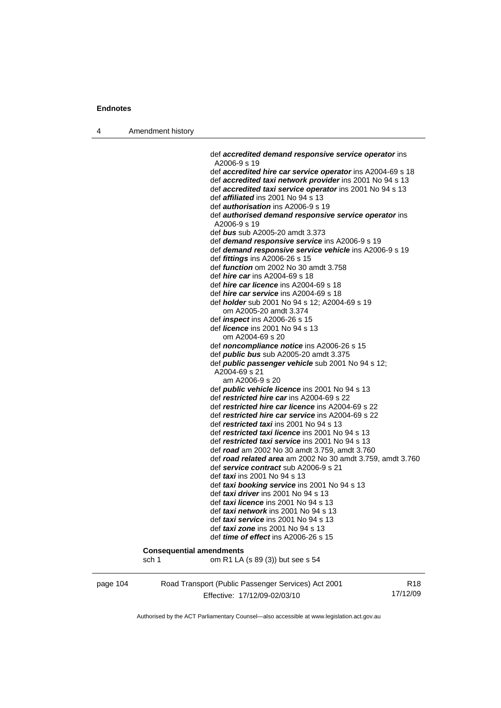4 Amendment history

 def *accredited demand responsive service operator* ins A2006-9 s 19 def *accredited hire car service operator* ins A2004-69 s 18 def *accredited taxi network provider* ins 2001 No 94 s 13 def *accredited taxi service operator* ins 2001 No 94 s 13 def *affiliated* ins 2001 No 94 s 13 def *authorisation* ins A2006-9 s 19 def *authorised demand responsive service operator* ins A2006-9 s 19 def *bus* sub A2005-20 amdt 3.373 def *demand responsive service* ins A2006-9 s 19 def *demand responsive service vehicle* ins A2006-9 s 19 def *fittings* ins A2006-26 s 15 def *function* om 2002 No 30 amdt 3.758 def *hire car* ins A2004-69 s 18 def *hire car licence* ins A2004-69 s 18 def *hire car service* ins A2004-69 s 18 def *holder* sub 2001 No 94 s 12; A2004-69 s 19 om A2005-20 amdt 3.374 def *inspect* ins A2006-26 s 15 def *licence* ins 2001 No 94 s 13 om A2004-69 s 20 def *noncompliance notice* ins A2006-26 s 15 def *public bus* sub A2005-20 amdt 3.375 def *public passenger vehicle* sub 2001 No 94 s 12; A2004-69 s 21 am A2006-9 s 20 def *public vehicle licence* ins 2001 No 94 s 13 def *restricted hire car* ins A2004-69 s 22 def *restricted hire car licence* ins A2004-69 s 22 def *restricted hire car service* ins A2004-69 s 22 def *restricted taxi* ins 2001 No 94 s 13 def *restricted taxi licence* ins 2001 No 94 s 13 def *restricted taxi service* ins 2001 No 94 s 13 def *road* am 2002 No 30 amdt 3.759, amdt 3.760 def *road related area* am 2002 No 30 amdt 3.759, amdt 3.760 def *service contract* sub A2006-9 s 21 def *taxi* ins 2001 No 94 s 13 def *taxi booking service* ins 2001 No 94 s 13 def *taxi driver* ins 2001 No 94 s 13 def *taxi licence* ins 2001 No 94 s 13 def *taxi network* ins 2001 No 94 s 13 def *taxi service* ins 2001 No 94 s 13 def *taxi zone* ins 2001 No 94 s 13 def *time of effect* ins A2006-26 s 15 **Consequential amendments**  sch 1 om R1 LA (s 89 (3)) but see s 54

page 104 Road Transport (Public Passenger Services) Act 2001 Effective: 17/12/09-02/03/10

R18 17/12/09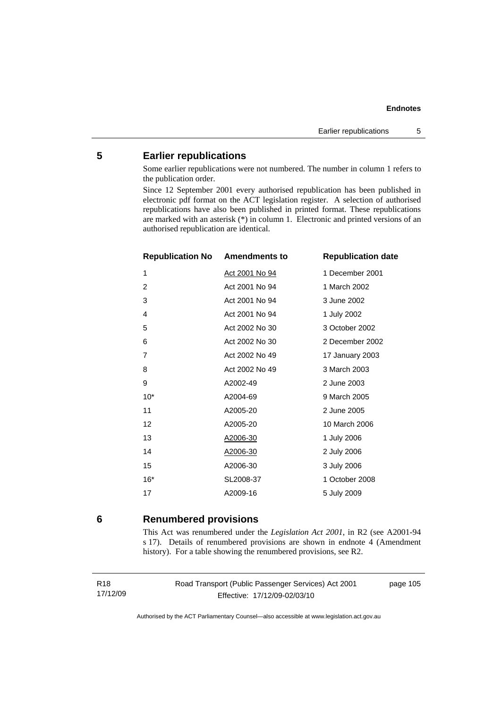# **5 Earlier republications**

Some earlier republications were not numbered. The number in column 1 refers to the publication order.

Since 12 September 2001 every authorised republication has been published in electronic pdf format on the ACT legislation register. A selection of authorised republications have also been published in printed format. These republications are marked with an asterisk (\*) in column 1. Electronic and printed versions of an authorised republication are identical.

| <b>Republication No Amendments to</b> |                       | <b>Republication date</b> |
|---------------------------------------|-----------------------|---------------------------|
| 1                                     | <u>Act 2001 No 94</u> | 1 December 2001           |
| $\overline{2}$                        | Act 2001 No 94        | 1 March 2002              |
| 3                                     | Act 2001 No 94        | 3 June 2002               |
| 4                                     | Act 2001 No 94        | 1 July 2002               |
| 5                                     | Act 2002 No 30        | 3 October 2002            |
| 6                                     | Act 2002 No 30        | 2 December 2002           |
| 7                                     | Act 2002 No 49        | 17 January 2003           |
| 8                                     | Act 2002 No 49        | 3 March 2003              |
| 9                                     | A2002-49              | 2 June 2003               |
| $10*$                                 | A2004-69              | 9 March 2005              |
| 11                                    | A2005-20              | 2 June 2005               |
| 12                                    | A2005-20              | 10 March 2006             |
| 13                                    | A2006-30              | 1 July 2006               |
| 14                                    | A2006-30              | 2 July 2006               |
| 15                                    | A2006-30              | 3 July 2006               |
| $16*$                                 | SL2008-37             | 1 October 2008            |
| 17                                    | A2009-16              | 5 July 2009               |

# **6 Renumbered provisions**

This Act was renumbered under the *Legislation Act 2001*, in R2 (see A2001-94 s 17). Details of renumbered provisions are shown in endnote 4 (Amendment history). For a table showing the renumbered provisions, see R2.

Road Transport (Public Passenger Services) Act 2001 Effective: 17/12/09-02/03/10

page 105